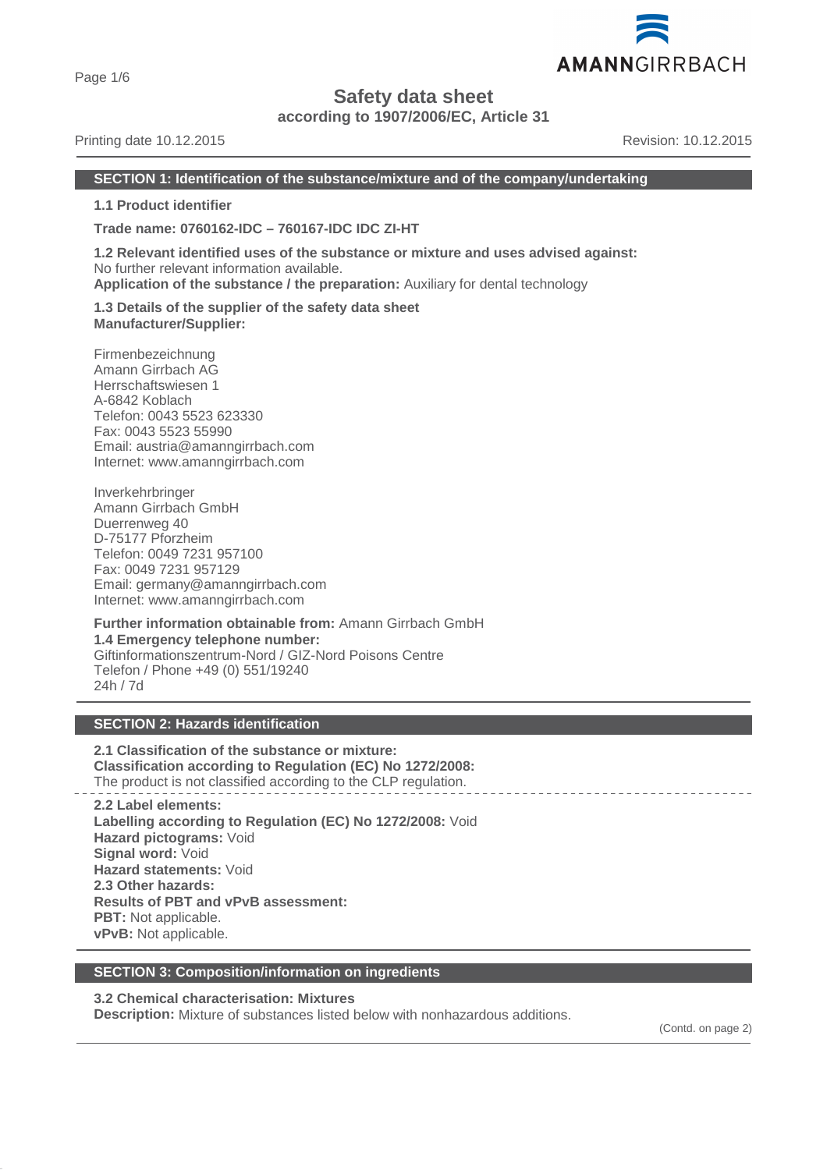Page 1/6

# **Safety data sheet**

**according to 1907/2006/EC, Article 31**

# Printing date 10.12.2015 **Revision: 10.12.2015** Revision: 10.12.2015

#### **SECTION 1: Identification of the substance/mixture and of the company/undertaking**

**1.1 Product identifier**

**Trade name: 0760162-IDC – 760167-IDC IDC ZI-HT**

**1.2 Relevant identified uses of the substance or mixture and uses advised against:** No further relevant information available. **Application of the substance / the preparation:** Auxiliary for dental technology

**1.3 Details of the supplier of the safety data sheet Manufacturer/Supplier:**

Firmenbezeichnung Amann Girrbach AG Herrschaftswiesen 1 A-6842 Koblach Telefon: 0043 5523 623330 Fax: 0043 5523 55990 Email: austria@amanngirrbach.com Internet: www.amanngirrbach.com

Inverkehrbringer Amann Girrbach GmbH Duerrenweg 40 D-75177 Pforzheim Telefon: 0049 7231 957100 Fax: 0049 7231 957129 Email: germany@amanngirrbach.com Internet: www.amanngirrbach.com

**Further information obtainable from:** Amann Girrbach GmbH **1.4 Emergency telephone number:** Giftinformationszentrum-Nord / GIZ-Nord Poisons Centre Telefon / Phone +49 (0) 551/19240 24h / 7d

# **SECTION 2: Hazards identification**

**2.1 Classification of the substance or mixture: Classification according to Regulation (EC) No 1272/2008:** The product is not classified according to the CLP regulation.

**2.2 Label elements: Labelling according to Regulation (EC) No 1272/2008:** Void **Hazard pictograms:** Void **Signal word:** Void **Hazard statements:** Void **2.3 Other hazards: Results of PBT and vPvB assessment: PBT:** Not applicable. **vPvB:** Not applicable.

# **SECTION 3: Composition/information on ingredients**

# **3.2 Chemical characterisation: Mixtures**

**Description:** Mixture of substances listed below with nonhazardous additions.

(Contd. on page 2)

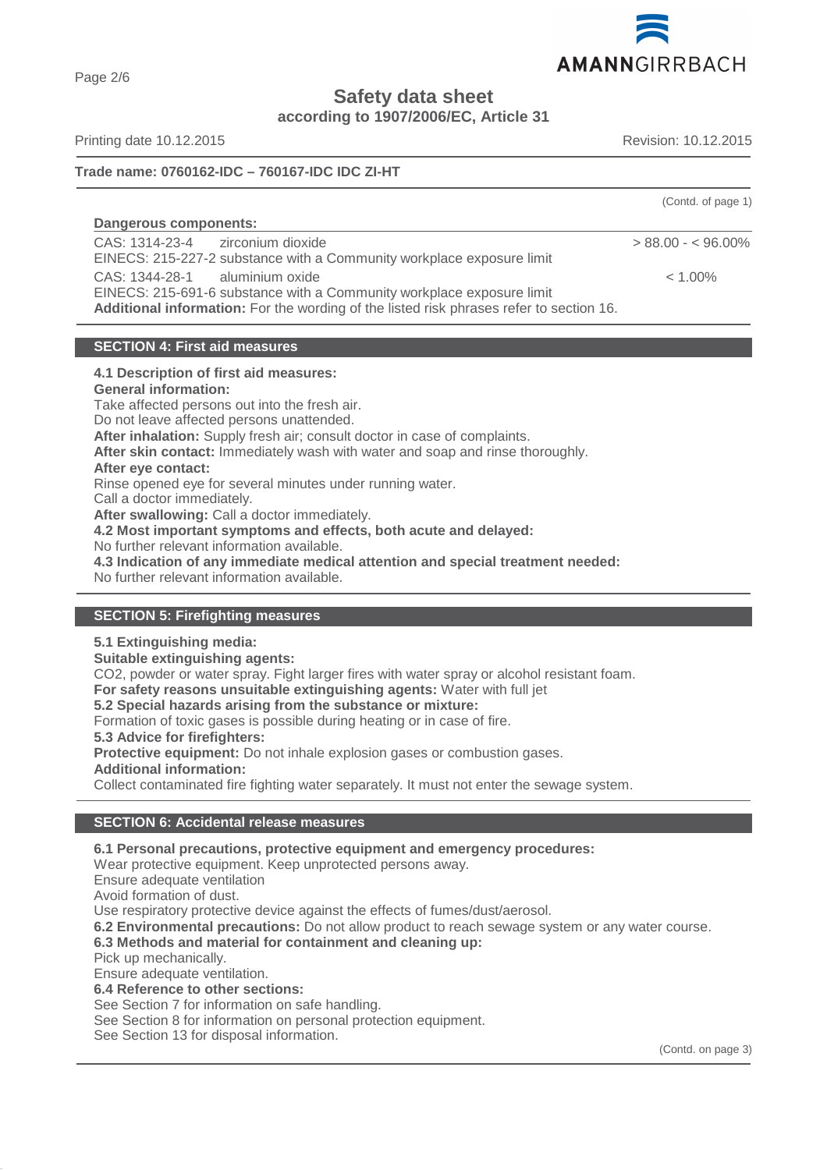

**Safety data sheet**

**according to 1907/2006/EC, Article 31**

Printing date 10.12.2015 **Revision: 10.12.2015** Revision: 10.12.2015

# **Trade name: 0760162-IDC – 760167-IDC IDC ZI-HT**

|                                                                                                                                                                                                    | (Contd. of page 1)  |
|----------------------------------------------------------------------------------------------------------------------------------------------------------------------------------------------------|---------------------|
| Dangerous components:                                                                                                                                                                              |                     |
| CAS: 1314-23-4 zirconium dioxide<br>EINECS: 215-227-2 substance with a Community workplace exposure limit                                                                                          | $> 88.00 - 5.060\%$ |
| CAS: 1344-28-1 aluminium oxide<br>EINECS: 215-691-6 substance with a Community workplace exposure limit<br>Additional information: For the wording of the listed risk phrases refer to section 16. | $< 1.00\%$          |

# **SECTION 4: First aid measures**

#### **4.1 Description of first aid measures:**

**General information:**

Take affected persons out into the fresh air.

Do not leave affected persons unattended.

**After inhalation:** Supply fresh air; consult doctor in case of complaints.

**After skin contact:** Immediately wash with water and soap and rinse thoroughly.

**After eye contact:**

Rinse opened eye for several minutes under running water.

Call a doctor immediately.

**After swallowing:** Call a doctor immediately.

**4.2 Most important symptoms and effects, both acute and delayed:**

No further relevant information available.

**4.3 Indication of any immediate medical attention and special treatment needed:**

No further relevant information available.

# **SECTION 5: Firefighting measures**

# **5.1 Extinguishing media:**

**Suitable extinguishing agents:**

CO2, powder or water spray. Fight larger fires with water spray or alcohol resistant foam.

**For safety reasons unsuitable extinguishing agents:** Water with full jet

**5.2 Special hazards arising from the substance or mixture:**

Formation of toxic gases is possible during heating or in case of fire.

**5.3 Advice for firefighters:**

**Protective equipment:** Do not inhale explosion gases or combustion gases.

**Additional information:**

Collect contaminated fire fighting water separately. It must not enter the sewage system.

# **SECTION 6: Accidental release measures**

**6.1 Personal precautions, protective equipment and emergency procedures:**

Wear protective equipment. Keep unprotected persons away.

Ensure adequate ventilation

Avoid formation of dust.

Use respiratory protective device against the effects of fumes/dust/aerosol.

**6.2 Environmental precautions:** Do not allow product to reach sewage system or any water course.

# **6.3 Methods and material for containment and cleaning up:**

Pick up mechanically.

Ensure adequate ventilation.

**6.4 Reference to other sections:**

See Section 7 for information on safe handling.

See Section 8 for information on personal protection equipment.

See Section 13 for disposal information.

(Contd. on page 3)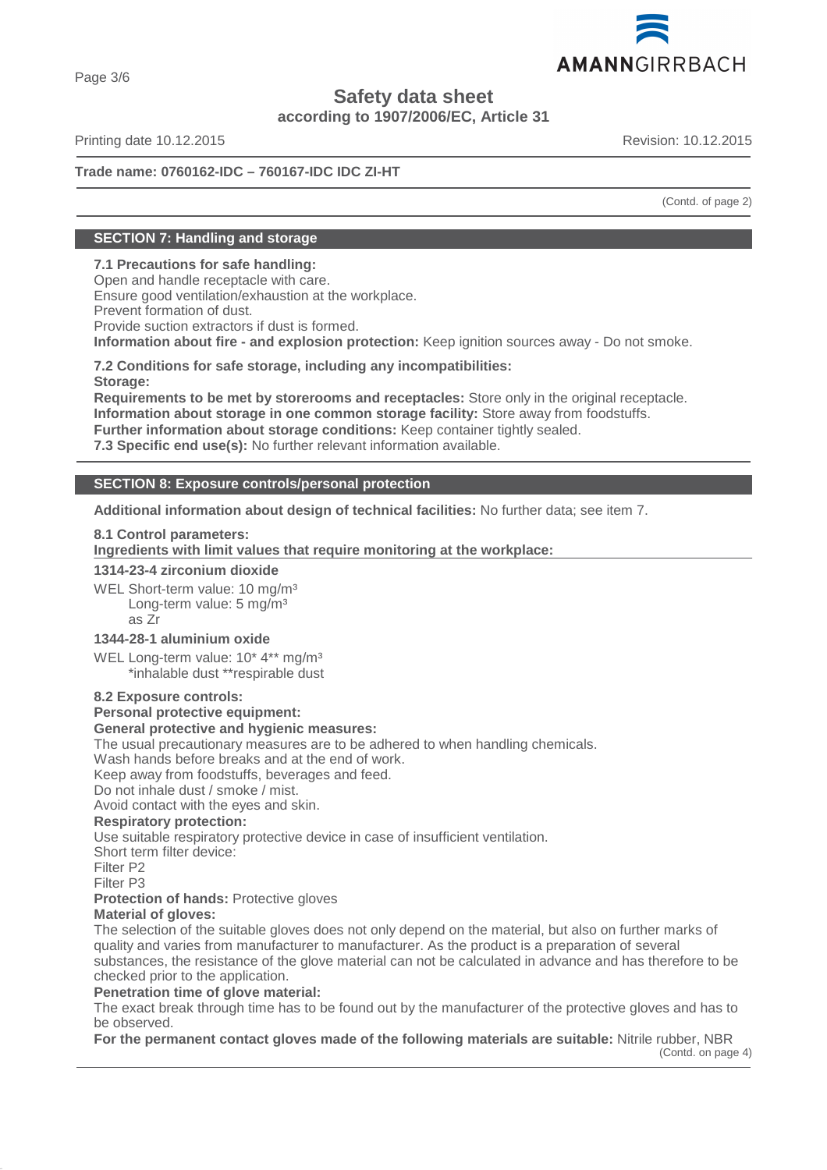

Page 3/6

# **Safety data sheet**

**according to 1907/2006/EC, Article 31**

Printing date 10.12.2015 **Revision: 10.12.2015** Revision: 10.12.2015

# **Trade name: 0760162-IDC – 760167-IDC IDC ZI-HT**

(Contd. of page 2)

# **SECTION 7: Handling and storage**

# **7.1 Precautions for safe handling:**

Open and handle receptacle with care. Ensure good ventilation/exhaustion at the workplace.

Prevent formation of dust.

Provide suction extractors if dust is formed.

**Information about fire - and explosion protection:** Keep ignition sources away - Do not smoke.

**7.2 Conditions for safe storage, including any incompatibilities: Storage:**

**Requirements to be met by storerooms and receptacles:** Store only in the original receptacle. **Information about storage in one common storage facility:** Store away from foodstuffs.

**Further information about storage conditions:** Keep container tightly sealed.

**7.3 Specific end use(s):** No further relevant information available.

# **SECTION 8: Exposure controls/personal protection**

**Additional information about design of technical facilities:** No further data; see item 7.

# **8.1 Control parameters:**

**Ingredients with limit values that require monitoring at the workplace:** 

# **1314-23-4 zirconium dioxide**

WEL Short-term value: 10 mg/m<sup>3</sup> Long-term value: 5 mg/m<sup>3</sup> as Zr

# **1344-28-1 aluminium oxide**

WEL Long-term value: 10<sup>\*</sup> 4<sup>\*\*</sup> mg/m<sup>3</sup> \*inhalable dust \*\*respirable dust

# **8.2 Exposure controls:**

# **Personal protective equipment:**

# **General protective and hygienic measures:**

The usual precautionary measures are to be adhered to when handling chemicals.

Wash hands before breaks and at the end of work.

Keep away from foodstuffs, beverages and feed.

Do not inhale dust / smoke / mist.

Avoid contact with the eyes and skin.

# **Respiratory protection:**

Use suitable respiratory protective device in case of insufficient ventilation.

Short term filter device:

Filter P2

Filter P3

**Protection of hands: Protective gloves** 

# **Material of gloves:**

The selection of the suitable gloves does not only depend on the material, but also on further marks of quality and varies from manufacturer to manufacturer. As the product is a preparation of several substances, the resistance of the glove material can not be calculated in advance and has therefore to be checked prior to the application.

# **Penetration time of glove material:**

The exact break through time has to be found out by the manufacturer of the protective gloves and has to be observed.

**For the permanent contact gloves made of the following materials are suitable:** Nitrile rubber, NBR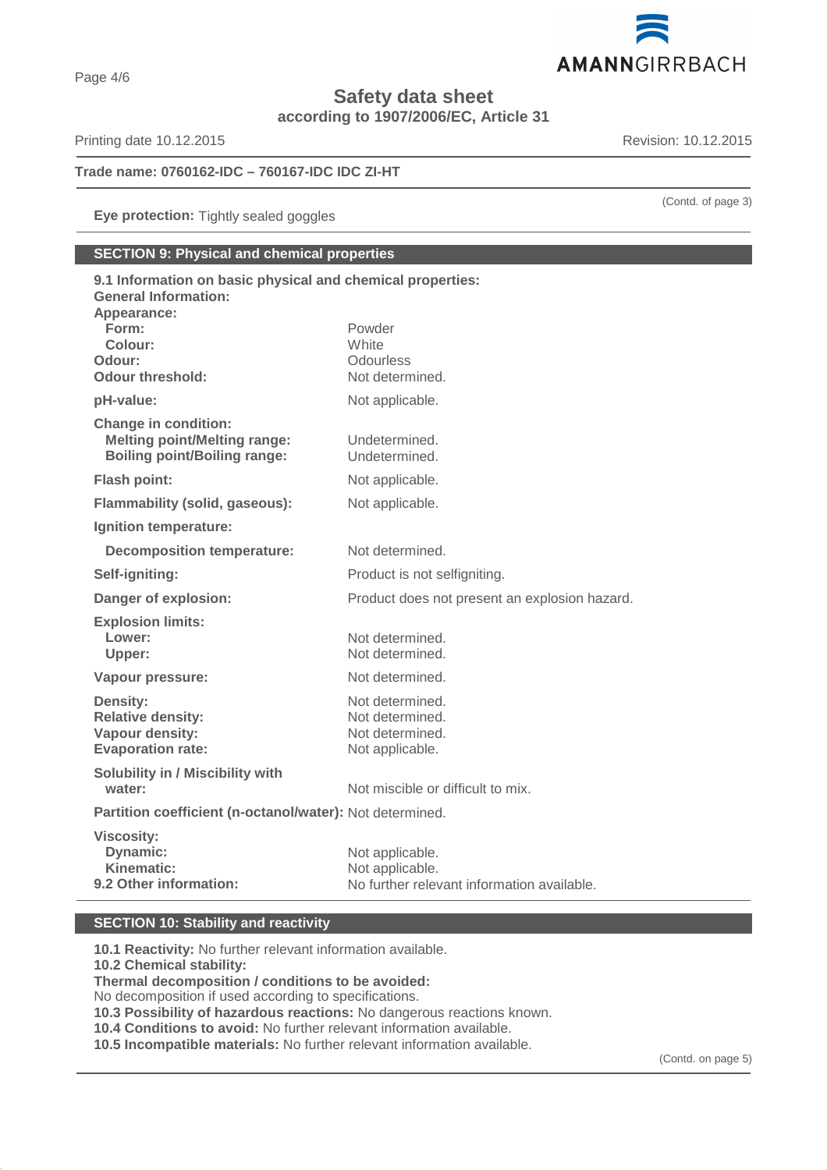

**Safety data sheet**

**according to 1907/2006/EC, Article 31**

Printing date 10.12.2015 **Revision: 10.12.2015** 

# **Trade name: 0760162-IDC – 760167-IDC IDC ZI-HT**

**Eye protection:** Tightly sealed goggles

# **SECTION 9: Physical and chemical properties**

| 9.1 Information on basic physical and chemical properties:<br><b>General Information:</b><br>Appearance: |                                               |
|----------------------------------------------------------------------------------------------------------|-----------------------------------------------|
| Form:                                                                                                    | Powder                                        |
| Colour:                                                                                                  | White                                         |
| Odour:<br>Odour threshold:                                                                               | Odourless<br>Not determined.                  |
| pH-value:                                                                                                | Not applicable.                               |
| <b>Change in condition:</b>                                                                              |                                               |
| <b>Melting point/Melting range:</b><br><b>Boiling point/Boiling range:</b>                               | Undetermined.<br>Undetermined.                |
| <b>Flash point:</b>                                                                                      | Not applicable.                               |
| <b>Flammability (solid, gaseous):</b>                                                                    | Not applicable.                               |
| Ignition temperature:                                                                                    |                                               |
| <b>Decomposition temperature:</b>                                                                        | Not determined.                               |
| Self-igniting:                                                                                           | Product is not selfigniting.                  |
| Danger of explosion:                                                                                     | Product does not present an explosion hazard. |
| <b>Explosion limits:</b>                                                                                 |                                               |
| Lower:                                                                                                   | Not determined.                               |
| Upper:                                                                                                   | Not determined.                               |
| Vapour pressure:                                                                                         | Not determined.                               |
| <b>Density:</b>                                                                                          | Not determined.                               |
| <b>Relative density:</b>                                                                                 | Not determined.                               |
| Vapour density:<br><b>Evaporation rate:</b>                                                              | Not determined.<br>Not applicable.            |
| Solubility in / Miscibility with                                                                         |                                               |
| water:                                                                                                   | Not miscible or difficult to mix.             |
| Partition coefficient (n-octanol/water): Not determined.                                                 |                                               |
| <b>Viscosity:</b>                                                                                        |                                               |
| Dynamic:                                                                                                 | Not applicable.                               |
| <b>Kinematic:</b>                                                                                        | Not applicable.                               |
| 9.2 Other information:                                                                                   | No further relevant information available.    |

# **SECTION 10: Stability and reactivity**

**10.1 Reactivity:** No further relevant information available. **10.2 Chemical stability: Thermal decomposition / conditions to be avoided:** No decomposition if used according to specifications. **10.3 Possibility of hazardous reactions:** No dangerous reactions known. **10.4 Conditions to avoid:** No further relevant information available.

**10.5 Incompatible materials:** No further relevant information available.

(Contd. of page 3)

(Contd. on page 5)

Page 4/6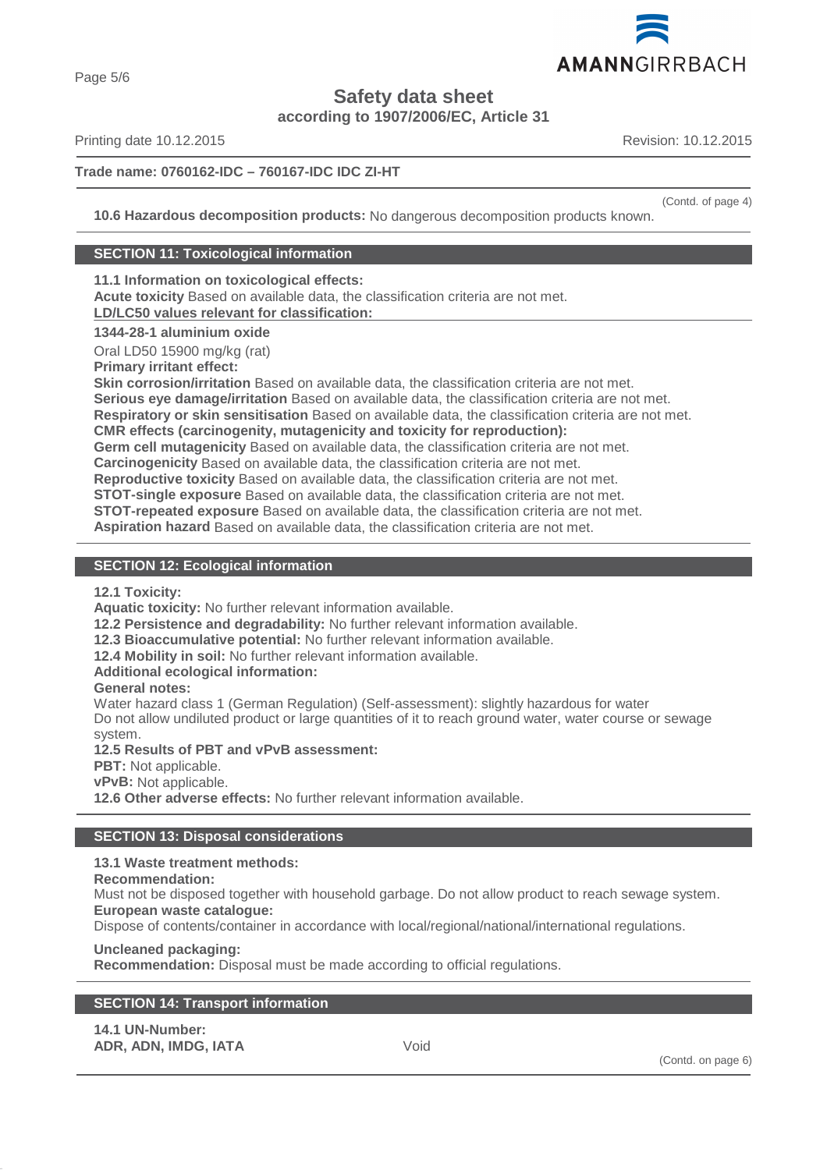

Page 5/6

**Safety data sheet**

**according to 1907/2006/EC, Article 31**

Printing date 10.12.2015 **Revision: 10.12.2015** Revision: 10.12.2015

# **Trade name: 0760162-IDC – 760167-IDC IDC ZI-HT**

(Contd. of page 4)

**10.6 Hazardous decomposition products:** No dangerous decomposition products known.

# **SECTION 11: Toxicological information**

**11.1 Information on toxicological effects:**

**Acute toxicity** Based on available data, the classification criteria are not met. **LD/LC50 values relevant for classification:** 

# **1344-28-1 aluminium oxide**

Oral LD50 15900 mg/kg (rat)

**Primary irritant effect:**

**Skin corrosion/irritation** Based on available data, the classification criteria are not met.

**Serious eye damage/irritation** Based on available data, the classification criteria are not met.

**Respiratory or skin sensitisation** Based on available data, the classification criteria are not met.

**CMR effects (carcinogenity, mutagenicity and toxicity for reproduction):**

**Germ cell mutagenicity** Based on available data, the classification criteria are not met.

**Carcinogenicity** Based on available data, the classification criteria are not met.

**Reproductive toxicity** Based on available data, the classification criteria are not met.

**STOT-single exposure** Based on available data, the classification criteria are not met.

**STOT-repeated exposure** Based on available data, the classification criteria are not met.

**Aspiration hazard** Based on available data, the classification criteria are not met.

# **SECTION 12: Ecological information**

**12.1 Toxicity:**

**Aquatic toxicity:** No further relevant information available.

**12.2 Persistence and degradability:** No further relevant information available.

**12.3 Bioaccumulative potential:** No further relevant information available.

**12.4 Mobility in soil:** No further relevant information available.

# **Additional ecological information:**

# **General notes:**

Water hazard class 1 (German Regulation) (Self-assessment): slightly hazardous for water Do not allow undiluted product or large quantities of it to reach ground water, water course or sewage system.

**12.5 Results of PBT and vPvB assessment:**

**PBT:** Not applicable.

**vPvB:** Not applicable.

**12.6 Other adverse effects:** No further relevant information available.

# **SECTION 13: Disposal considerations**

# **13.1 Waste treatment methods:**

# **Recommendation:**

Must not be disposed together with household garbage. Do not allow product to reach sewage system. **European waste catalogue:**

Dispose of contents/container in accordance with local/regional/national/international regulations.

# **Uncleaned packaging:**

**Recommendation:** Disposal must be made according to official regulations.

| <b>14.1 UN-Number:</b> |      |
|------------------------|------|
| ADR, ADN, IMDG, IATA   | Void |

(Contd. on page 6)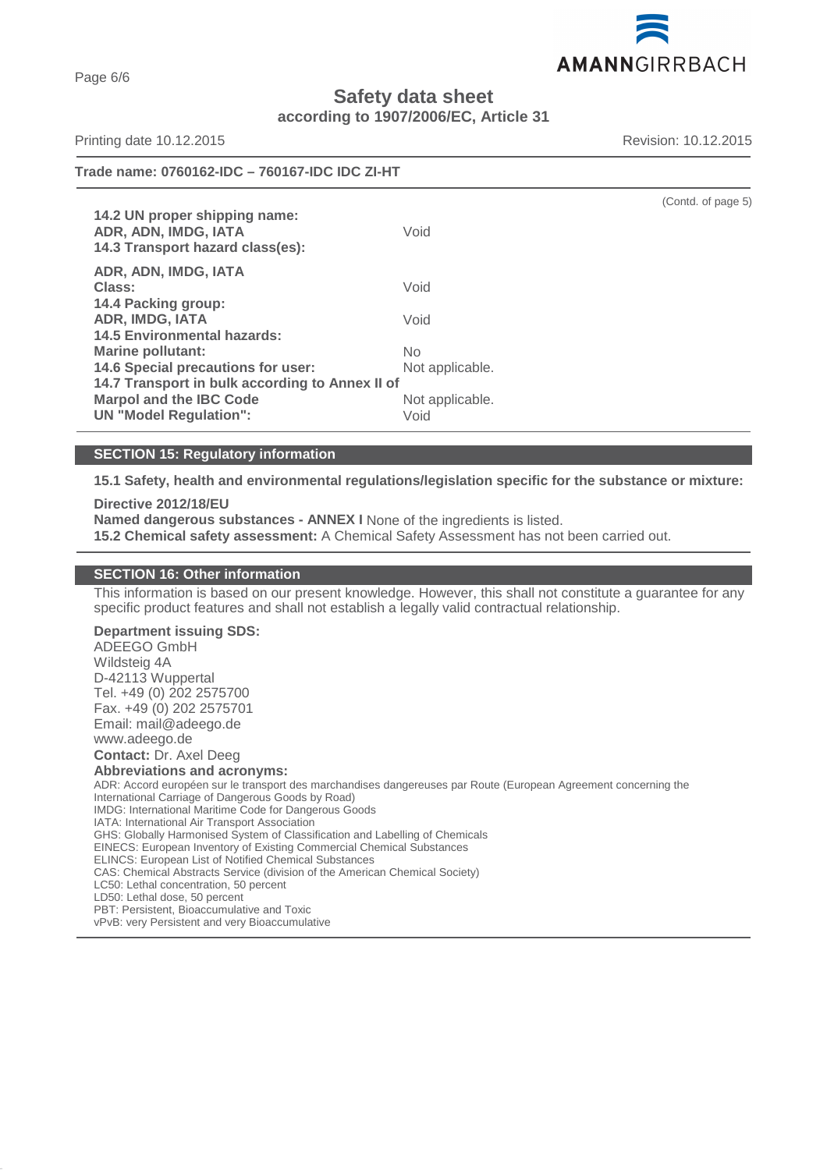AMANNGIRRBACH

**Safety data sheet**

**according to 1907/2006/EC, Article 31**

Printing date 10.12.2015 **Revision: 10.12.2015** Revision: 10.12.2015

(Contd. of page 5)

# **Trade name: 0760162-IDC – 760167-IDC IDC ZI-HT**

**14.2 UN proper shipping name: ADR, ADN, IMDG, IATA** Void **14.3 Transport hazard class(es): ADR, ADN, IMDG, IATA Class:** Void **14.4 Packing group: ADR, IMDG, IATA** Void **14.5 Environmental hazards: Marine pollutant:** No **14.6 Special precautions for user:** Not applicable. **14.7 Transport in bulk according to Annex II of Marpol and the IBC Code** Not applicable. **UN "Model Regulation":** Void

# **SECTION 15: Regulatory information**

**15.1 Safety, health and environmental regulations/legislation specific for the substance or mixture:**

#### **Directive 2012/18/EU**

**Named dangerous substances - ANNEX I** None of the ingredients is listed.

**15.2 Chemical safety assessment:** A Chemical Safety Assessment has not been carried out.

# **SECTION 16: Other information**

This information is based on our present knowledge. However, this shall not constitute a guarantee for any specific product features and shall not establish a legally valid contractual relationship.

**Department issuing SDS:**

ADEEGO GmbH Wildsteig 4A D-42113 Wuppertal Tel. +49 (0) 202 2575700 Fax. +49 (0) 202 2575701 Email: mail@adeego.de www.adeego.de

**Contact:** Dr. Axel Deeg

#### **Abbreviations and acronyms:**

ADR: Accord européen sur le transport des marchandises dangereuses par Route (European Agreement concerning the International Carriage of Dangerous Goods by Road) IMDG: International Maritime Code for Dangerous Goods IATA: International Air Transport Association GHS: Globally Harmonised System of Classification and Labelling of Chemicals EINECS: European Inventory of Existing Commercial Chemical Substances ELINCS: European List of Notified Chemical Substances CAS: Chemical Abstracts Service (division of the American Chemical Society) LC50: Lethal concentration, 50 percent LD50: Lethal dose, 50 percent PBT: Persistent, Bioaccumulative and Toxic

vPvB: very Persistent and very Bioaccumulative

Page 6/6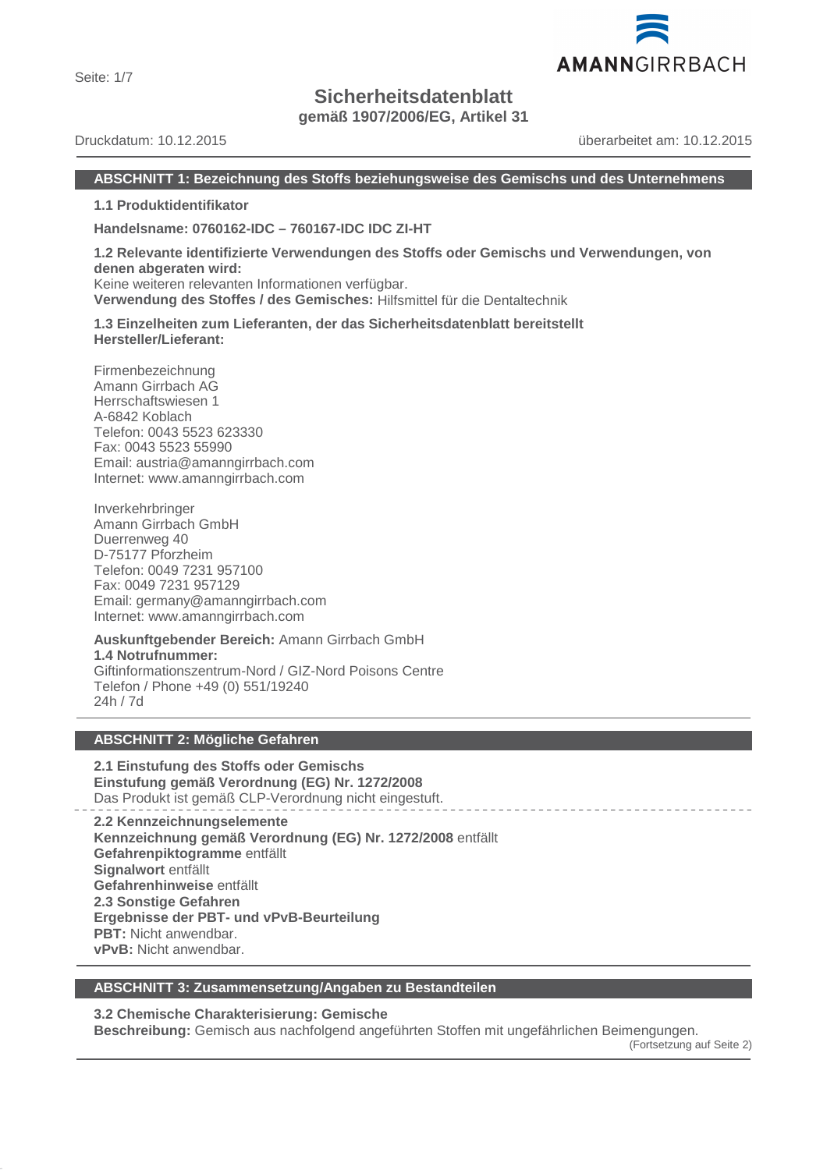Seite: 1/7

# **Sicherheitsdatenblatt**

**gemäß 1907/2006/EG, Artikel 31**

Druckdatum: 10.12.2015 überarbeitet am: 10.12.2015

# **ABSCHNITT 1: Bezeichnung des Stoffs beziehungsweise des Gemischs und des Unternehmens**

**1.1 Produktidentifikator**

**Handelsname: 0760162-IDC – 760167-IDC IDC ZI-HT**

**1.2 Relevante identifizierte Verwendungen des Stoffs oder Gemischs und Verwendungen, von denen abgeraten wird:** Keine weiteren relevanten Informationen verfügbar.

**Verwendung des Stoffes / des Gemisches:** Hilfsmittel für die Dentaltechnik

**1.3 Einzelheiten zum Lieferanten, der das Sicherheitsdatenblatt bereitstellt Hersteller/Lieferant:**

Firmenbezeichnung Amann Girrbach AG Herrschaftswiesen 1 A-6842 Koblach Telefon: 0043 5523 623330 Fax: 0043 5523 55990 Email: austria@amanngirrbach.com Internet: www.amanngirrbach.com

Inverkehrbringer Amann Girrbach GmbH Duerrenweg 40 D-75177 Pforzheim Telefon: 0049 7231 957100 Fax: 0049 7231 957129 Email: germany@amanngirrbach.com Internet: www.amanngirrbach.com

**Auskunftgebender Bereich:** Amann Girrbach GmbH **1.4 Notrufnummer:** Giftinformationszentrum-Nord / GIZ-Nord Poisons Centre Telefon / Phone +49 (0) 551/19240 24h / 7d

# **ABSCHNITT 2: Mögliche Gefahren**

**2.1 Einstufung des Stoffs oder Gemischs Einstufung gemäß Verordnung (EG) Nr. 1272/2008** Das Produkt ist gemäß CLP-Verordnung nicht eingestuft.

**2.2 Kennzeichnungselemente Kennzeichnung gemäß Verordnung (EG) Nr. 1272/2008** entfällt **Gefahrenpiktogramme** entfällt **Signalwort** entfällt **Gefahrenhinweise** entfällt **2.3 Sonstige Gefahren Ergebnisse der PBT- und vPvB-Beurteilung PBT:** Nicht anwendbar. **vPvB:** Nicht anwendbar.

# **ABSCHNITT 3: Zusammensetzung/Angaben zu Bestandteilen**

**3.2 Chemische Charakterisierung: Gemische**

**Beschreibung:** Gemisch aus nachfolgend angeführten Stoffen mit ungefährlichen Beimengungen.

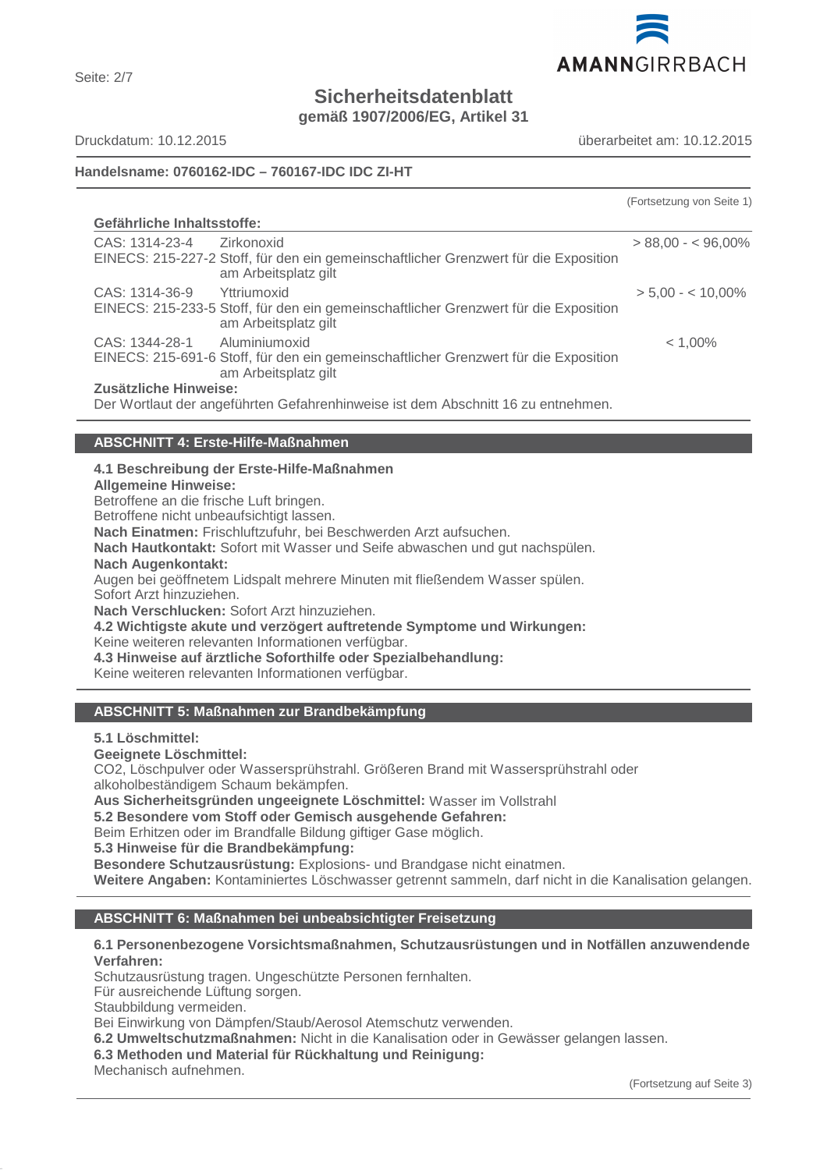

**Sicherheitsdatenblatt**

**gemäß 1907/2006/EG, Artikel 31**

Seite: 2/7

Druckdatum: 10.12.2015 überarbeitet am: 10.12.2015

# **Handelsname: 0760162-IDC – 760167-IDC IDC ZI-HT**

|                            |                                                                                                                               | (Fortsetzung von Seite 1) |
|----------------------------|-------------------------------------------------------------------------------------------------------------------------------|---------------------------|
| Gefährliche Inhaltsstoffe: |                                                                                                                               |                           |
| CAS: 1314-23-4 Zirkonoxid  | EINECS: 215-227-2 Stoff, für den ein gemeinschaftlicher Grenzwert für die Exposition<br>am Arbeitsplatz gilt                  | $> 88.00 - 5.00\%$        |
| CAS: 1314-36-9             | Yttriumoxid<br>EINECS: 215-233-5 Stoff, für den ein gemeinschaftlicher Grenzwert für die Exposition<br>am Arbeitsplatz gilt   | $> 5.00 - < 10.00\%$      |
| CAS: 1344-28-1             | Aluminiumoxid<br>EINECS: 215-691-6 Stoff, für den ein gemeinschaftlicher Grenzwert für die Exposition<br>am Arbeitsplatz gilt | $< 1,00\%$                |
| Zusätzliche Hinweise:      | Der Wortlaut der angeführten Gefahrenhinweise ist dem Abschnitt 16 zu entnehmen.                                              |                           |

# **ABSCHNITT 4: Erste-Hilfe-Maßnahmen**

**4.1 Beschreibung der Erste-Hilfe-Maßnahmen**

**Allgemeine Hinweise:**

Betroffene an die frische Luft bringen.

Betroffene nicht unbeaufsichtigt lassen.

**Nach Einatmen:** Frischluftzufuhr, bei Beschwerden Arzt aufsuchen.

**Nach Hautkontakt:** Sofort mit Wasser und Seife abwaschen und gut nachspülen.

**Nach Augenkontakt:**

Augen bei geöffnetem Lidspalt mehrere Minuten mit fließendem Wasser spülen. Sofort Arzt hinzuziehen.

**Nach Verschlucken:** Sofort Arzt hinzuziehen.

**4.2 Wichtigste akute und verzögert auftretende Symptome und Wirkungen:** Keine weiteren relevanten Informationen verfügbar. **4.3 Hinweise auf ärztliche Soforthilfe oder Spezialbehandlung:**

Keine weiteren relevanten Informationen verfügbar.

# **ABSCHNITT 5: Maßnahmen zur Brandbekämpfung**

**5.1 Löschmittel:**

**Geeignete Löschmittel:**

CO2, Löschpulver oder Wassersprühstrahl. Größeren Brand mit Wassersprühstrahl oder alkoholbeständigem Schaum bekämpfen.

**Aus Sicherheitsgründen ungeeignete Löschmittel:** Wasser im Vollstrahl

**5.2 Besondere vom Stoff oder Gemisch ausgehende Gefahren:**

Beim Erhitzen oder im Brandfalle Bildung giftiger Gase möglich.

**5.3 Hinweise für die Brandbekämpfung:**

**Besondere Schutzausrüstung:** Explosions- und Brandgase nicht einatmen.

**Weitere Angaben:** Kontaminiertes Löschwasser getrennt sammeln, darf nicht in die Kanalisation gelangen.

# **ABSCHNITT 6: Maßnahmen bei unbeabsichtigter Freisetzung**

# **6.1 Personenbezogene Vorsichtsmaßnahmen, Schutzausrüstungen und in Notfällen anzuwendende Verfahren:**

Schutzausrüstung tragen. Ungeschützte Personen fernhalten.

Für ausreichende Lüftung sorgen.

Staubbildung vermeiden.

Bei Einwirkung von Dämpfen/Staub/Aerosol Atemschutz verwenden.

**6.2 Umweltschutzmaßnahmen:** Nicht in die Kanalisation oder in Gewässer gelangen lassen.

**6.3 Methoden und Material für Rückhaltung und Reinigung:**

Mechanisch aufnehmen.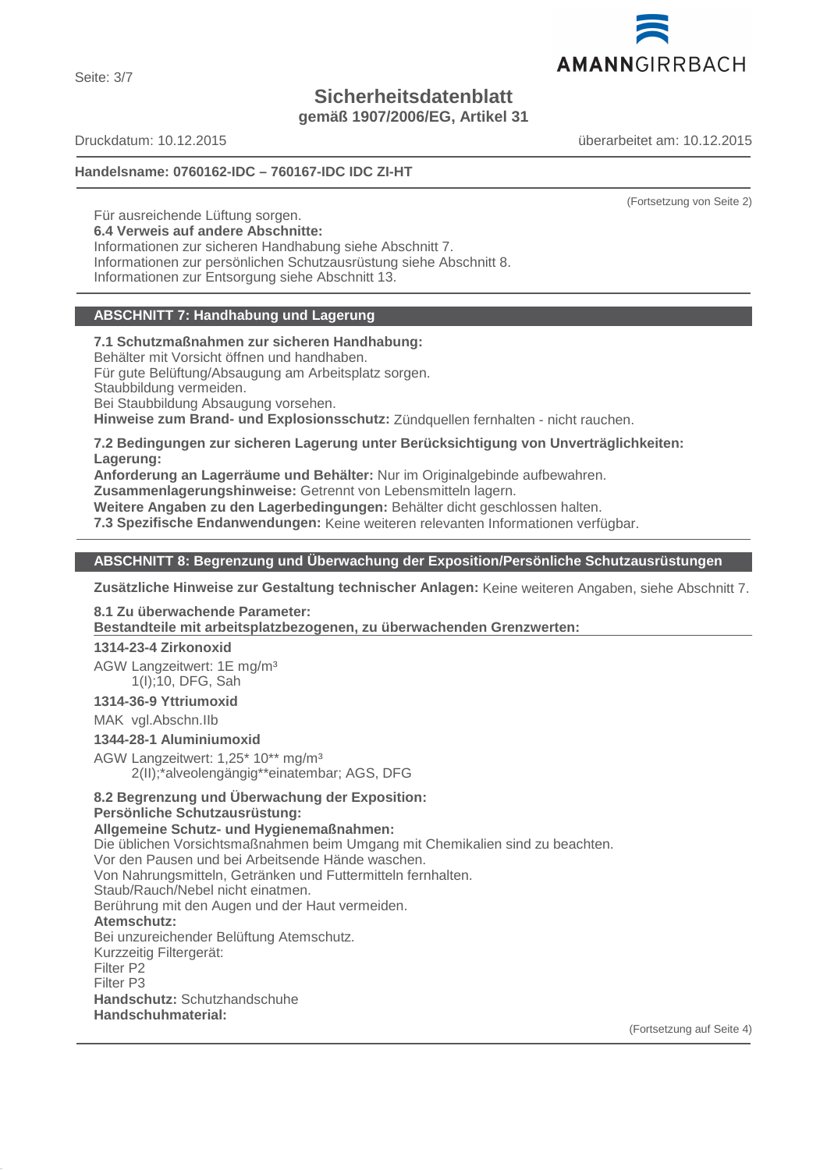Seite: 3/7

# **Sicherheitsdatenblatt**

**gemäß 1907/2006/EG, Artikel 31**

Druckdatum: 10.12.2015 überarbeitet am: 10.12.2015

**Handelsname: 0760162-IDC – 760167-IDC IDC ZI-HT**

Für ausreichende Lüftung sorgen. **6.4 Verweis auf andere Abschnitte:** Informationen zur sicheren Handhabung siehe Abschnitt 7. Informationen zur persönlichen Schutzausrüstung siehe Abschnitt 8. Informationen zur Entsorgung siehe Abschnitt 13.

# **ABSCHNITT 7: Handhabung und Lagerung**

**7.1 Schutzmaßnahmen zur sicheren Handhabung:** Behälter mit Vorsicht öffnen und handhaben. Für gute Belüftung/Absaugung am Arbeitsplatz sorgen. Staubbildung vermeiden. Bei Staubbildung Absaugung vorsehen. **Hinweise zum Brand- und Explosionsschutz:** Zündquellen fernhalten - nicht rauchen.

**7.2 Bedingungen zur sicheren Lagerung unter Berücksichtigung von Unverträglichkeiten: Lagerung:**

**Anforderung an Lagerräume und Behälter:** Nur im Originalgebinde aufbewahren.

**Zusammenlagerungshinweise:** Getrennt von Lebensmitteln lagern.

**Weitere Angaben zu den Lagerbedingungen:** Behälter dicht geschlossen halten.

**7.3 Spezifische Endanwendungen:** Keine weiteren relevanten Informationen verfügbar.

# **ABSCHNITT 8: Begrenzung und Überwachung der Exposition/Persönliche Schutzausrüstungen**

**Zusätzliche Hinweise zur Gestaltung technischer Anlagen:** Keine weiteren Angaben, siehe Abschnitt 7.

# **8.1 Zu überwachende Parameter:**

Bestandteile mit arbeitsplatzbezogenen, zu überwachenden Grenzwerten:

# **1314-23-4 Zirkonoxid**

AGW Langzeitwert: 1E mg/m³ 1(I);10, DFG, Sah

**1314-36-9 Yttriumoxid**

MAK vgl.Abschn.IIb

**1344-28-1 Aluminiumoxid**

AGW Langzeitwert: 1,25\* 10\*\* mg/m³ 2(II);\*alveolengängig\*\*einatembar; AGS, DFG

#### **8.2 Begrenzung und Überwachung der Exposition: Persönliche Schutzausrüstung:**

**Allgemeine Schutz- und Hygienemaßnahmen:** Die üblichen Vorsichtsmaßnahmen beim Umgang mit Chemikalien sind zu beachten. Vor den Pausen und bei Arbeitsende Hände waschen. Von Nahrungsmitteln, Getränken und Futtermitteln fernhalten. Staub/Rauch/Nebel nicht einatmen. Berührung mit den Augen und der Haut vermeiden. **Atemschutz:** Bei unzureichender Belüftung Atemschutz. Kurzzeitig Filtergerät: Filter P2 Filter P3 **Handschutz:** Schutzhandschuhe **Handschuhmaterial:**

(Fortsetzung auf Seite 4)



(Fortsetzung von Seite 2)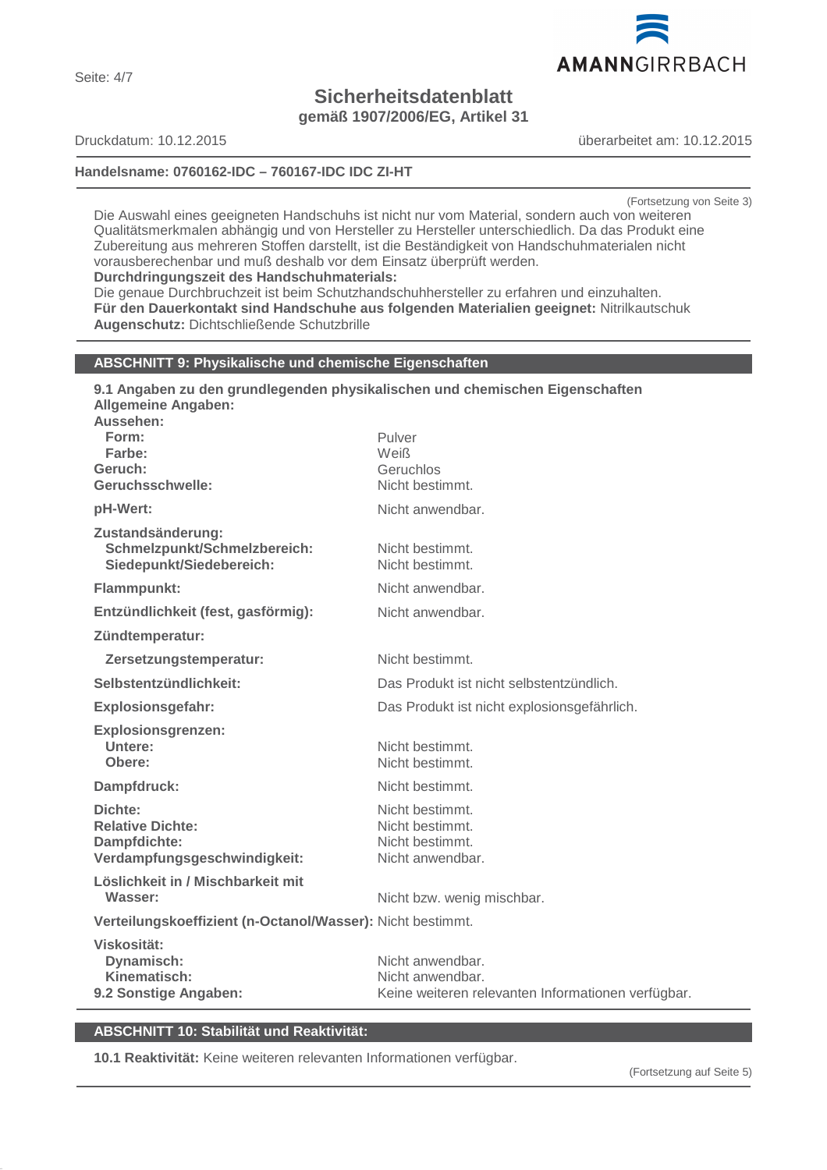

# **Sicherheitsdatenblatt gemäß 1907/2006/EG, Artikel 31**

# **Handelsname: 0760162-IDC – 760167-IDC IDC ZI-HT**

Druckdatum: 10.12.2015 überarbeitet am: 10.12.2015

(Fortsetzung von Seite 3)

Die Auswahl eines geeigneten Handschuhs ist nicht nur vom Material, sondern auch von weiteren Qualitätsmerkmalen abhängig und von Hersteller zu Hersteller unterschiedlich. Da das Produkt eine Zubereitung aus mehreren Stoffen darstellt, ist die Beständigkeit von Handschuhmaterialen nicht vorausberechenbar und muß deshalb vor dem Einsatz überprüft werden.

# **Durchdringungszeit des Handschuhmaterials:**

Die genaue Durchbruchzeit ist beim Schutzhandschuhhersteller zu erfahren und einzuhalten. **Für den Dauerkontakt sind Handschuhe aus folgenden Materialien geeignet:** Nitrilkautschuk **Augenschutz:** Dichtschließende Schutzbrille

# **ABSCHNITT 9: Physikalische und chemische Eigenschaften**

| 9.1 Angaben zu den grundlegenden physikalischen und chemischen Eigenschaften<br><b>Allgemeine Angaben:</b><br>Aussehen:<br>Form:<br>Farbe:<br>Geruch:<br>Geruchsschwelle: | Pulver<br>Weiß<br>Geruchlos<br>Nicht bestimmt.                                             |  |
|---------------------------------------------------------------------------------------------------------------------------------------------------------------------------|--------------------------------------------------------------------------------------------|--|
| pH-Wert:                                                                                                                                                                  | Nicht anwendbar.                                                                           |  |
| Zustandsänderung:<br>Schmelzpunkt/Schmelzbereich:<br>Siedepunkt/Siedebereich:                                                                                             | Nicht bestimmt.<br>Nicht bestimmt.                                                         |  |
| Flammpunkt:                                                                                                                                                               | Nicht anwendbar.                                                                           |  |
| Entzündlichkeit (fest, gasförmig):                                                                                                                                        | Nicht anwendbar.                                                                           |  |
| Zündtemperatur:                                                                                                                                                           |                                                                                            |  |
| Zersetzungstemperatur:                                                                                                                                                    | Nicht bestimmt.                                                                            |  |
| Selbstentzündlichkeit:                                                                                                                                                    | Das Produkt ist nicht selbstentzündlich.                                                   |  |
| <b>Explosionsgefahr:</b>                                                                                                                                                  | Das Produkt ist nicht explosionsgefährlich.                                                |  |
| <b>Explosionsgrenzen:</b><br>Untere:<br>Obere:                                                                                                                            | Nicht bestimmt.<br>Nicht bestimmt.                                                         |  |
| Dampfdruck:                                                                                                                                                               | Nicht bestimmt.                                                                            |  |
| Dichte:<br><b>Relative Dichte:</b><br>Dampfdichte:<br>Verdampfungsgeschwindigkeit:                                                                                        | Nicht bestimmt.<br>Nicht bestimmt.<br>Nicht bestimmt.<br>Nicht anwendbar.                  |  |
| Löslichkeit in / Mischbarkeit mit<br>Wasser:                                                                                                                              | Nicht bzw. wenig mischbar.                                                                 |  |
| Verteilungskoeffizient (n-Octanol/Wasser): Nicht bestimmt.                                                                                                                |                                                                                            |  |
| Viskosität:<br>Dynamisch:<br>Kinematisch:<br>9.2 Sonstige Angaben:                                                                                                        | Nicht anwendbar.<br>Nicht anwendbar.<br>Keine weiteren relevanten Informationen verfügbar. |  |

# **ABSCHNITT 10: Stabilität und Reaktivität:**

**10.1 Reaktivität:** Keine weiteren relevanten Informationen verfügbar.

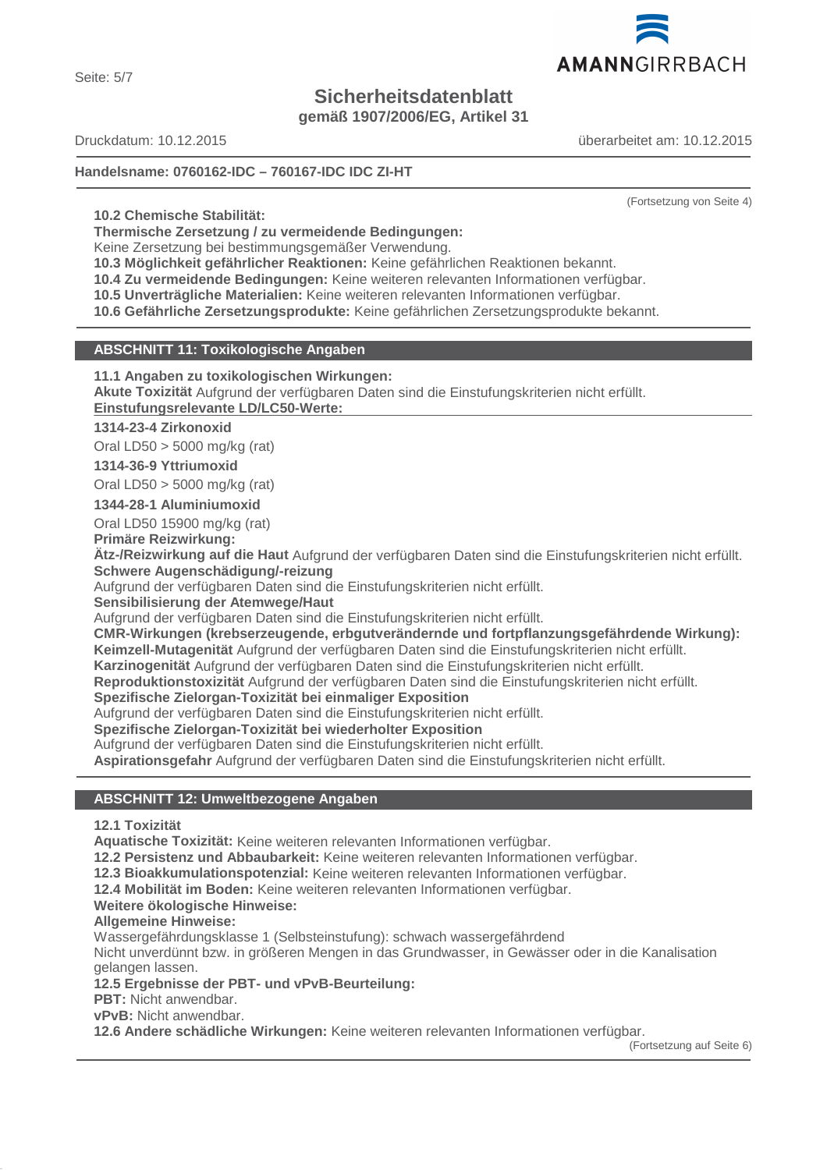Seite: 5/7

# **Sicherheitsdatenblatt**

**gemäß 1907/2006/EG, Artikel 31**

Druckdatum: 10.12.2015 überarbeitet am: 10.12.2015

# **Handelsname: 0760162-IDC – 760167-IDC IDC ZI-HT**

**10.2 Chemische Stabilität:**

**Thermische Zersetzung / zu vermeidende Bedingungen:**

Keine Zersetzung bei bestimmungsgemäßer Verwendung.

**10.3 Möglichkeit gefährlicher Reaktionen:** Keine gefährlichen Reaktionen bekannt.

**10.4 Zu vermeidende Bedingungen:** Keine weiteren relevanten Informationen verfügbar.

**10.5 Unverträgliche Materialien:** Keine weiteren relevanten Informationen verfügbar.

**10.6 Gefährliche Zersetzungsprodukte:** Keine gefährlichen Zersetzungsprodukte bekannt.

# **ABSCHNITT 11: Toxikologische Angaben**

**11.1 Angaben zu toxikologischen Wirkungen:**

**Akute Toxizität** Aufgrund der verfügbaren Daten sind die Einstufungskriterien nicht erfüllt. **Einstufungsrelevante LD/LC50-Werte:** 

# **1314-23-4 Zirkonoxid**

Oral LD50 > 5000 mg/kg (rat)

# **1314-36-9 Yttriumoxid**

Oral LD50 > 5000 mg/kg (rat)

**1344-28-1 Aluminiumoxid**

Oral LD50 15900 mg/kg (rat)

**Primäre Reizwirkung:**

**Ätz-/Reizwirkung auf die Haut** Aufgrund der verfügbaren Daten sind die Einstufungskriterien nicht erfüllt. **Schwere Augenschädigung/-reizung**

Aufgrund der verfügbaren Daten sind die Einstufungskriterien nicht erfüllt.

**Sensibilisierung der Atemwege/Haut**

Aufgrund der verfügbaren Daten sind die Einstufungskriterien nicht erfüllt.

**CMR-Wirkungen (krebserzeugende, erbgutverändernde und fortpflanzungsgefährdende Wirkung): Keimzell-Mutagenität** Aufgrund der verfügbaren Daten sind die Einstufungskriterien nicht erfüllt.

**Karzinogenität** Aufgrund der verfügbaren Daten sind die Einstufungskriterien nicht erfüllt.

**Reproduktionstoxizität** Aufgrund der verfügbaren Daten sind die Einstufungskriterien nicht erfüllt.

# **Spezifische Zielorgan-Toxizität bei einmaliger Exposition**

Aufgrund der verfügbaren Daten sind die Einstufungskriterien nicht erfüllt.

**Spezifische Zielorgan-Toxizität bei wiederholter Exposition**

Aufgrund der verfügbaren Daten sind die Einstufungskriterien nicht erfüllt.

**Aspirationsgefahr** Aufgrund der verfügbaren Daten sind die Einstufungskriterien nicht erfüllt.

# **ABSCHNITT 12: Umweltbezogene Angaben**

# **12.1 Toxizität**

**Aquatische Toxizität:** Keine weiteren relevanten Informationen verfügbar.

**12.2 Persistenz und Abbaubarkeit:** Keine weiteren relevanten Informationen verfügbar.

**12.3 Bioakkumulationspotenzial:** Keine weiteren relevanten Informationen verfügbar.

**12.4 Mobilität im Boden:** Keine weiteren relevanten Informationen verfügbar.

# **Weitere ökologische Hinweise:**

# **Allgemeine Hinweise:**

Wassergefährdungsklasse 1 (Selbsteinstufung): schwach wassergefährdend

Nicht unverdünnt bzw. in größeren Mengen in das Grundwasser, in Gewässer oder in die Kanalisation gelangen lassen.

# **12.5 Ergebnisse der PBT- und vPvB-Beurteilung:**

**PBT:** Nicht anwendbar.

**vPvB:** Nicht anwendbar.

**12.6 Andere schädliche Wirkungen:** Keine weiteren relevanten Informationen verfügbar.

(Fortsetzung auf Seite 6)



(Fortsetzung von Seite 4)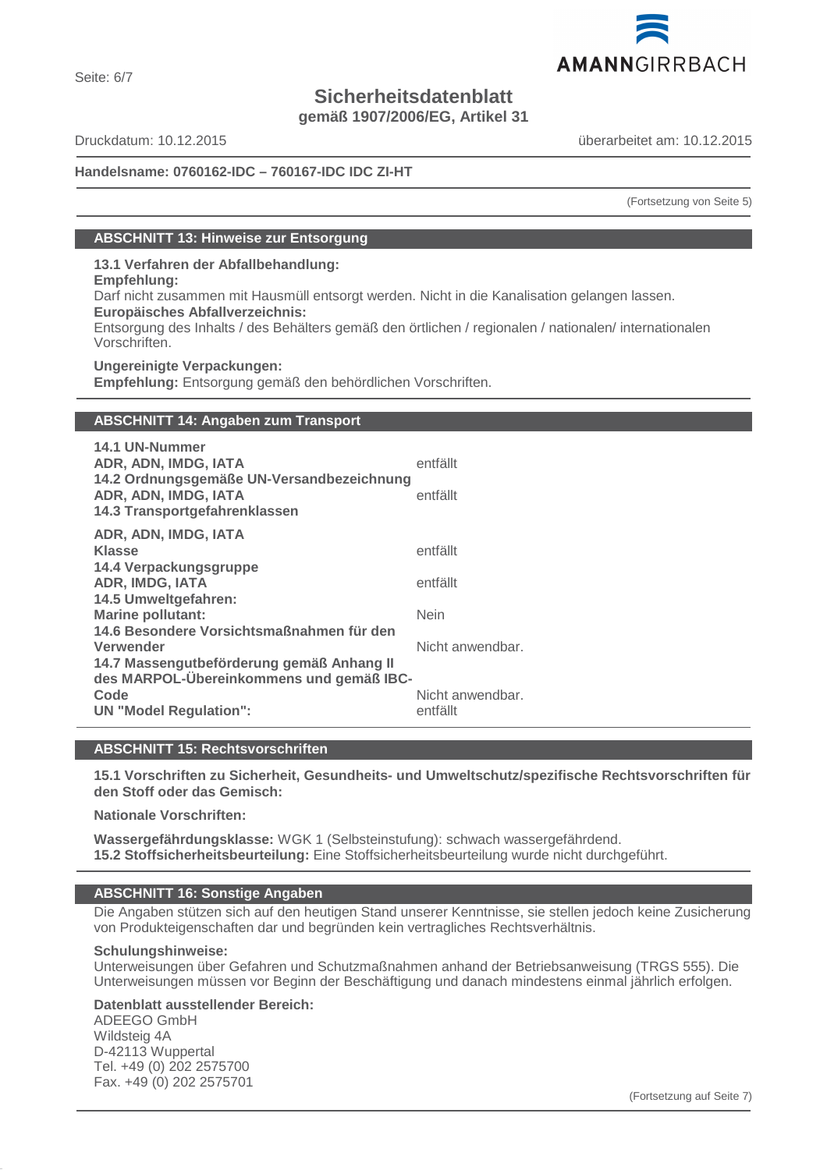

# **Sicherheitsdatenblatt**

**gemäß 1907/2006/EG, Artikel 31**

Druckdatum: 10.12.2015 überarbeitet am: 10.12.2015

Seite: 6/7

# **Handelsname: 0760162-IDC – 760167-IDC IDC ZI-HT**

(Fortsetzung von Seite 5)

# **ABSCHNITT 13: Hinweise zur Entsorgung**

**13.1 Verfahren der Abfallbehandlung:**

**Empfehlung:**

Darf nicht zusammen mit Hausmüll entsorgt werden. Nicht in die Kanalisation gelangen lassen.

**Europäisches Abfallverzeichnis:**

Entsorgung des Inhalts / des Behälters gemäß den örtlichen / regionalen / nationalen/ internationalen Vorschriften.

**Ungereinigte Verpackungen: Empfehlung:** Entsorgung gemäß den behördlichen Vorschriften.

# **ABSCHNITT 14: Angaben zum Transport**

| 14.1 UN-Nummer<br>ADR, ADN, IMDG, IATA<br>14.2 Ordnungsgemäße UN-Versandbezeichnung<br>ADR, ADN, IMDG, IATA<br>14.3 Transportgefahrenklassen | entfällt<br>entfällt         |
|----------------------------------------------------------------------------------------------------------------------------------------------|------------------------------|
| ADR, ADN, IMDG, IATA                                                                                                                         |                              |
| <b>Klasse</b>                                                                                                                                | entfällt                     |
| 14.4 Verpackungsgruppe                                                                                                                       |                              |
| ADR, IMDG, IATA                                                                                                                              | entfällt                     |
| 14.5 Umweltgefahren:                                                                                                                         |                              |
| <b>Marine pollutant:</b>                                                                                                                     | <b>Nein</b>                  |
| 14.6 Besondere Vorsichtsmaßnahmen für den<br>Verwender<br>14.7 Massengutbeförderung gemäß Anhang II                                          | Nicht anwendbar.             |
| des MARPOL-Übereinkommens und gemäß IBC-<br>Code<br><b>UN "Model Regulation":</b>                                                            | Nicht anwendbar.<br>entfällt |
|                                                                                                                                              |                              |

# **ABSCHNITT 15: Rechtsvorschriften**

**15.1 Vorschriften zu Sicherheit, Gesundheits- und Umweltschutz/spezifische Rechtsvorschriften für den Stoff oder das Gemisch:**

**Nationale Vorschriften:**

**Wassergefährdungsklasse:** WGK 1 (Selbsteinstufung): schwach wassergefährdend. **15.2 Stoffsicherheitsbeurteilung:** Eine Stoffsicherheitsbeurteilung wurde nicht durchgeführt.

# **ABSCHNITT 16: Sonstige Angaben**

Die Angaben stützen sich auf den heutigen Stand unserer Kenntnisse, sie stellen jedoch keine Zusicherung von Produkteigenschaften dar und begründen kein vertragliches Rechtsverhältnis.

# **Schulungshinweise:**

Unterweisungen über Gefahren und Schutzmaßnahmen anhand der Betriebsanweisung (TRGS 555). Die Unterweisungen müssen vor Beginn der Beschäftigung und danach mindestens einmal jährlich erfolgen.

# **Datenblatt ausstellender Bereich:**

ADEEGO GmbH Wildsteig 4A D-42113 Wuppertal Tel. +49 (0) 202 2575700 Fax. +49 (0) 202 2575701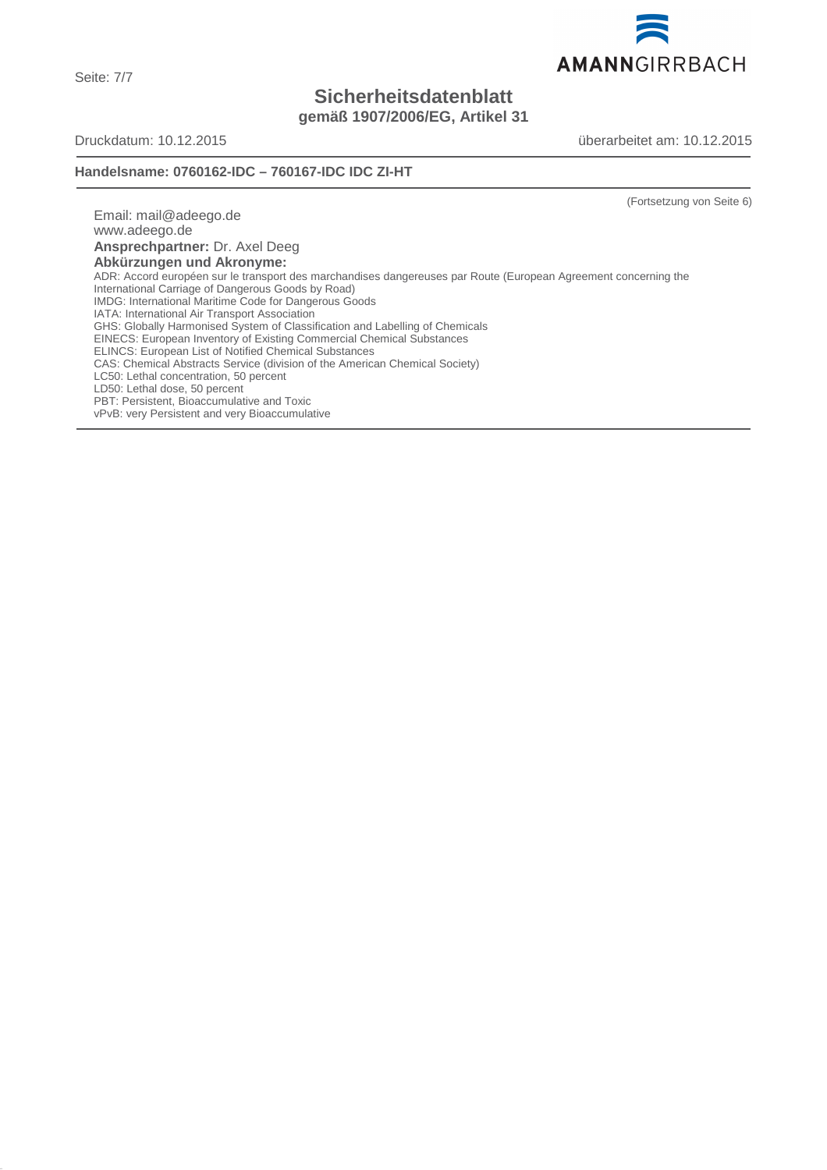Seite: 7/7

# **Sicherheitsdatenblatt gemäß 1907/2006/EG, Artikel 31**

Druckdatum: 10.12.2015 überarbeitet am: 10.12.2015

# **Handelsname: 0760162-IDC – 760167-IDC IDC ZI-HT**

(Fortsetzung von Seite 6)

Email: mail@adeego.de www.adeego.de **Ansprechpartner:** Dr. Axel Deeg **Abkürzungen und Akronyme:** ADR: Accord européen sur le transport des marchandises dangereuses par Route (European Agreement concerning the International Carriage of Dangerous Goods by Road) IMDG: International Maritime Code for Dangerous Goods IATA: International Air Transport Association GHS: Globally Harmonised System of Classification and Labelling of Chemicals EINECS: European Inventory of Existing Commercial Chemical Substances ELINCS: European List of Notified Chemical Substances CAS: Chemical Abstracts Service (division of the American Chemical Society) LC50: Lethal concentration, 50 percent LD50: Lethal dose, 50 percent PBT: Persistent, Bioaccumulative and Toxic vPvB: very Persistent and very Bioaccumulative

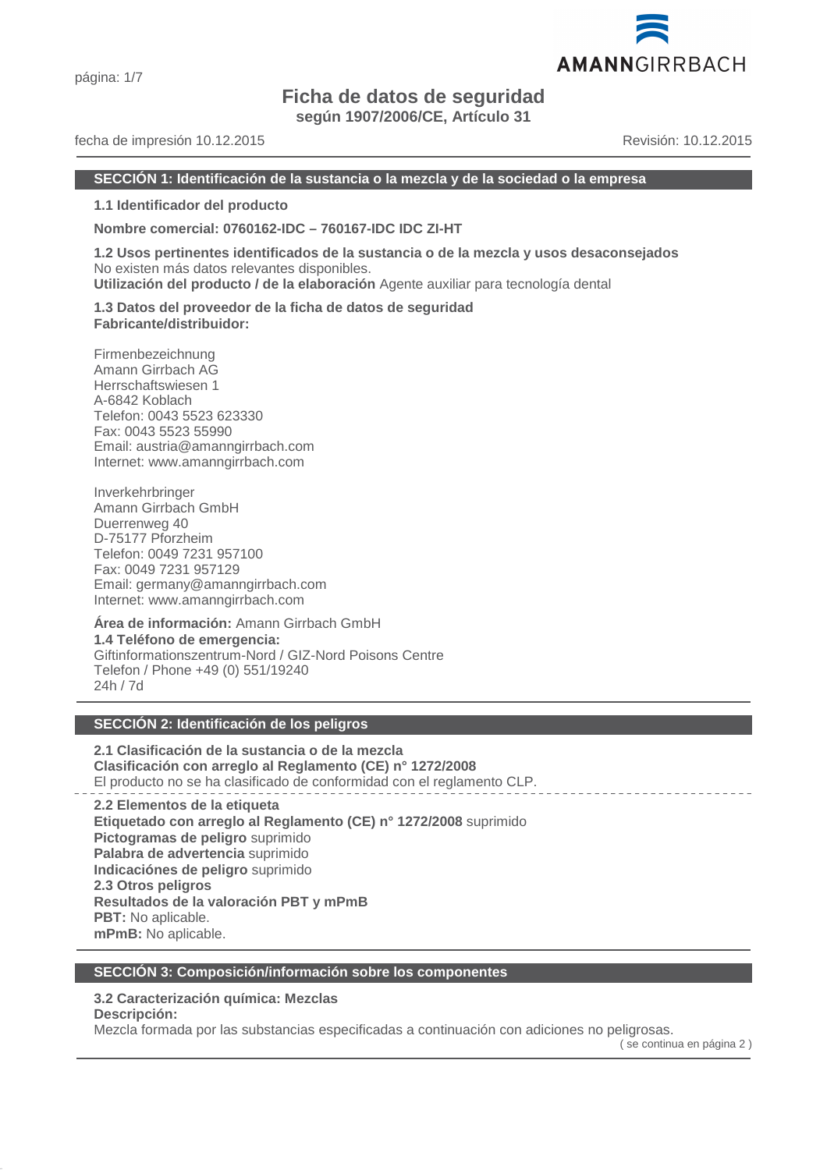# **Ficha de datos de seguridad**

**según 1907/2006/CE, Artículo 31**

# fecha de impresión 10.12.2015 Revisión: 10.12.2015

AMANNGIRRBACH

#### **SECCIÓN 1: Identificación de la sustancia o la mezcla y de la sociedad o la empresa**

**1.1 Identificador del producto**

**Nombre comercial: 0760162-IDC – 760167-IDC IDC ZI-HT**

**1.2 Usos pertinentes identificados de la sustancia o de la mezcla y usos desaconsejados** No existen más datos relevantes disponibles.

**Utilización del producto / de la elaboración** Agente auxiliar para tecnología dental

**1.3 Datos del proveedor de la ficha de datos de seguridad Fabricante/distribuidor:**

Firmenbezeichnung Amann Girrbach AG Herrschaftswiesen 1 A-6842 Koblach Telefon: 0043 5523 623330 Fax: 0043 5523 55990 Email: austria@amanngirrbach.com Internet: www.amanngirrbach.com

Inverkehrbringer Amann Girrbach GmbH Duerrenweg 40 D-75177 Pforzheim Telefon: 0049 7231 957100 Fax: 0049 7231 957129 Email: germany@amanngirrbach.com Internet: www.amanngirrbach.com

**Área de información:** Amann Girrbach GmbH **1.4 Teléfono de emergencia:** Giftinformationszentrum-Nord / GIZ-Nord Poisons Centre Telefon / Phone +49 (0) 551/19240 24h / 7d

# **SECCIÓN 2: Identificación de los peligros**

**2.1 Clasificación de la sustancia o de la mezcla Clasificación con arreglo al Reglamento (CE) n° 1272/2008** El producto no se ha clasificado de conformidad con el reglamento CLP.

**2.2 Elementos de la etiqueta Etiquetado con arreglo al Reglamento (CE) n° 1272/2008** suprimido **Pictogramas de peligro** suprimido **Palabra de advertencia** suprimido **Indicaciónes de peligro** suprimido **2.3 Otros peligros Resultados de la valoración PBT y mPmB PBT:** No aplicable. **mPmB:** No aplicable.

# **SECCIÓN 3: Composición/información sobre los componentes**

# **3.2 Caracterización química: Mezclas**

**Descripción:**

Mezcla formada por las substancias especificadas a continuación con adiciones no peligrosas.

( se continua en página 2 )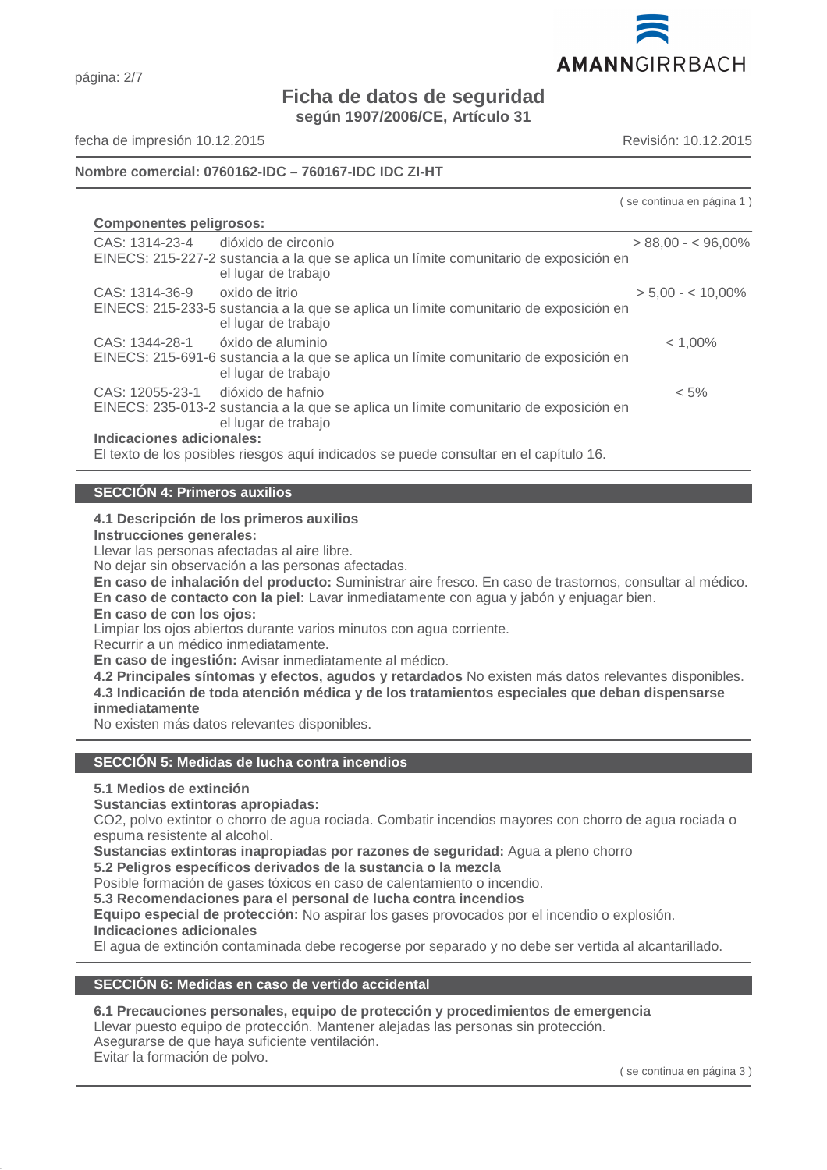

# página: 2/7

# **Ficha de datos de seguridad**

**según 1907/2006/CE, Artículo 31**

fecha de impresión 10.12.2015 Revisión: 10.12.2015

# **Nombre comercial: 0760162-IDC – 760167-IDC IDC ZI-HT**

( se continua en página 1 )

| <b>Componentes peligrosos:</b> |                                                                                                              |                      |  |
|--------------------------------|--------------------------------------------------------------------------------------------------------------|----------------------|--|
| CAS: 1314-23-4                 | dióxido de circonio                                                                                          | $> 88,00 - 596,00\%$ |  |
|                                | EINECS: 215-227-2 sustancia a la que se aplica un límite comunitario de exposición en<br>el lugar de trabajo |                      |  |
| CAS: 1314-36-9                 | oxido de itrio                                                                                               | $> 5.00 - < 10.00\%$ |  |
|                                | EINECS: 215-233-5 sustancia a la que se aplica un límite comunitario de exposición en<br>el lugar de trabajo |                      |  |
| CAS: 1344-28-1                 | óxido de aluminio                                                                                            | $< 1,00\%$           |  |
|                                | EINECS: 215-691-6 sustancia a la que se aplica un límite comunitario de exposición en<br>el lugar de trabajo |                      |  |
| CAS: 12055-23-1                | dióxido de hafnio                                                                                            | $< 5\%$              |  |
|                                | EINECS: 235-013-2 sustancia a la que se aplica un límite comunitario de exposición en<br>el lugar de trabajo |                      |  |
| Indicaciones adicionales:      |                                                                                                              |                      |  |
|                                | El texto de los posibles riesgos aquí indicados se puede consultar en el capítulo 16.                        |                      |  |

# **SECCIÓN 4: Primeros auxilios**

# **4.1 Descripción de los primeros auxilios**

**Instrucciones generales:**

Llevar las personas afectadas al aire libre.

No dejar sin observación a las personas afectadas.

**En caso de inhalación del producto:** Suministrar aire fresco. En caso de trastornos, consultar al médico.

**En caso de contacto con la piel:** Lavar inmediatamente con agua y jabón y enjuagar bien.

# **En caso de con los ojos:**

Limpiar los ojos abiertos durante varios minutos con agua corriente.

Recurrir a un médico inmediatamente.

**En caso de ingestión:** Avisar inmediatamente al médico.

**4.2 Principales síntomas y efectos, agudos y retardados** No existen más datos relevantes disponibles. **4.3 Indicación de toda atención médica y de los tratamientos especiales que deban dispensarse inmediatamente**

No existen más datos relevantes disponibles.

# **SECCIÓN 5: Medidas de lucha contra incendios**

# **5.1 Medios de extinción**

# **Sustancias extintoras apropiadas:**

CO2, polvo extintor o chorro de agua rociada. Combatir incendios mayores con chorro de agua rociada o espuma resistente al alcohol.

**Sustancias extintoras inapropiadas por razones de seguridad:** Agua a pleno chorro

# **5.2 Peligros específicos derivados de la sustancia o la mezcla**

Posible formación de gases tóxicos en caso de calentamiento o incendio.

**5.3 Recomendaciones para el personal de lucha contra incendios**

**Equipo especial de protección:** No aspirar los gases provocados por el incendio o explosión.

# **Indicaciones adicionales**

El agua de extinción contaminada debe recogerse por separado y no debe ser vertida al alcantarillado.

# **SECCIÓN 6: Medidas en caso de vertido accidental**

# **6.1 Precauciones personales, equipo de protección y procedimientos de emergencia**

Llevar puesto equipo de protección. Mantener alejadas las personas sin protección.

# Asegurarse de que haya suficiente ventilación.

Evitar la formación de polvo.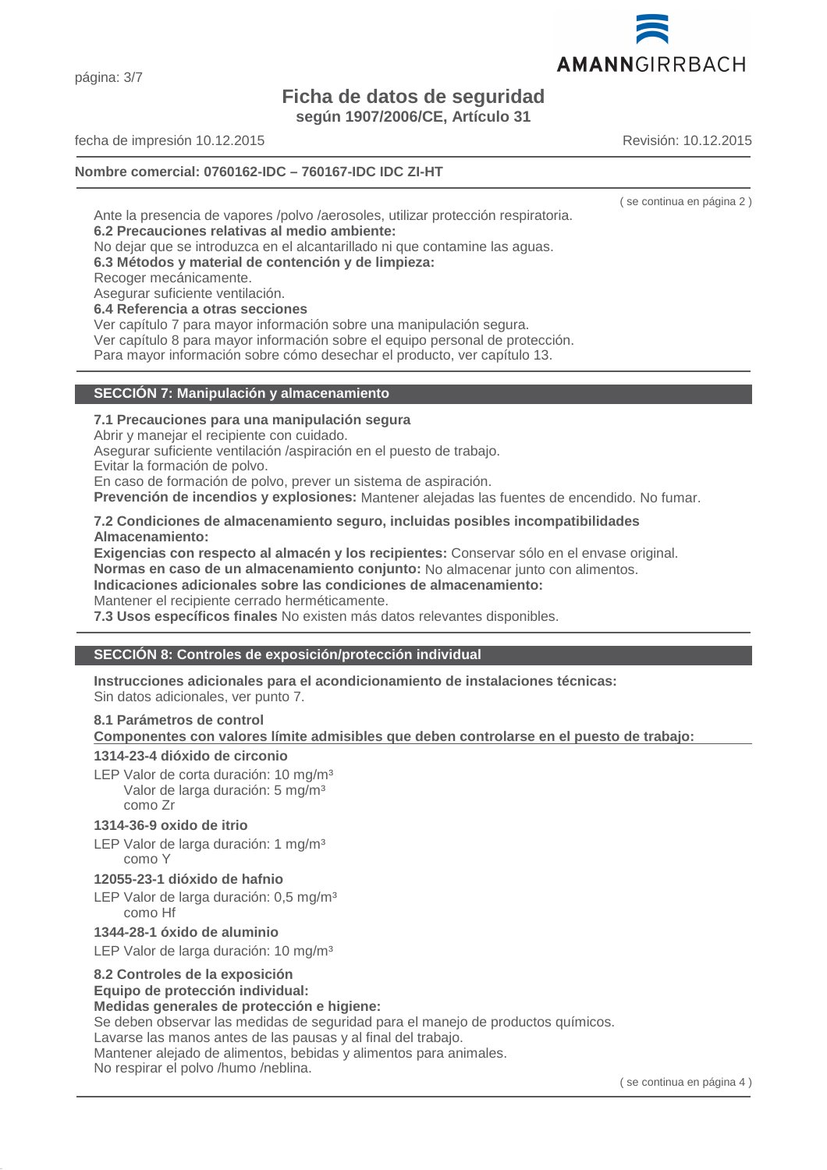página: 3/7

# **Ficha de datos de seguridad**

**según 1907/2006/CE, Artículo 31**

fecha de impresión 10.12.2015 Revisión: 10.12.2015

# **Nombre comercial: 0760162-IDC – 760167-IDC IDC ZI-HT**

Ante la presencia de vapores /polvo /aerosoles, utilizar protección respiratoria. **6.2 Precauciones relativas al medio ambiente:**

No dejar que se introduzca en el alcantarillado ni que contamine las aguas.

**6.3 Métodos y material de contención y de limpieza:**

Recoger mecánicamente.

Asegurar suficiente ventilación.

# **6.4 Referencia a otras secciones**

Ver capítulo 7 para mayor información sobre una manipulación segura.

Ver capítulo 8 para mayor información sobre el equipo personal de protección. Para mayor información sobre cómo desechar el producto, ver capítulo 13.

# **SECCIÓN 7: Manipulación y almacenamiento**

# **7.1 Precauciones para una manipulación segura**

Abrir y manejar el recipiente con cuidado.

Asegurar suficiente ventilación /aspiración en el puesto de trabajo.

Evitar la formación de polvo.

En caso de formación de polvo, prever un sistema de aspiración.

**Prevención de incendios y explosiones:** Mantener alejadas las fuentes de encendido. No fumar.

# **7.2 Condiciones de almacenamiento seguro, incluidas posibles incompatibilidades Almacenamiento:**

**Exigencias con respecto al almacén y los recipientes:** Conservar sólo en el envase original. **Normas en caso de un almacenamiento conjunto:** No almacenar junto con alimentos.

**Indicaciones adicionales sobre las condiciones de almacenamiento:**

Mantener el recipiente cerrado herméticamente.

**7.3 Usos específicos finales** No existen más datos relevantes disponibles.

# **SECCIÓN 8: Controles de exposición/protección individual**

**Instrucciones adicionales para el acondicionamiento de instalaciones técnicas:**

Sin datos adicionales, ver punto 7.

# **8.1 Parámetros de control**

**Componentes con valores límite admisibles que deben controlarse en el puesto de trabajo:** 

# **1314-23-4 dióxido de circonio**

LEP Valor de corta duración: 10 mg/m<sup>3</sup> Valor de larga duración: 5 mg/m<sup>3</sup> como Zr

# **1314-36-9 oxido de itrio**

LEP Valor de larga duración: 1 mg/m<sup>3</sup> como Y

# **12055-23-1 dióxido de hafnio**

LEP Valor de larga duración: 0,5 mg/m<sup>3</sup> como Hf

# **1344-28-1 óxido de aluminio**

LEP Valor de larga duración: 10 mg/m<sup>3</sup>

# **8.2 Controles de la exposición**

# **Equipo de protección individual:**

# **Medidas generales de protección e higiene:**

Se deben observar las medidas de seguridad para el manejo de productos químicos.

Lavarse las manos antes de las pausas y al final del trabajo.

Mantener alejado de alimentos, bebidas y alimentos para animales.

No respirar el polvo /humo /neblina.



( se continua en página 2 )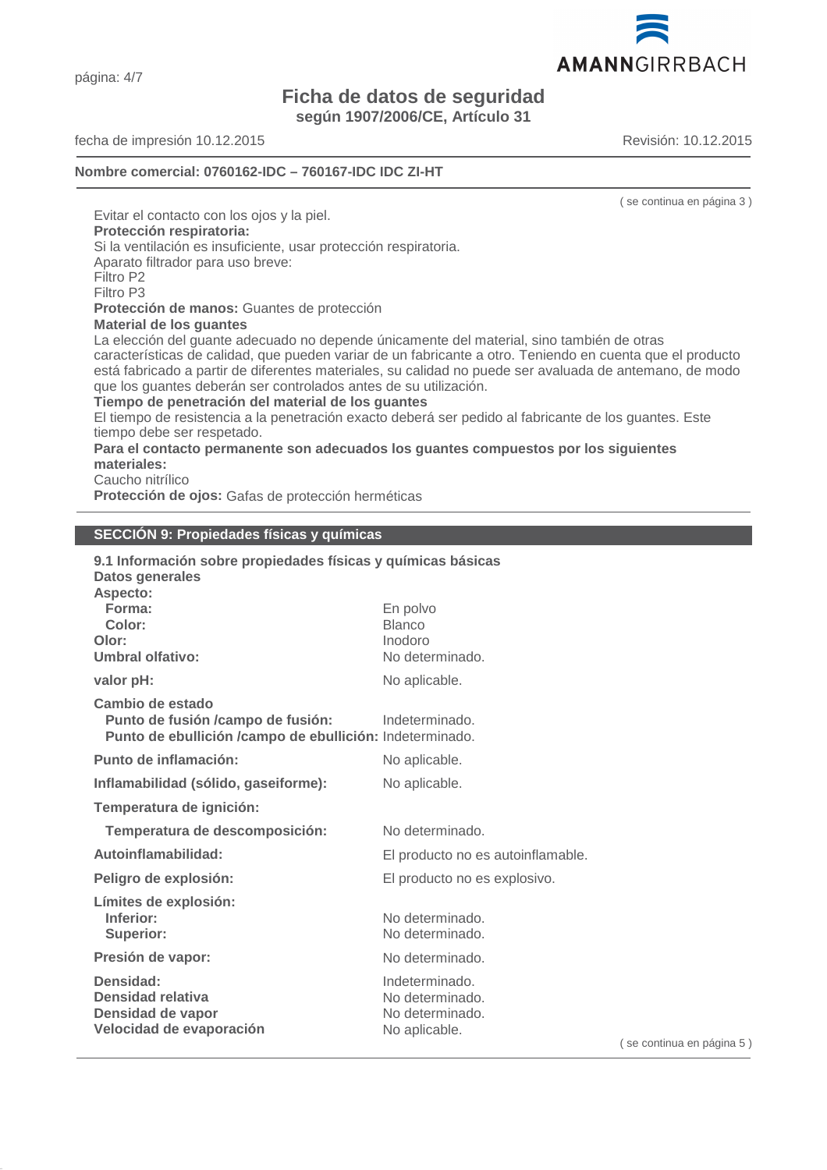página: 4/7

# **Ficha de datos de seguridad**

**según 1907/2006/CE, Artículo 31**

fecha de impresión 10.12.2015 Revisión: 10.12.2015

# **Nombre comercial: 0760162-IDC – 760167-IDC IDC ZI-HT**

( se continua en página 3 ) Evitar el contacto con los ojos y la piel. **Protección respiratoria:** Si la ventilación es insuficiente, usar protección respiratoria. Aparato filtrador para uso breve: Filtro P2 Filtro P3 **Protección de manos:** Guantes de protección **Material de los guantes** La elección del guante adecuado no depende únicamente del material, sino también de otras características de calidad, que pueden variar de un fabricante a otro. Teniendo en cuenta que el producto está fabricado a partir de diferentes materiales, su calidad no puede ser avaluada de antemano, de modo que los guantes deberán ser controlados antes de su utilización. **Tiempo de penetración del material de los guantes** El tiempo de resistencia a la penetración exacto deberá ser pedido al fabricante de los guantes. Este tiempo debe ser respetado.

**Para el contacto permanente son adecuados los guantes compuestos por los siguientes materiales:**

Caucho nitrílico

**Protección de ojos:** Gafas de protección herméticas

# **SECCIÓN 9: Propiedades físicas y químicas**

| 9.1 Información sobre propiedades físicas y químicas básicas<br>Datos generales                                   |                                                                       |     |
|-------------------------------------------------------------------------------------------------------------------|-----------------------------------------------------------------------|-----|
| Aspecto:<br>Forma:<br>Color:<br>Olor:<br><b>Umbral olfativo:</b>                                                  | En polvo<br><b>Blanco</b><br>Inodoro<br>No determinado.               |     |
| valor pH:                                                                                                         | No aplicable.                                                         |     |
| Cambio de estado<br>Punto de fusión /campo de fusión:<br>Punto de ebullición /campo de ebullición: Indeterminado. | Indeterminado.                                                        |     |
| Punto de inflamación:                                                                                             | No aplicable.                                                         |     |
| Inflamabilidad (sólido, gaseiforme):                                                                              | No aplicable.                                                         |     |
| Temperatura de ignición:                                                                                          |                                                                       |     |
| Temperatura de descomposición:                                                                                    | No determinado.                                                       |     |
| Autoinflamabilidad:                                                                                               | El producto no es autoinflamable.                                     |     |
| Peligro de explosión:                                                                                             | El producto no es explosivo.                                          |     |
| Límites de explosión:<br>Inferior:<br><b>Superior:</b>                                                            | No determinado.<br>No determinado.                                    |     |
| Presión de vapor:                                                                                                 | No determinado.                                                       |     |
| Densidad:<br>Densidad relativa<br>Densidad de vapor<br>Velocidad de evaporación                                   | Indeterminado.<br>No determinado.<br>No determinado.<br>No aplicable. | (se |



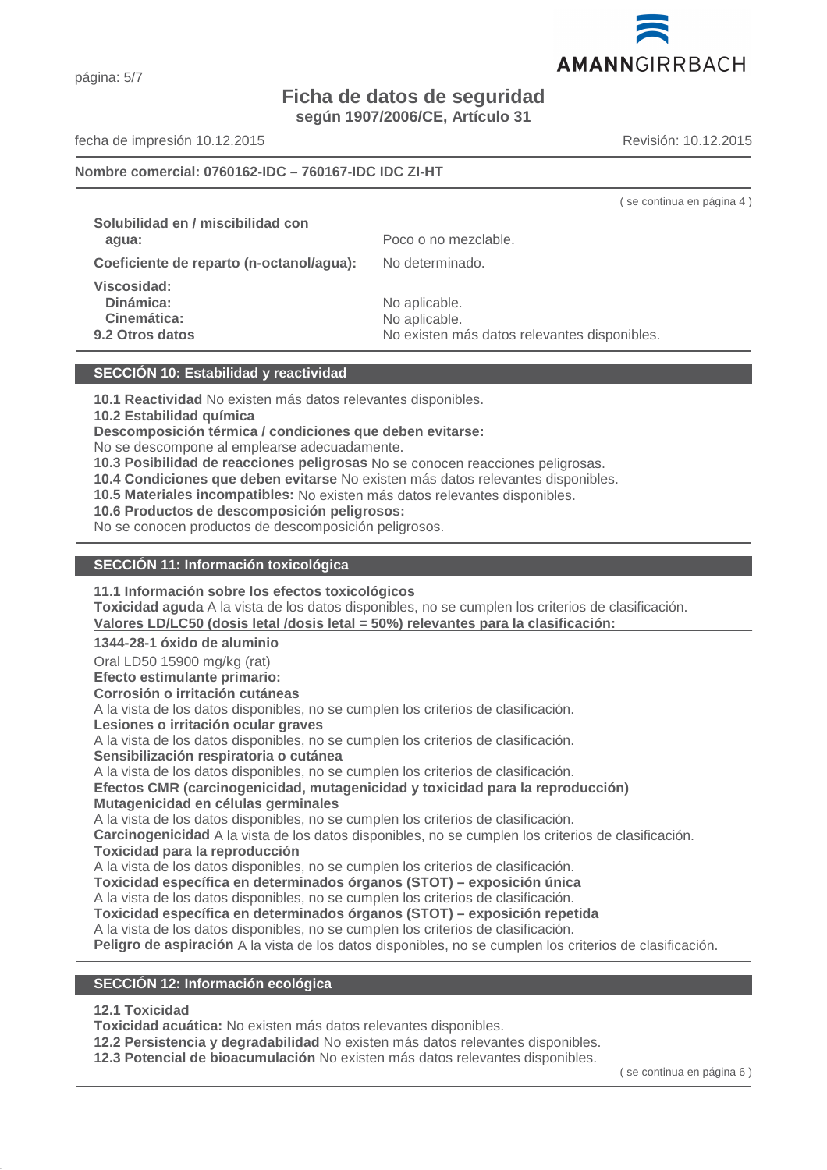# **Ficha de datos de seguridad**

**según 1907/2006/CE, Artículo 31**

fecha de impresión 10.12.2015 Revisión: 10.12.2015

#### **Nombre comercial: 0760162-IDC – 760167-IDC IDC ZI-HT**

|                                                            | _______________________                                                        |
|------------------------------------------------------------|--------------------------------------------------------------------------------|
| Solubilidad en / miscibilidad con<br>agua:                 | Poco o no mezclable.                                                           |
| Coeficiente de reparto (n-octanol/agua):                   | No determinado.                                                                |
| Viscosidad:<br>Dinámica:<br>Cinemática:<br>9.2 Otros datos | No aplicable.<br>No aplicable.<br>No existen más datos relevantes disponibles. |
|                                                            |                                                                                |

# **SECCIÓN 10: Estabilidad y reactividad**

**10.1 Reactividad** No existen más datos relevantes disponibles.

**10.2 Estabilidad química**

**Descomposición térmica / condiciones que deben evitarse:**

No se descompone al emplearse adecuadamente.

**10.3 Posibilidad de reacciones peligrosas** No se conocen reacciones peligrosas.

**10.4 Condiciones que deben evitarse** No existen más datos relevantes disponibles.

**10.5 Materiales incompatibles:** No existen más datos relevantes disponibles.

**10.6 Productos de descomposición peligrosos:**

No se conocen productos de descomposición peligrosos.

#### **SECCIÓN 11: Información toxicológica**

**11.1 Información sobre los efectos toxicológicos**

**Toxicidad aguda** A la vista de los datos disponibles, no se cumplen los criterios de clasificación. Valores LD/LC50 (dosis letal /dosis letal = 50%) relevantes para la clasificación:

**1344-28-1 óxido de aluminio**

Oral LD50 15900 mg/kg (rat)

**Efecto estimulante primario:**

**Corrosión o irritación cutáneas**

A la vista de los datos disponibles, no se cumplen los criterios de clasificación.

**Lesiones o irritación ocular graves**

A la vista de los datos disponibles, no se cumplen los criterios de clasificación.

**Sensibilización respiratoria o cutánea**

A la vista de los datos disponibles, no se cumplen los criterios de clasificación.

**Efectos CMR (carcinogenicidad, mutagenicidad y toxicidad para la reproducción) Mutagenicidad en células germinales**

A la vista de los datos disponibles, no se cumplen los criterios de clasificación.

**Carcinogenicidad** A la vista de los datos disponibles, no se cumplen los criterios de clasificación. **Toxicidad para la reproducción**

A la vista de los datos disponibles, no se cumplen los criterios de clasificación.

**Toxicidad específica en determinados órganos (STOT) – exposición única**

A la vista de los datos disponibles, no se cumplen los criterios de clasificación.

**Toxicidad específica en determinados órganos (STOT) – exposición repetida**

A la vista de los datos disponibles, no se cumplen los criterios de clasificación.

**Peligro de aspiración** A la vista de los datos disponibles, no se cumplen los criterios de clasificación.

#### **SECCIÓN 12: Información ecológica**

# **12.1 Toxicidad**

**Toxicidad acuática:** No existen más datos relevantes disponibles.

**12.2 Persistencia y degradabilidad** No existen más datos relevantes disponibles.

**12.3 Potencial de bioacumulación** No existen más datos relevantes disponibles.

( se continua en página 6 )



( se continua en página 4 )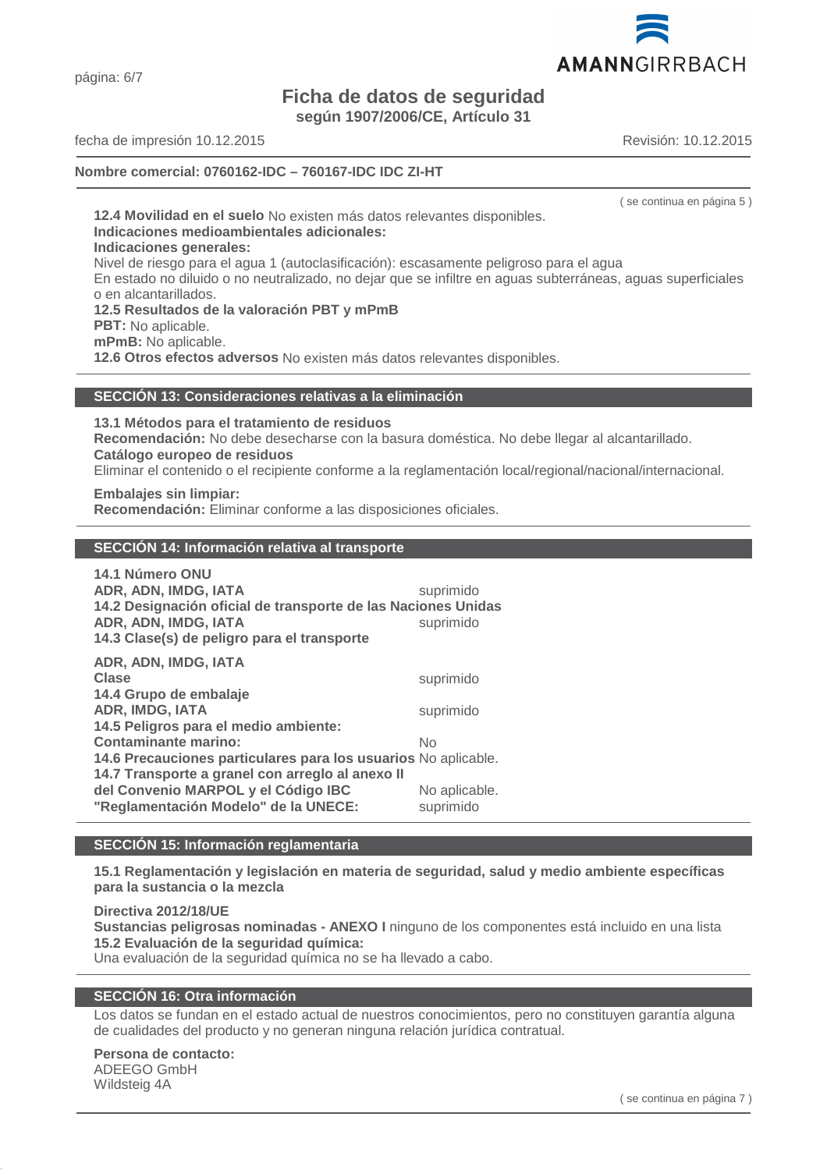página: 6/7

# **Ficha de datos de seguridad**

**según 1907/2006/CE, Artículo 31**

fecha de impresión 10.12.2015 Revisión: 10.12.2015

# **Nombre comercial: 0760162-IDC – 760167-IDC IDC ZI-HT**

( se continua en página 5 )

**12.4 Movilidad en el suelo** No existen más datos relevantes disponibles. **Indicaciones medioambientales adicionales: Indicaciones generales:** Nivel de riesgo para el agua 1 (autoclasificación): escasamente peligroso para el agua En estado no diluido o no neutralizado, no dejar que se infiltre en aguas subterráneas, aguas superficiales o en alcantarillados. **12.5 Resultados de la valoración PBT y mPmB PBT:** No aplicable. **mPmB:** No aplicable. **12.6 Otros efectos adversos** No existen más datos relevantes disponibles.

# **SECCIÓN 13: Consideraciones relativas a la eliminación**

**13.1 Métodos para el tratamiento de residuos**

**Recomendación:** No debe desecharse con la basura doméstica. No debe llegar al alcantarillado. **Catálogo europeo de residuos**

Eliminar el contenido o el recipiente conforme a la reglamentación local/regional/nacional/internacional.

**Embalajes sin limpiar: Recomendación:** Eliminar conforme a las disposiciones oficiales.

# **SECCIÓN 14: Información relativa al transporte**

| 14.1 Número ONU                                                |               |
|----------------------------------------------------------------|---------------|
| ADR, ADN, IMDG, IATA                                           | suprimido     |
| 14.2 Designación oficial de transporte de las Naciones Unidas  |               |
| ADR, ADN, IMDG, IATA                                           | suprimido     |
| 14.3 Clase(s) de peligro para el transporte                    |               |
| ADR, ADN, IMDG, IATA                                           |               |
| Clase                                                          | suprimido     |
| 14.4 Grupo de embalaje                                         |               |
| <b>ADR, IMDG, IATA</b>                                         | suprimido     |
| 14.5 Peligros para el medio ambiente:                          |               |
| <b>Contaminante marino:</b>                                    | No            |
| 14.6 Precauciones particulares para los usuarios No aplicable. |               |
| 14.7 Transporte a granel con arregio al anexo II               |               |
| del Convenio MARPOL y el Código IBC                            | No aplicable. |
| "Reglamentación Modelo" de la UNECE:                           | suprimido     |

# **SECCIÓN 15: Información reglamentaria**

**15.1 Reglamentación y legislación en materia de seguridad, salud y medio ambiente específicas para la sustancia o la mezcla**

**Directiva 2012/18/UE**

**Sustancias peligrosas nominadas - ANEXO I** ninguno de los componentes está incluido en una lista **15.2 Evaluación de la seguridad química:**

Una evaluación de la seguridad química no se ha llevado a cabo.

# **SECCIÓN 16: Otra información**

Los datos se fundan en el estado actual de nuestros conocimientos, pero no constituyen garantía alguna de cualidades del producto y no generan ninguna relación jurídica contratual.

# **Persona de contacto:**

ADEEGO GmbH Wildsteig 4A

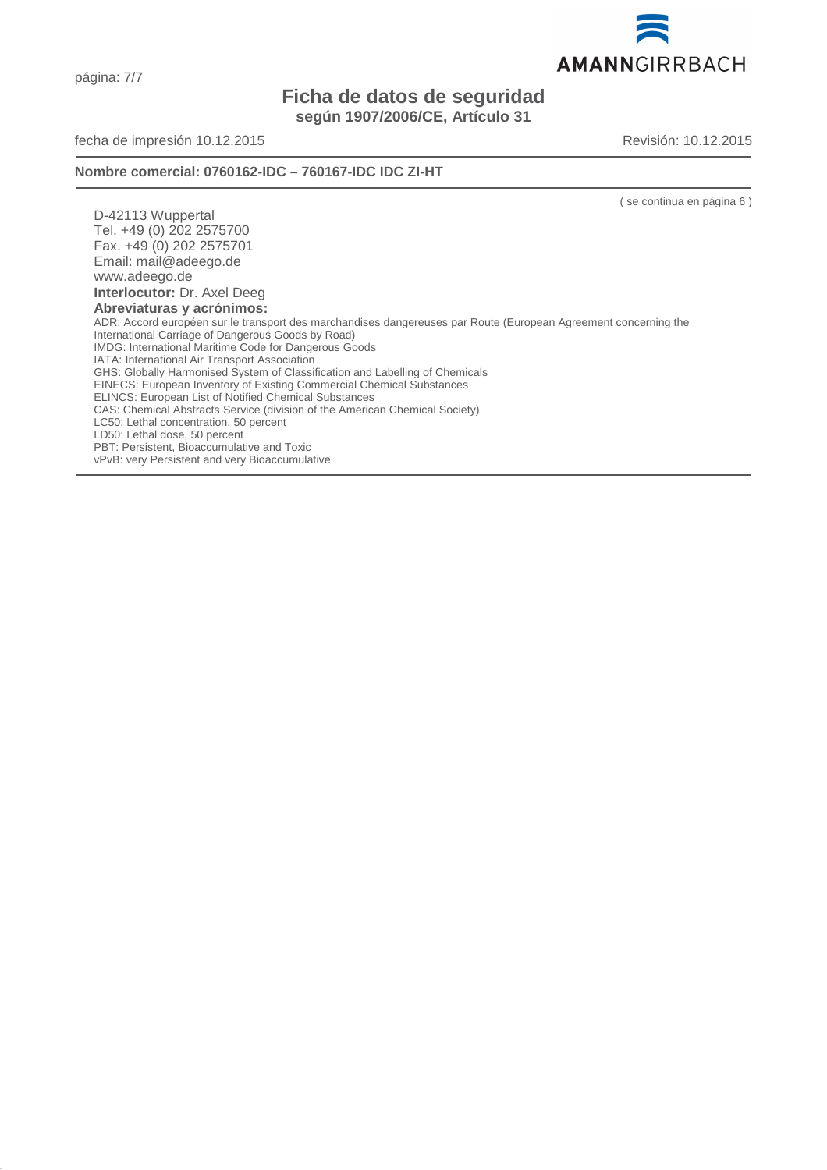página: 7/7

# **Ficha de datos de seguridad según 1907/2006/CE, Artículo 31**

fecha de impresión 10.12.2015 Revisión: 10.12.2015

# **Nombre comercial: 0760162-IDC – 760167-IDC IDC ZI-HT**

( se continua en página 6 )

D-42113 Wuppertal Tel. +49 (0) 202 2575700 Fax. +49 (0) 202 2575701 Email: mail@adeego.de www.adeego.de **Interlocutor:** Dr. Axel Deeg **Abreviaturas y acrónimos:** ADR: Accord européen sur le transport des marchandises dangereuses par Route (European Agreement concerning the International Carriage of Dangerous Goods by Road) IMDG: International Maritime Code for Dangerous Goods IATA: International Air Transport Association GHS: Globally Harmonised System of Classification and Labelling of Chemicals EINECS: European Inventory of Existing Commercial Chemical Substances ELINCS: European List of Notified Chemical Substances CAS: Chemical Abstracts Service (division of the American Chemical Society) LC50: Lethal concentration, 50 percent LD50: Lethal dose, 50 percent PBT: Persistent, Bioaccumulative and Toxic

vPvB: very Persistent and very Bioaccumulative

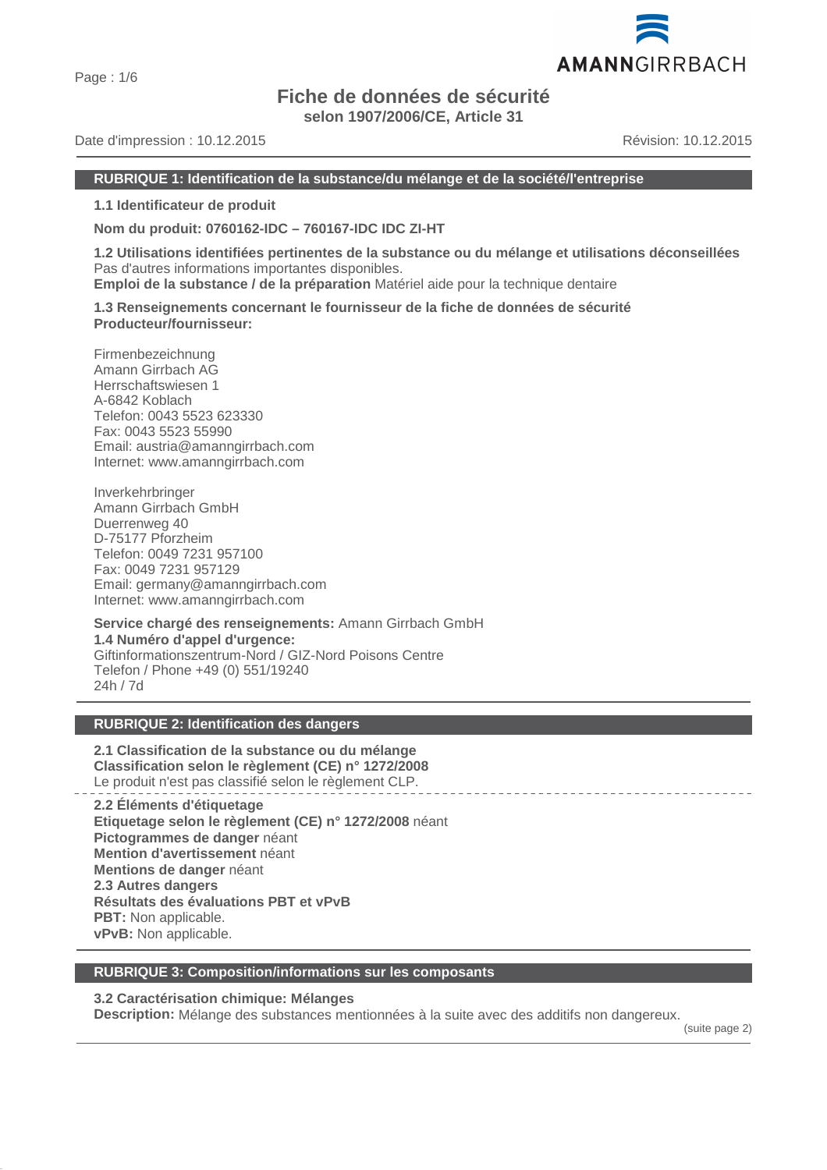Page : 1/6

# **Fiche de données de sécurité**

**selon 1907/2006/CE, Article 31**

Date d'impression : 10.12.2015 Révision: 10.12.2015

AMANNGIRRBACH

# **RUBRIQUE 1: Identification de la substance/du mélange et de la société/l'entreprise**

**1.1 Identificateur de produit**

**Nom du produit: 0760162-IDC – 760167-IDC IDC ZI-HT**

**1.2 Utilisations identifiées pertinentes de la substance ou du mélange et utilisations déconseillées** Pas d'autres informations importantes disponibles.

**Emploi de la substance / de la préparation** Matériel aide pour la technique dentaire

**1.3 Renseignements concernant le fournisseur de la fiche de données de sécurité Producteur/fournisseur:**

Firmenbezeichnung Amann Girrbach AG Herrschaftswiesen 1 A-6842 Koblach Telefon: 0043 5523 623330 Fax: 0043 5523 55990 Email: austria@amanngirrbach.com Internet: www.amanngirrbach.com

Inverkehrbringer Amann Girrbach GmbH Duerrenweg 40 D-75177 Pforzheim Telefon: 0049 7231 957100 Fax: 0049 7231 957129 Email: germany@amanngirrbach.com Internet: www.amanngirrbach.com

**Service chargé des renseignements:** Amann Girrbach GmbH **1.4 Numéro d'appel d'urgence:** Giftinformationszentrum-Nord / GIZ-Nord Poisons Centre Telefon / Phone +49 (0) 551/19240 24h / 7d

# **RUBRIQUE 2: Identification des dangers**

**2.1 Classification de la substance ou du mélange Classification selon le règlement (CE) n° 1272/2008** Le produit n'est pas classifié selon le règlement CLP.

**2.2 Éléments d'étiquetage Etiquetage selon le règlement (CE) n° 1272/2008** néant **Pictogrammes de danger** néant **Mention d'avertissement** néant **Mentions de danger** néant **2.3 Autres dangers Résultats des évaluations PBT et vPvB PBT:** Non applicable. **vPvB:** Non applicable.

#### **RUBRIQUE 3: Composition/informations sur les composants**

# **3.2 Caractérisation chimique: Mélanges**

**Description:** Mélange des substances mentionnées à la suite avec des additifs non dangereux.

(suite page 2)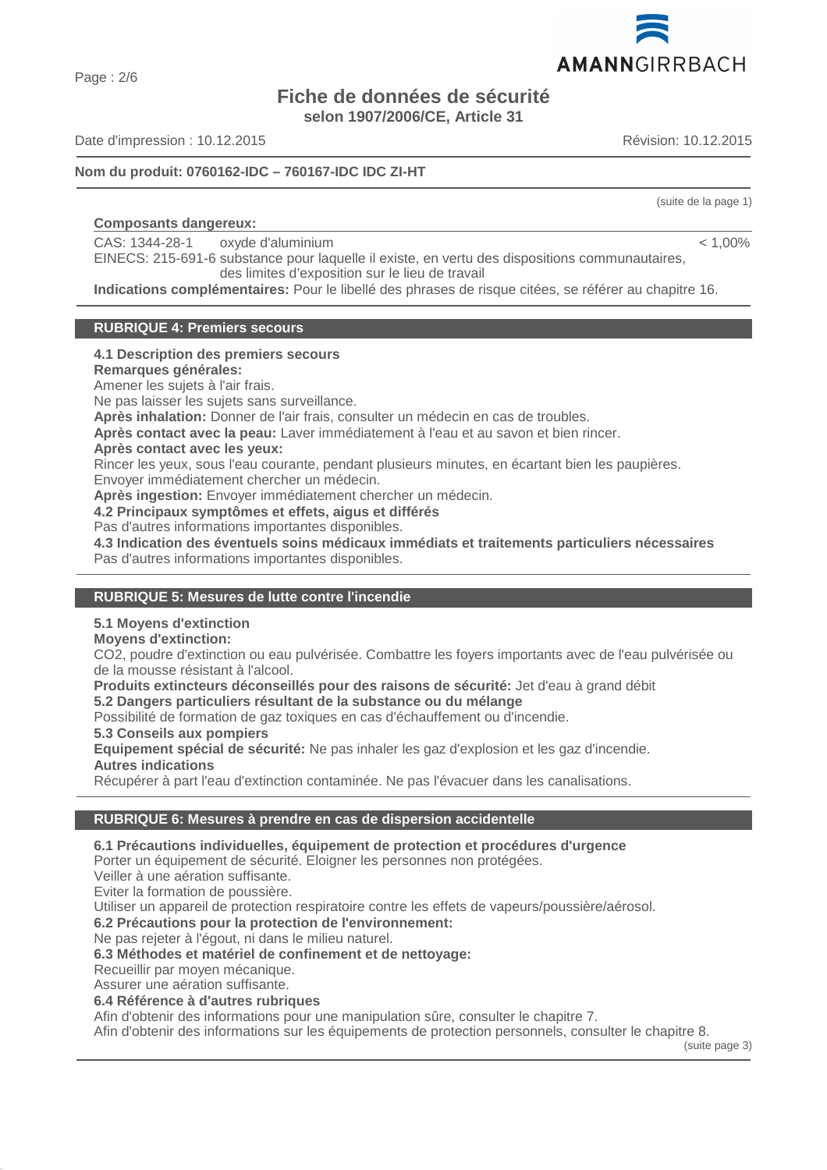Page : 2/6

# **Fiche de données de sécurité selon 1907/2006/CE, Article 31**

Date d'impression : 10.12.2015 Révision: 10.12.2015

# **Nom du produit: 0760162-IDC – 760167-IDC IDC ZI-HT**

# **Composants dangereux:**

CAS: 1344-28-1 oxyde d'aluminium

EINECS: 215-691-6 substance pour laquelle il existe, en vertu des dispositions communautaires, des limites d'exposition sur le lieu de travail

**Indications complémentaires:** Pour le libellé des phrases de risque citées, se référer au chapitre 16.

# **RUBRIQUE 4: Premiers secours**

# **4.1 Description des premiers secours**

**Remarques générales:**

Amener les sujets à l'air frais.

Ne pas laisser les sujets sans surveillance.

**Après inhalation:** Donner de l'air frais, consulter un médecin en cas de troubles.

**Après contact avec la peau:** Laver immédiatement à l'eau et au savon et bien rincer.

#### **Après contact avec les yeux:**

Rincer les yeux, sous l'eau courante, pendant plusieurs minutes, en écartant bien les paupières.

Envoyer immédiatement chercher un médecin.

**Après ingestion:** Envoyer immédiatement chercher un médecin.

**4.2 Principaux symptômes et effets, aigus et différés**

Pas d'autres informations importantes disponibles.

**4.3 Indication des éventuels soins médicaux immédiats et traitements particuliers nécessaires** Pas d'autres informations importantes disponibles.

# **RUBRIQUE 5: Mesures de lutte contre l'incendie**

# **5.1 Moyens d'extinction**

# **Moyens d'extinction:**

CO2, poudre d'extinction ou eau pulvérisée. Combattre les foyers importants avec de l'eau pulvérisée ou de la mousse résistant à l'alcool.

**Produits extincteurs déconseillés pour des raisons de sécurité:** Jet d'eau à grand débit

**5.2 Dangers particuliers résultant de la substance ou du mélange**

Possibilité de formation de gaz toxiques en cas d'échauffement ou d'incendie.

**5.3 Conseils aux pompiers**

**Equipement spécial de sécurité:** Ne pas inhaler les gaz d'explosion et les gaz d'incendie. **Autres indications**

Récupérer à part l'eau d'extinction contaminée. Ne pas l'évacuer dans les canalisations.

# **RUBRIQUE 6: Mesures à prendre en cas de dispersion accidentelle**

# **6.1 Précautions individuelles, équipement de protection et procédures d'urgence**

Porter un équipement de sécurité. Eloigner les personnes non protégées.

Veiller à une aération suffisante.

Eviter la formation de poussière.

Utiliser un appareil de protection respiratoire contre les effets de vapeurs/poussière/aérosol.

**6.2 Précautions pour la protection de l'environnement:**

Ne pas rejeter à l'égout, ni dans le milieu naturel.

**6.3 Méthodes et matériel de confinement et de nettoyage:**

Recueillir par moyen mécanique.

Assurer une aération suffisante.

**6.4 Référence à d'autres rubriques**

Afin d'obtenir des informations pour une manipulation sûre, consulter le chapitre 7.

Afin d'obtenir des informations sur les équipements de protection personnels, consulter le chapitre 8.

(suite page 3)



(suite de la page 1)

 $< 1.00\%$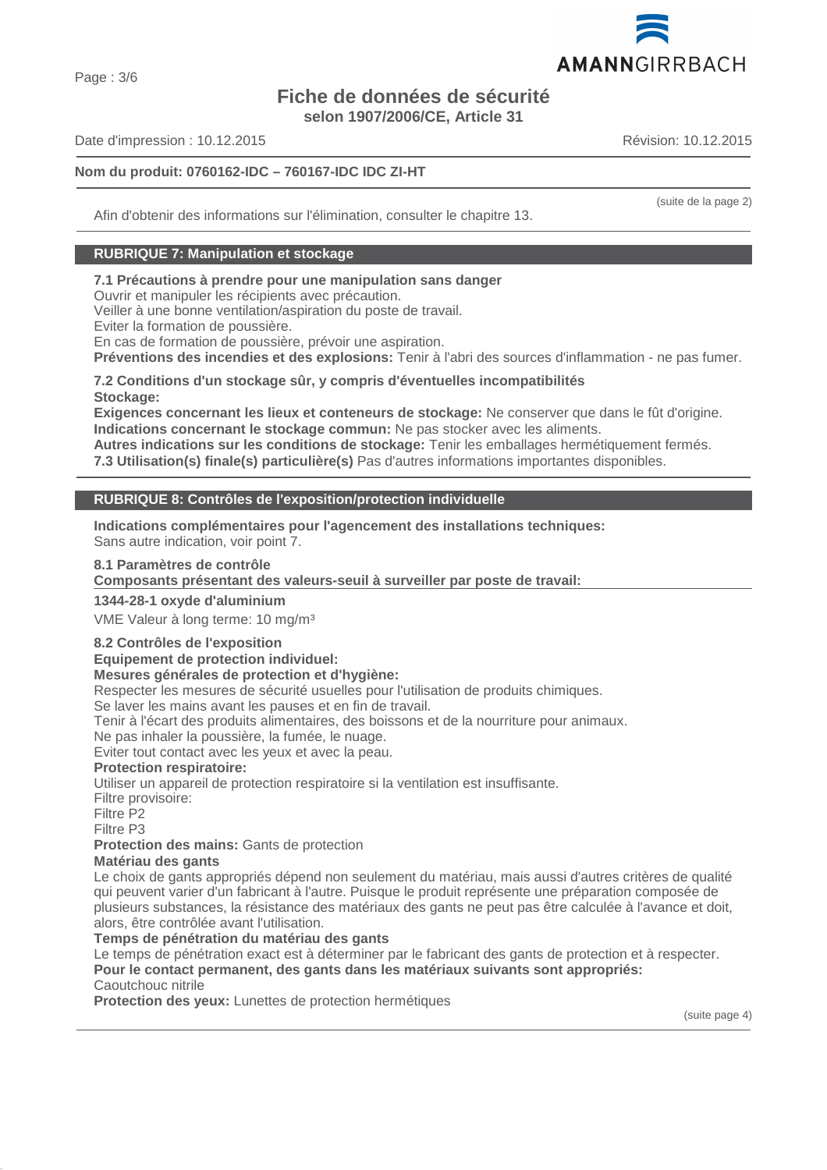# **Fiche de données de sécurité selon 1907/2006/CE, Article 31**

Date d'impression : 10.12.2015 Révision: 10.12.2015

# **Nom du produit: 0760162-IDC – 760167-IDC IDC ZI-HT**

Afin d'obtenir des informations sur l'élimination, consulter le chapitre 13.

# **RUBRIQUE 7: Manipulation et stockage**

# **7.1 Précautions à prendre pour une manipulation sans danger**

Ouvrir et manipuler les récipients avec précaution.

Veiller à une bonne ventilation/aspiration du poste de travail.

Eviter la formation de poussière.

En cas de formation de poussière, prévoir une aspiration.

**Préventions des incendies et des explosions:** Tenir à l'abri des sources d'inflammation - ne pas fumer.

#### **7.2 Conditions d'un stockage sûr, y compris d'éventuelles incompatibilités Stockage:**

**Exigences concernant les lieux et conteneurs de stockage:** Ne conserver que dans le fût d'origine. **Indications concernant le stockage commun:** Ne pas stocker avec les aliments.

**Autres indications sur les conditions de stockage:** Tenir les emballages hermétiquement fermés. **7.3 Utilisation(s) finale(s) particulière(s)** Pas d'autres informations importantes disponibles.

# **RUBRIQUE 8: Contrôles de l'exposition/protection individuelle**

**Indications complémentaires pour l'agencement des installations techniques:** Sans autre indication, voir point 7.

# **8.1 Paramètres de contrôle**

Composants présentant des valeurs-seuil à surveiller par poste de travail:

#### **1344-28-1 oxyde d'aluminium**

VME Valeur à long terme: 10 mg/m³

# **8.2 Contrôles de l'exposition**

**Equipement de protection individuel:**

# **Mesures générales de protection et d'hygiène:**

Respecter les mesures de sécurité usuelles pour l'utilisation de produits chimiques.

Se laver les mains avant les pauses et en fin de travail.

Tenir à l'écart des produits alimentaires, des boissons et de la nourriture pour animaux.

Ne pas inhaler la poussière, la fumée, le nuage.

Eviter tout contact avec les yeux et avec la peau.

#### **Protection respiratoire:**

Utiliser un appareil de protection respiratoire si la ventilation est insuffisante.

Filtre provisoire:

Filtre P2

Filtre P3

**Protection des mains:** Gants de protection

# **Matériau des gants**

Le choix de gants appropriés dépend non seulement du matériau, mais aussi d'autres critères de qualité qui peuvent varier d'un fabricant à l'autre. Puisque le produit représente une préparation composée de plusieurs substances, la résistance des matériaux des gants ne peut pas être calculée à l'avance et doit, alors, être contrôlée avant l'utilisation.

#### **Temps de pénétration du matériau des gants**

Le temps de pénétration exact est à déterminer par le fabricant des gants de protection et à respecter. **Pour le contact permanent, des gants dans les matériaux suivants sont appropriés:** Caoutchouc nitrile

**Protection des yeux:** Lunettes de protection hermétiques





(suite de la page 2)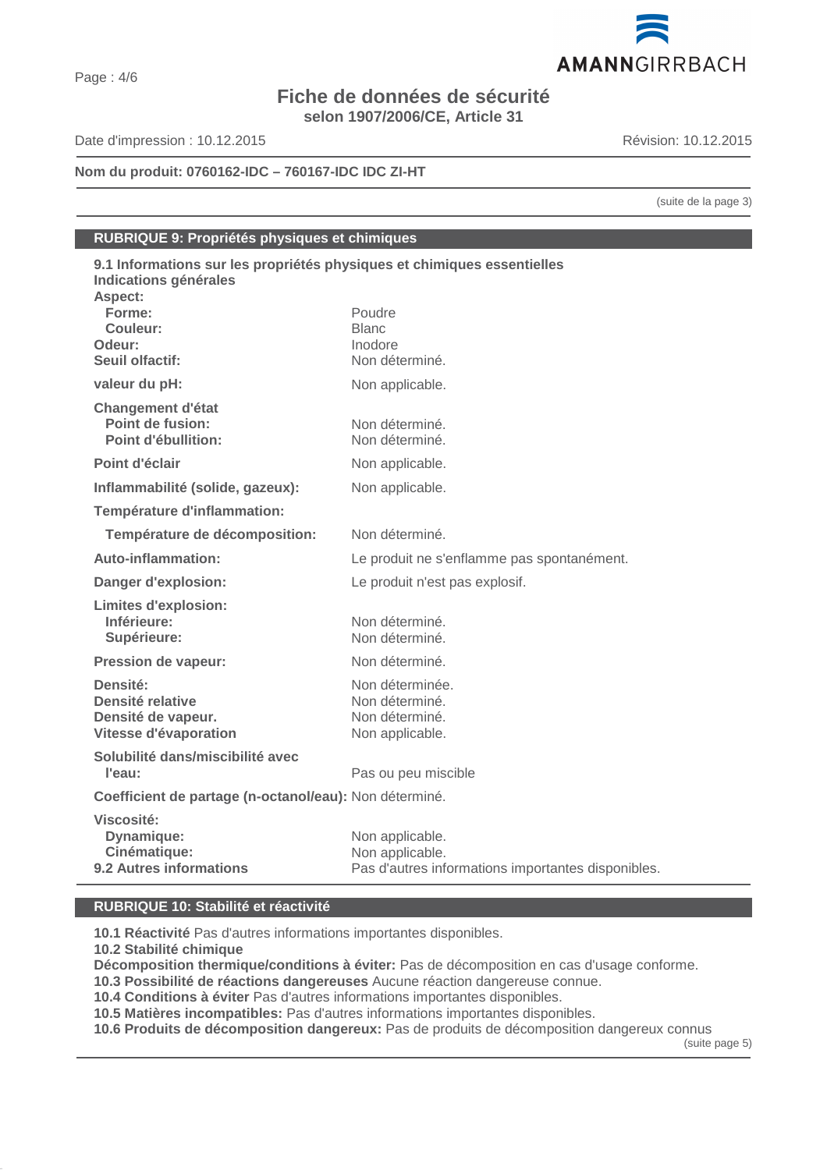# **Fiche de données de sécurité selon 1907/2006/CE, Article 31**

Date d'impression : 10.12.2015 Révision: 10.12.2015

# **Nom du produit: 0760162-IDC – 760167-IDC IDC ZI-HT**

(suite de la page 3)

# **RUBRIQUE 9: Propriétés physiques et chimiques**

| 9.1 Informations sur les propriétés physiques et chimiques essentielles<br>Indications générales |                                                    |  |
|--------------------------------------------------------------------------------------------------|----------------------------------------------------|--|
| Aspect:                                                                                          |                                                    |  |
| Forme:                                                                                           | Poudre                                             |  |
| Couleur:                                                                                         | <b>Blanc</b>                                       |  |
| Odeur:                                                                                           | Inodore                                            |  |
| Seuil olfactif:                                                                                  | Non déterminé.                                     |  |
| valeur du pH:                                                                                    | Non applicable.                                    |  |
| <b>Changement d'état</b>                                                                         |                                                    |  |
| Point de fusion:                                                                                 | Non déterminé.                                     |  |
| Point d'ébullition:                                                                              | Non déterminé.                                     |  |
| Point d'éclair                                                                                   | Non applicable.                                    |  |
| Inflammabilité (solide, gazeux):                                                                 | Non applicable.                                    |  |
| Température d'inflammation:                                                                      |                                                    |  |
| Température de décomposition:                                                                    | Non déterminé.                                     |  |
| Auto-inflammation:                                                                               | Le produit ne s'enflamme pas spontanément.         |  |
| Danger d'explosion:                                                                              | Le produit n'est pas explosif.                     |  |
| <b>Limites d'explosion:</b>                                                                      |                                                    |  |
| Inférieure:                                                                                      | Non déterminé.                                     |  |
| Supérieure:                                                                                      | Non déterminé.                                     |  |
| <b>Pression de vapeur:</b>                                                                       | Non déterminé.                                     |  |
| Densité:                                                                                         | Non déterminée.                                    |  |
| Densité relative                                                                                 | Non déterminé.                                     |  |
| Densité de vapeur.                                                                               | Non déterminé.                                     |  |
| Vitesse d'évaporation                                                                            | Non applicable.                                    |  |
| Solubilité dans/miscibilité avec                                                                 |                                                    |  |
| l'eau:                                                                                           | Pas ou peu miscible                                |  |
| Coefficient de partage (n-octanol/eau): Non déterminé.                                           |                                                    |  |
| Viscosité:                                                                                       |                                                    |  |
| Dynamique:                                                                                       | Non applicable.                                    |  |
| Cinématique:                                                                                     | Non applicable.                                    |  |
| 9.2 Autres informations                                                                          | Pas d'autres informations importantes disponibles. |  |

# **RUBRIQUE 10: Stabilité et réactivité**

**10.1 Réactivité** Pas d'autres informations importantes disponibles.

**10.2 Stabilité chimique**

**Décomposition thermique/conditions à éviter:** Pas de décomposition en cas d'usage conforme.

**10.3 Possibilité de réactions dangereuses** Aucune réaction dangereuse connue.

**10.4 Conditions à éviter** Pas d'autres informations importantes disponibles.

**10.5 Matières incompatibles:** Pas d'autres informations importantes disponibles.

**10.6 Produits de décomposition dangereux:** Pas de produits de décomposition dangereux connus

(suite page 5)

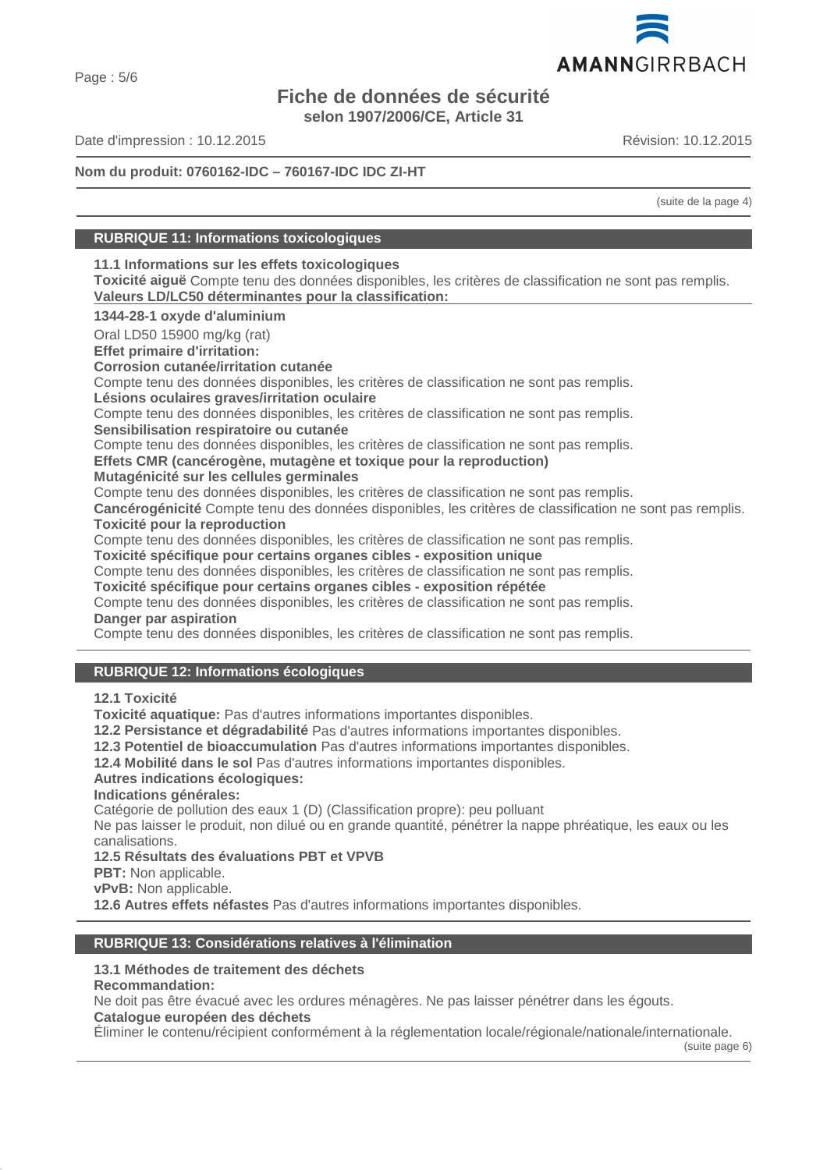# **Fiche de données de sécurité**

**selon 1907/2006/CE, Article 31**

Date d'impression : 10.12.2015 Révision: 10.12.2015

# **Nom du produit: 0760162-IDC – 760167-IDC IDC ZI-HT**

(suite de la page 4)

# **RUBRIQUE 11: Informations toxicologiques**

# **11.1 Informations sur les effets toxicologiques**

**Toxicité aiguë** Compte tenu des données disponibles, les critères de classification ne sont pas remplis. Valeurs LD/LC50 déterminantes pour la classification:

**1344-28-1 oxyde d'aluminium**

Oral LD50 15900 mg/kg (rat)

**Effet primaire d'irritation:**

**Corrosion cutanée/irritation cutanée**

Compte tenu des données disponibles, les critères de classification ne sont pas remplis.

**Lésions oculaires graves/irritation oculaire**

Compte tenu des données disponibles, les critères de classification ne sont pas remplis.

**Sensibilisation respiratoire ou cutanée**

Compte tenu des données disponibles, les critères de classification ne sont pas remplis.

# **Effets CMR (cancérogène, mutagène et toxique pour la reproduction)**

**Mutagénicité sur les cellules germinales**

Compte tenu des données disponibles, les critères de classification ne sont pas remplis.

**Cancérogénicité** Compte tenu des données disponibles, les critères de classification ne sont pas remplis. **Toxicité pour la reproduction**

Compte tenu des données disponibles, les critères de classification ne sont pas remplis.

**Toxicité spécifique pour certains organes cibles - exposition unique**

Compte tenu des données disponibles, les critères de classification ne sont pas remplis.

**Toxicité spécifique pour certains organes cibles - exposition répétée**

Compte tenu des données disponibles, les critères de classification ne sont pas remplis. **Danger par aspiration**

Compte tenu des données disponibles, les critères de classification ne sont pas remplis.

# **RUBRIQUE 12: Informations écologiques**

**12.1 Toxicité**

**Toxicité aquatique:** Pas d'autres informations importantes disponibles.

**12.2 Persistance et dégradabilité** Pas d'autres informations importantes disponibles.

**12.3 Potentiel de bioaccumulation** Pas d'autres informations importantes disponibles.

**12.4 Mobilité dans le sol** Pas d'autres informations importantes disponibles.

# **Autres indications écologiques:**

**Indications générales:**

Catégorie de pollution des eaux 1 (D) (Classification propre): peu polluant

Ne pas laisser le produit, non dilué ou en grande quantité, pénétrer la nappe phréatique, les eaux ou les canalisations.

**12.5 Résultats des évaluations PBT et VPVB**

**PBT:** Non applicable.

**vPvB:** Non applicable.

**12.6 Autres effets néfastes** Pas d'autres informations importantes disponibles.

# **RUBRIQUE 13: Considérations relatives à l'élimination**

# **13.1 Méthodes de traitement des déchets**

**Recommandation:**

Ne doit pas être évacué avec les ordures ménagères. Ne pas laisser pénétrer dans les égouts.

**Catalogue européen des déchets**

Éliminer le contenu/récipient conformément à la réglementation locale/régionale/nationale/internationale.

(suite page 6)

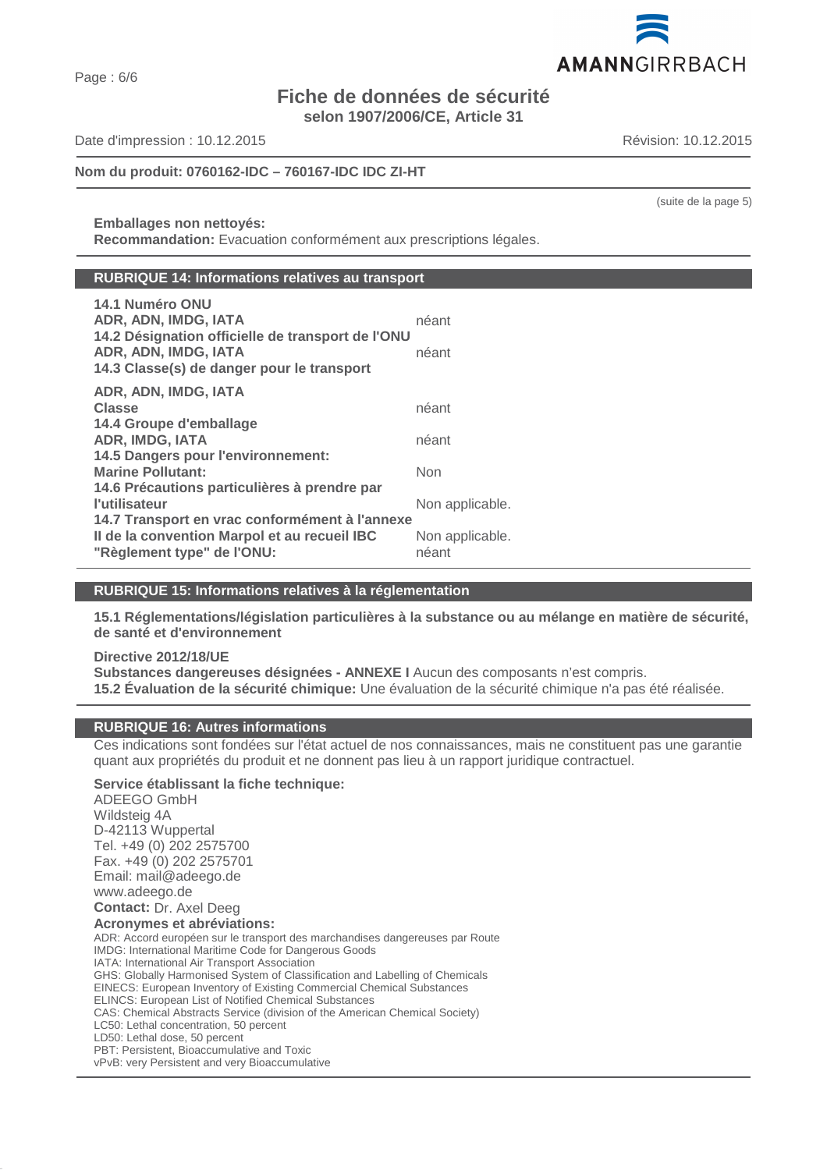Page : 6/6

# **Fiche de données de sécurité selon 1907/2006/CE, Article 31**

Date d'impression : 10.12.2015 Révision: 10.12.2015

# **Nom du produit: 0760162-IDC – 760167-IDC IDC ZI-HT**

**Emballages non nettoyés: Recommandation:** Evacuation conformément aux prescriptions légales.

# **RUBRIQUE 14: Informations relatives au transport**

| 14.1 Numéro ONU<br>ADR, ADN, IMDG, IATA<br>14.2 Désignation officielle de transport de l'ONU<br>ADR, ADN, IMDG, IATA<br>14.3 Classe(s) de danger pour le transport | néant<br>néant           |
|--------------------------------------------------------------------------------------------------------------------------------------------------------------------|--------------------------|
| ADR, ADN, IMDG, IATA                                                                                                                                               |                          |
| <b>Classe</b>                                                                                                                                                      | néant                    |
| 14.4 Groupe d'emballage                                                                                                                                            |                          |
| <b>ADR, IMDG, IATA</b>                                                                                                                                             | néant                    |
| 14.5 Dangers pour l'environnement:                                                                                                                                 |                          |
| <b>Marine Pollutant:</b>                                                                                                                                           | Non                      |
| 14.6 Précautions particulières à prendre par                                                                                                                       |                          |
| l'utilisateur                                                                                                                                                      | Non applicable.          |
| 14.7 Transport en vrac conformément à l'annexe<br>Il de la convention Marpol et au recueil IBC<br>"Règlement type" de l'ONU:                                       | Non applicable.<br>néant |

# **RUBRIQUE 15: Informations relatives à la réglementation**

**15.1 Réglementations/législation particulières à la substance ou au mélange en matière de sécurité, de santé et d'environnement**

# **Directive 2012/18/UE Substances dangereuses désignées - ANNEXE I** Aucun des composants n'est compris. **15.2 Évaluation de la sécurité chimique:** Une évaluation de la sécurité chimique n'a pas été réalisée.

# **RUBRIQUE 16: Autres informations**

Ces indications sont fondées sur l'état actuel de nos connaissances, mais ne constituent pas une garantie quant aux propriétés du produit et ne donnent pas lieu à un rapport juridique contractuel.

**Service établissant la fiche technique:** ADEEGO GmbH Wildsteig 4A D-42113 Wuppertal Tel. +49 (0) 202 2575700 Fax. +49 (0) 202 2575701 Email: mail@adeego.de www.adeego.de **Contact:** Dr. Axel Deeg **Acronymes et abréviations:** ADR: Accord européen sur le transport des marchandises dangereuses par Route IMDG: International Maritime Code for Dangerous Goods IATA: International Air Transport Association GHS: Globally Harmonised System of Classification and Labelling of Chemicals EINECS: European Inventory of Existing Commercial Chemical Substances ELINCS: European List of Notified Chemical Substances CAS: Chemical Abstracts Service (division of the American Chemical Society) LC50: Lethal concentration, 50 percent LD50: Lethal dose, 50 percent PBT: Persistent, Bioaccumulative and Toxic vPvB: very Persistent and very Bioaccumulative



(suite de la page 5)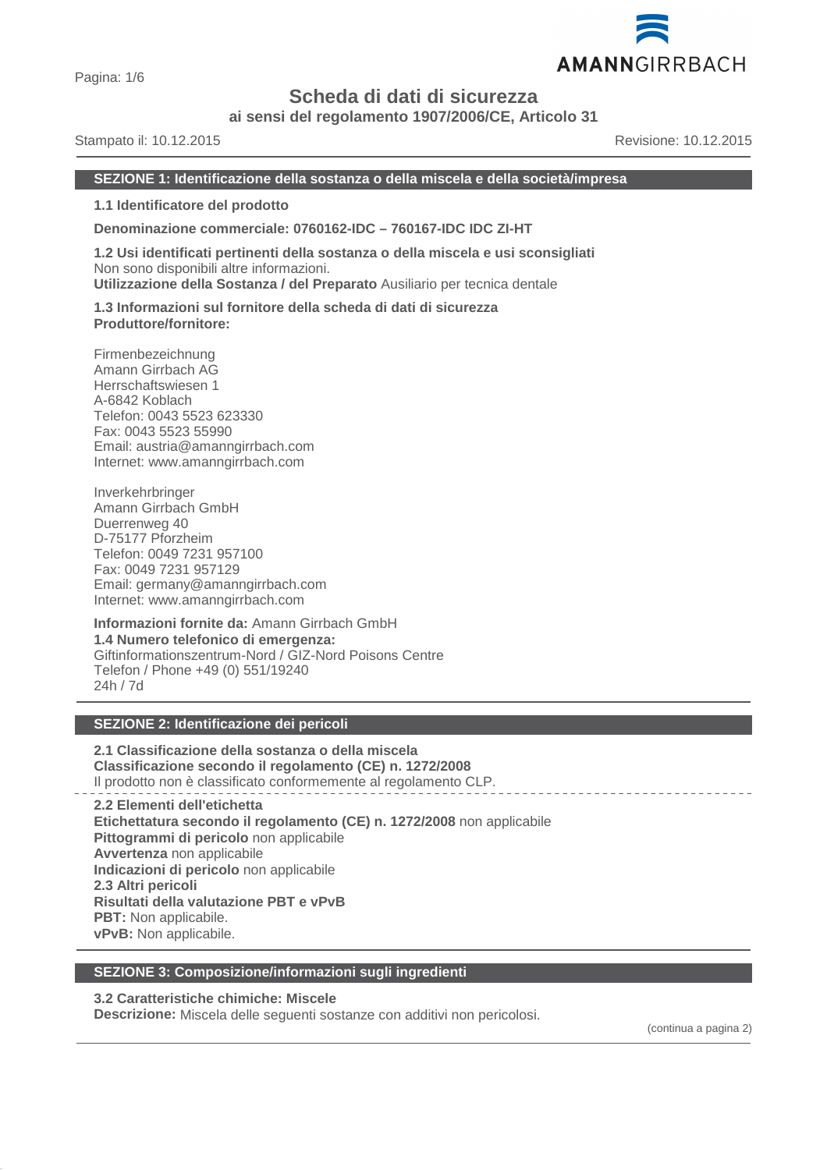

**ai sensi del regolamento 1907/2006/CE, Articolo 31**

Stampato il: 10.12.2015 Revisione: 10.12.2015

**SEZIONE 1: Identificazione della sostanza o della miscela e della società/impresa**

**1.1 Identificatore del prodotto**

**Denominazione commerciale: 0760162-IDC – 760167-IDC IDC ZI-HT**

**1.2 Usi identificati pertinenti della sostanza o della miscela e usi sconsigliati** Non sono disponibili altre informazioni. **Utilizzazione della Sostanza / del Preparato** Ausiliario per tecnica dentale

**1.3 Informazioni sul fornitore della scheda di dati di sicurezza Produttore/fornitore:**

Firmenbezeichnung Amann Girrbach AG Herrschaftswiesen 1 A-6842 Koblach Telefon: 0043 5523 623330 Fax: 0043 5523 55990 Email: austria@amanngirrbach.com Internet: www.amanngirrbach.com

Inverkehrbringer Amann Girrbach GmbH Duerrenweg 40 D-75177 Pforzheim Telefon: 0049 7231 957100 Fax: 0049 7231 957129 Email: germany@amanngirrbach.com Internet: www.amanngirrbach.com

**Informazioni fornite da:** Amann Girrbach GmbH **1.4 Numero telefonico di emergenza:** Giftinformationszentrum-Nord / GIZ-Nord Poisons Centre Telefon / Phone +49 (0) 551/19240 24h / 7d

# **SEZIONE 2: Identificazione dei pericoli**

**2.1 Classificazione della sostanza o della miscela Classificazione secondo il regolamento (CE) n. 1272/2008** Il prodotto non è classificato conformemente al regolamento CLP.

**2.2 Elementi dell'etichetta Etichettatura secondo il regolamento (CE) n. 1272/2008** non applicabile **Pittogrammi di pericolo** non applicabile **Avvertenza** non applicabile **Indicazioni di pericolo** non applicabile **2.3 Altri pericoli Risultati della valutazione PBT e vPvB PBT:** Non applicabile. **vPvB:** Non applicabile.

#### **SEZIONE 3: Composizione/informazioni sugli ingredienti**

# **3.2 Caratteristiche chimiche: Miscele**

**Descrizione:** Miscela delle seguenti sostanze con additivi non pericolosi.

(continua a pagina 2)

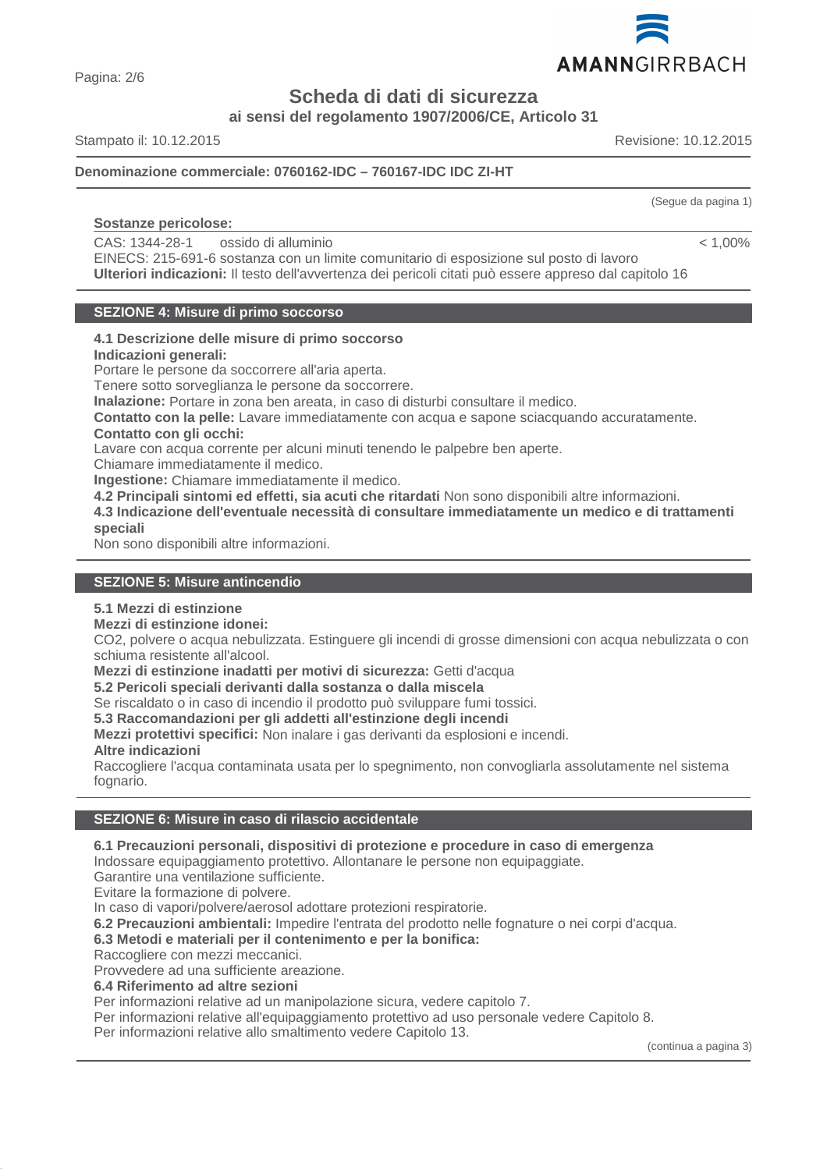

Pagina: 2/6

**Scheda di dati di sicurezza**

**ai sensi del regolamento 1907/2006/CE, Articolo 31**

Stampato il: 10.12.2015 Revisione: 10.12.2015

# **Denominazione commerciale: 0760162-IDC – 760167-IDC IDC ZI-HT**

# **Sostanze pericolose:**

CAS: 1344-28-1 ossido di alluminio

EINECS: 215-691-6 sostanza con un limite comunitario di esposizione sul posto di lavoro **Ulteriori indicazioni:** Il testo dell'avvertenza dei pericoli citati può essere appreso dal capitolo 16

# **SEZIONE 4: Misure di primo soccorso**

#### **4.1 Descrizione delle misure di primo soccorso Indicazioni generali:**

Portare le persone da soccorrere all'aria aperta.

Tenere sotto sorveglianza le persone da soccorrere.

**Inalazione:** Portare in zona ben areata, in caso di disturbi consultare il medico.

**Contatto con la pelle:** Lavare immediatamente con acqua e sapone sciacquando accuratamente. **Contatto con gli occhi:**

Lavare con acqua corrente per alcuni minuti tenendo le palpebre ben aperte.

Chiamare immediatamente il medico. **Ingestione:** Chiamare immediatamente il medico.

**4.2 Principali sintomi ed effetti, sia acuti che ritardati** Non sono disponibili altre informazioni.

**4.3 Indicazione dell'eventuale necessità di consultare immediatamente un medico e di trattamenti speciali**

Non sono disponibili altre informazioni.

# **SEZIONE 5: Misure antincendio**

# **5.1 Mezzi di estinzione**

# **Mezzi di estinzione idonei:**

CO2, polvere o acqua nebulizzata. Estinguere gli incendi di grosse dimensioni con acqua nebulizzata o con schiuma resistente all'alcool.

**Mezzi di estinzione inadatti per motivi di sicurezza:** Getti d'acqua

**5.2 Pericoli speciali derivanti dalla sostanza o dalla miscela**

Se riscaldato o in caso di incendio il prodotto può sviluppare fumi tossici.

**5.3 Raccomandazioni per gli addetti all'estinzione degli incendi**

**Mezzi protettivi specifici:** Non inalare i gas derivanti da esplosioni e incendi.

# **Altre indicazioni**

Raccogliere l'acqua contaminata usata per lo spegnimento, non convogliarla assolutamente nel sistema fognario.

# **SEZIONE 6: Misure in caso di rilascio accidentale**

# **6.1 Precauzioni personali, dispositivi di protezione e procedure in caso di emergenza**

Indossare equipaggiamento protettivo. Allontanare le persone non equipaggiate.

Garantire una ventilazione sufficiente.

Evitare la formazione di polvere.

In caso di vapori/polvere/aerosol adottare protezioni respiratorie.

**6.2 Precauzioni ambientali:** Impedire l'entrata del prodotto nelle fognature o nei corpi d'acqua.

# **6.3 Metodi e materiali per il contenimento e per la bonifica:**

Raccogliere con mezzi meccanici.

Provvedere ad una sufficiente areazione.

**6.4 Riferimento ad altre sezioni**

Per informazioni relative ad un manipolazione sicura, vedere capitolo 7.

Per informazioni relative all'equipaggiamento protettivo ad uso personale vedere Capitolo 8.

Per informazioni relative allo smaltimento vedere Capitolo 13.

(continua a pagina 3)

(Segue da pagina 1)

 $< 1,00\%$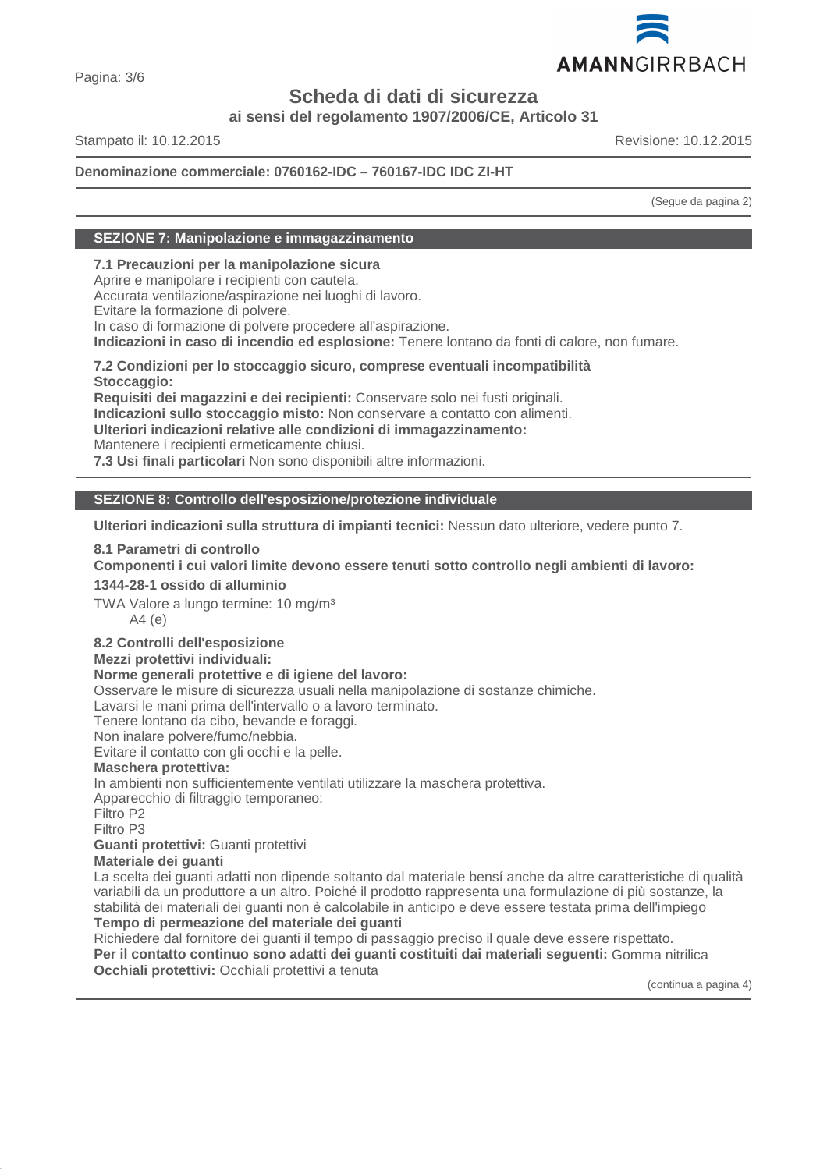

**ai sensi del regolamento 1907/2006/CE, Articolo 31**

Stampato il: 10.12.2015 Revisione: 10.12.2015

# **Denominazione commerciale: 0760162-IDC – 760167-IDC IDC ZI-HT**

(Segue da pagina 2)

# **SEZIONE 7: Manipolazione e immagazzinamento**

**7.1 Precauzioni per la manipolazione sicura**

Aprire e manipolare i recipienti con cautela.

Accurata ventilazione/aspirazione nei luoghi di lavoro.

Evitare la formazione di polvere.

In caso di formazione di polvere procedere all'aspirazione.

**Indicazioni in caso di incendio ed esplosione:** Tenere lontano da fonti di calore, non fumare.

**7.2 Condizioni per lo stoccaggio sicuro, comprese eventuali incompatibilità Stoccaggio:**

**Requisiti dei magazzini e dei recipienti:** Conservare solo nei fusti originali.

**Indicazioni sullo stoccaggio misto:** Non conservare a contatto con alimenti.

**Ulteriori indicazioni relative alle condizioni di immagazzinamento:**

Mantenere i recipienti ermeticamente chiusi.

**7.3 Usi finali particolari** Non sono disponibili altre informazioni.

# **SEZIONE 8: Controllo dell'esposizione/protezione individuale**

**Ulteriori indicazioni sulla struttura di impianti tecnici:** Nessun dato ulteriore, vedere punto 7.

# **8.1 Parametri di controllo**

**Componenti i cui valori limite devono essere tenuti sotto controllo negli ambienti di lavoro:** 

# **1344-28-1 ossido di alluminio**

TWA Valore a lungo termine: 10 mg/m<sup>3</sup> A4 (e)

# **8.2 Controlli dell'esposizione**

# **Mezzi protettivi individuali:**

# **Norme generali protettive e di igiene del lavoro:**

Osservare le misure di sicurezza usuali nella manipolazione di sostanze chimiche.

Lavarsi le mani prima dell'intervallo o a lavoro terminato.

Tenere lontano da cibo, bevande e foraggi.

Non inalare polvere/fumo/nebbia.

Evitare il contatto con gli occhi e la pelle.

# **Maschera protettiva:**

In ambienti non sufficientemente ventilati utilizzare la maschera protettiva.

Apparecchio di filtraggio temporaneo:

Filtro P2

Filtro P3

# **Guanti protettivi:** Guanti protettivi

**Materiale dei guanti**

La scelta dei guanti adatti non dipende soltanto dal materiale bensí anche da altre caratteristiche di qualità variabili da un produttore a un altro. Poiché il prodotto rappresenta una formulazione di più sostanze, la stabilità dei materiali dei guanti non è calcolabile in anticipo e deve essere testata prima dell'impiego

# **Tempo di permeazione del materiale dei guanti**

Richiedere dal fornitore dei guanti il tempo di passaggio preciso il quale deve essere rispettato. **Per il contatto continuo sono adatti dei guanti costituiti dai materiali seguenti:** Gomma nitrilica **Occhiali protettivi:** Occhiali protettivi a tenuta

(continua a pagina 4)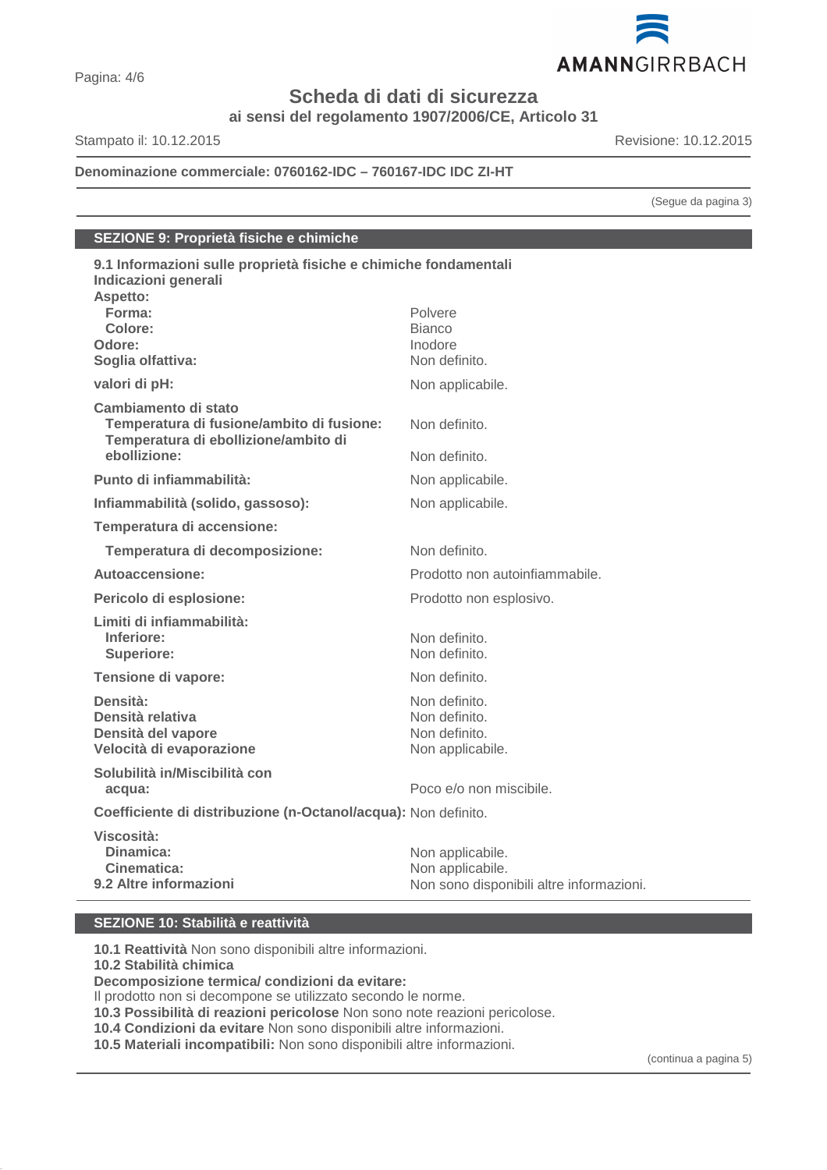

**ai sensi del regolamento 1907/2006/CE, Articolo 31**

Stampato il: 10.12.2015 Revisione: 10.12.2015

**Denominazione commerciale: 0760162-IDC – 760167-IDC IDC ZI-HT**

(Segue da pagina 3)

# **SEZIONE 9: Proprietà fisiche e chimiche**

| 9.1 Informazioni sulle proprietà fisiche e chimiche fondamentali<br>Indicazioni generali<br>Aspetto:      |                                          |
|-----------------------------------------------------------------------------------------------------------|------------------------------------------|
| Forma:                                                                                                    | Polvere                                  |
| Colore:                                                                                                   | <b>Bianco</b>                            |
| Odore:<br>Soglia olfattiva:                                                                               | Inodore<br>Non definito.                 |
|                                                                                                           |                                          |
| valori di pH:                                                                                             | Non applicabile.                         |
| Cambiamento di stato<br>Temperatura di fusione/ambito di fusione:<br>Temperatura di ebollizione/ambito di | Non definito.                            |
| ebollizione:                                                                                              | Non definito.                            |
| Punto di infiammabilità:                                                                                  | Non applicabile.                         |
| Infiammabilità (solido, gassoso):                                                                         | Non applicabile.                         |
| Temperatura di accensione:                                                                                |                                          |
| Temperatura di decomposizione:                                                                            | Non definito                             |
| Autoaccensione:                                                                                           | Prodotto non autoinfiammabile.           |
| Pericolo di esplosione:                                                                                   | Prodotto non esplosivo.                  |
| Limiti di infiammabilità:                                                                                 |                                          |
| Inferiore:                                                                                                | Non definito.                            |
| <b>Superiore:</b>                                                                                         | Non definito.                            |
| Tensione di vapore:                                                                                       | Non definito.                            |
| Densità:                                                                                                  | Non definito.                            |
| Densità relativa                                                                                          | Non definito.                            |
| Densità del vapore<br>Velocità di evaporazione                                                            | Non definito.<br>Non applicabile.        |
| Solubilità in/Miscibilità con                                                                             |                                          |
| acqua:                                                                                                    | Poco e/o non miscibile.                  |
| Coefficiente di distribuzione (n-Octanol/acqua): Non definito.                                            |                                          |
| Viscosità:                                                                                                |                                          |
| Dinamica:                                                                                                 | Non applicabile.                         |
| Cinematica:                                                                                               | Non applicabile.                         |
| 9.2 Altre informazioni                                                                                    | Non sono disponibili altre informazioni. |

# **SEZIONE 10: Stabilità e reattività**

**10.1 Reattività** Non sono disponibili altre informazioni.

**10.2 Stabilità chimica**

**Decomposizione termica/ condizioni da evitare:**

Il prodotto non si decompone se utilizzato secondo le norme.

**10.3 Possibilità di reazioni pericolose** Non sono note reazioni pericolose.

**10.4 Condizioni da evitare** Non sono disponibili altre informazioni.

**10.5 Materiali incompatibili:** Non sono disponibili altre informazioni.

(continua a pagina 5)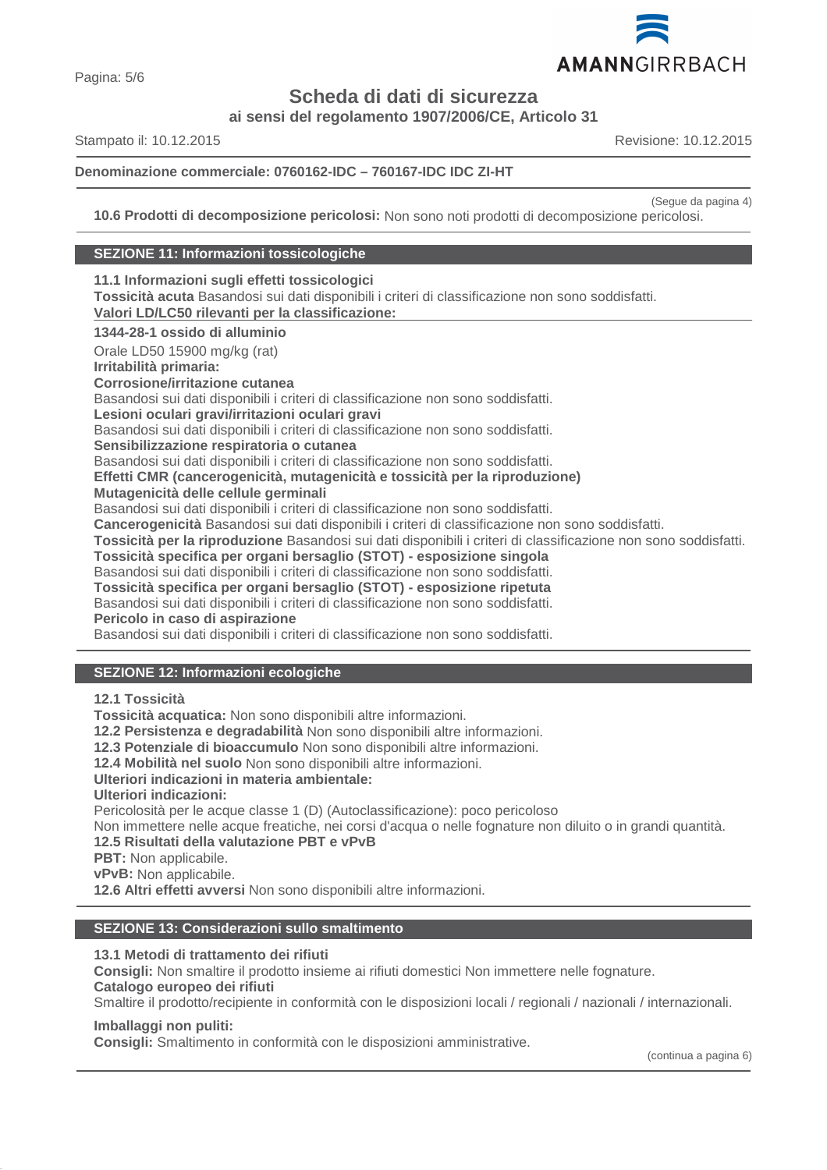

**ai sensi del regolamento 1907/2006/CE, Articolo 31**

Stampato il: 10.12.2015 Revisione: 10.12.2015

# **Denominazione commerciale: 0760162-IDC – 760167-IDC IDC ZI-HT**

(Segue da pagina 4)

**10.6 Prodotti di decomposizione pericolosi:** Non sono noti prodotti di decomposizione pericolosi.

# **SEZIONE 11: Informazioni tossicologiche**

**11.1 Informazioni sugli effetti tossicologici Tossicità acuta** Basandosi sui dati disponibili i criteri di classificazione non sono soddisfatti. **Valori LD/LC50 rilevanti per la classificazione: 1344-28-1 ossido di alluminio** Orale LD50 15900 mg/kg (rat) **Irritabilità primaria: Corrosione/irritazione cutanea** Basandosi sui dati disponibili i criteri di classificazione non sono soddisfatti. **Lesioni oculari gravi/irritazioni oculari gravi** Basandosi sui dati disponibili i criteri di classificazione non sono soddisfatti. **Sensibilizzazione respiratoria o cutanea** Basandosi sui dati disponibili i criteri di classificazione non sono soddisfatti. **Effetti CMR (cancerogenicità, mutagenicità e tossicità per la riproduzione) Mutagenicità delle cellule germinali** Basandosi sui dati disponibili i criteri di classificazione non sono soddisfatti. **Cancerogenicità** Basandosi sui dati disponibili i criteri di classificazione non sono soddisfatti. **Tossicità per la riproduzione** Basandosi sui dati disponibili i criteri di classificazione non sono soddisfatti. **Tossicità specifica per organi bersaglio (STOT) - esposizione singola** Basandosi sui dati disponibili i criteri di classificazione non sono soddisfatti. **Tossicità specifica per organi bersaglio (STOT) - esposizione ripetuta** Basandosi sui dati disponibili i criteri di classificazione non sono soddisfatti. **Pericolo in caso di aspirazione** Basandosi sui dati disponibili i criteri di classificazione non sono soddisfatti.

# **SEZIONE 12: Informazioni ecologiche**

**12.1 Tossicità**

**Tossicità acquatica:** Non sono disponibili altre informazioni.

**12.2 Persistenza e degradabilità** Non sono disponibili altre informazioni.

**12.3 Potenziale di bioaccumulo** Non sono disponibili altre informazioni.

**12.4 Mobilità nel suolo** Non sono disponibili altre informazioni.

# **Ulteriori indicazioni in materia ambientale:**

**Ulteriori indicazioni:**

Pericolosità per le acque classe 1 (D) (Autoclassificazione): poco pericoloso

Non immettere nelle acque freatiche, nei corsi d'acqua o nelle fognature non diluito o in grandi quantità.

# **12.5 Risultati della valutazione PBT e vPvB**

- **PBT:** Non applicabile.
- **vPvB:** Non applicabile.

**12.6 Altri effetti avversi** Non sono disponibili altre informazioni.

# **SEZIONE 13: Considerazioni sullo smaltimento**

#### **13.1 Metodi di trattamento dei rifiuti**

**Consigli:** Non smaltire il prodotto insieme ai rifiuti domestici Non immettere nelle fognature. **Catalogo europeo dei rifiuti**

Smaltire il prodotto/recipiente in conformità con le disposizioni locali / regionali / nazionali / internazionali.

# **Imballaggi non puliti:**

**Consigli:** Smaltimento in conformità con le disposizioni amministrative.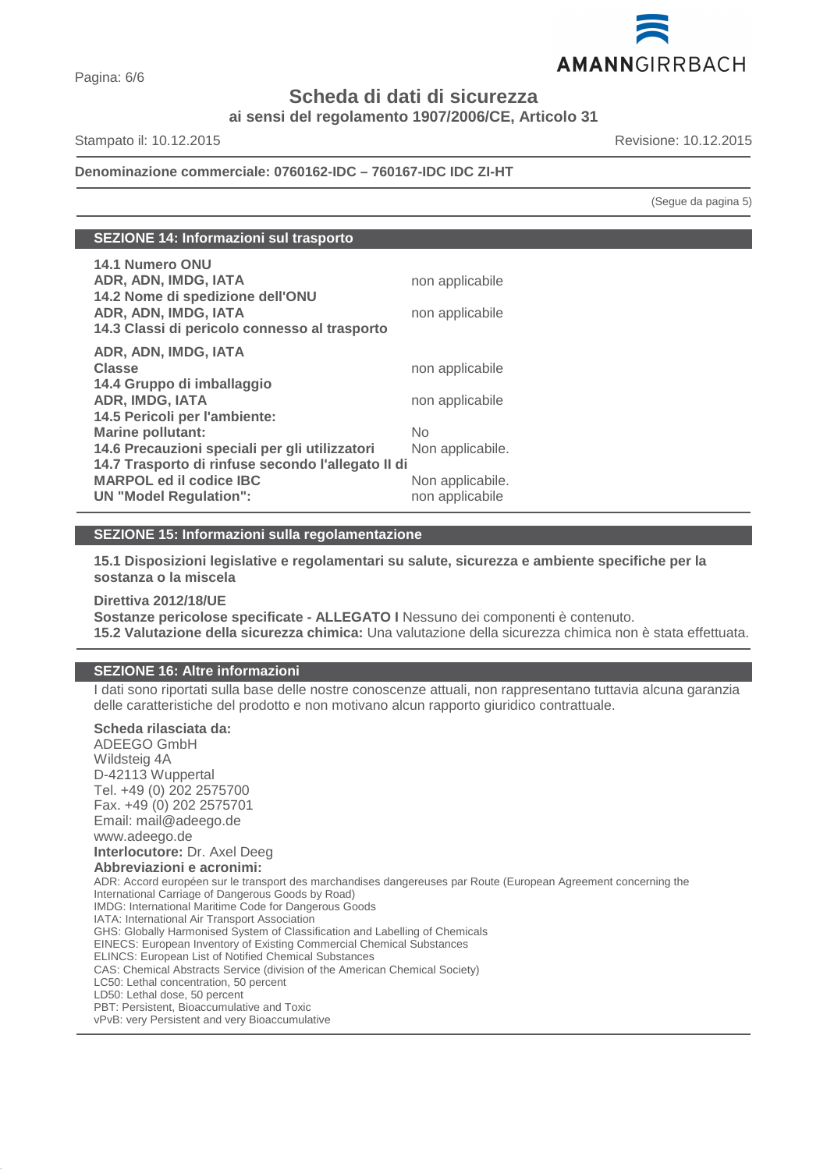

**ai sensi del regolamento 1907/2006/CE, Articolo 31**

Stampato il: 10.12.2015 Revisione: 10.12.2015

# **Denominazione commerciale: 0760162-IDC – 760167-IDC IDC ZI-HT**

(Segue da pagina 5)

| SEZIONE 14: Informazioni sul trasporto |
|----------------------------------------|
|----------------------------------------|

| 14.1 Numero ONU<br>ADR, ADN, IMDG, IATA<br>14.2 Nome di spedizione dell'ONU<br>ADR, ADN, IMDG, IATA<br>14.3 Classi di pericolo connesso al trasporto | non applicabile<br>non applicabile  |
|------------------------------------------------------------------------------------------------------------------------------------------------------|-------------------------------------|
| ADR, ADN, IMDG, IATA<br><b>Classe</b><br>14.4 Gruppo di imballaggio<br><b>ADR, IMDG, IATA</b><br>14.5 Pericoli per l'ambiente:                       | non applicabile<br>non applicabile  |
| <b>Marine pollutant:</b><br>14.6 Precauzioni speciali per gli utilizzatori                                                                           | No.<br>Non applicabile.             |
| 14.7 Trasporto di rinfuse secondo l'allegato II di<br><b>MARPOL ed il codice IBC</b><br><b>UN "Model Regulation":</b>                                | Non applicabile.<br>non applicabile |

# **SEZIONE 15: Informazioni sulla regolamentazione**

**15.1 Disposizioni legislative e regolamentari su salute, sicurezza e ambiente specifiche per la sostanza o la miscela**

**Direttiva 2012/18/UE Sostanze pericolose specificate - ALLEGATO I** Nessuno dei componenti è contenuto. **15.2 Valutazione della sicurezza chimica:** Una valutazione della sicurezza chimica non è stata effettuata.

# **SEZIONE 16: Altre informazioni**

I dati sono riportati sulla base delle nostre conoscenze attuali, non rappresentano tuttavia alcuna garanzia delle caratteristiche del prodotto e non motivano alcun rapporto giuridico contrattuale.

# **Scheda rilasciata da:**

ADEEGO GmbH Wildsteig 4A D-42113 Wuppertal Tel. +49 (0) 202 2575700 Fax. +49 (0) 202 2575701 Email: mail@adeego.de www.adeego.de **Interlocutore:** Dr. Axel Deeg **Abbreviazioni e acronimi:** ADR: Accord européen sur le transport des marchandises dangereuses par Route (European Agreement concerning the International Carriage of Dangerous Goods by Road) IMDG: International Maritime Code for Dangerous Goods IATA: International Air Transport Association GHS: Globally Harmonised System of Classification and Labelling of Chemicals EINECS: European Inventory of Existing Commercial Chemical Substances ELINCS: European List of Notified Chemical Substances CAS: Chemical Abstracts Service (division of the American Chemical Society) LC50: Lethal concentration, 50 percent LD50: Lethal dose, 50 percent PBT: Persistent, Bioaccumulative and Toxic vPvB: very Persistent and very Bioaccumulative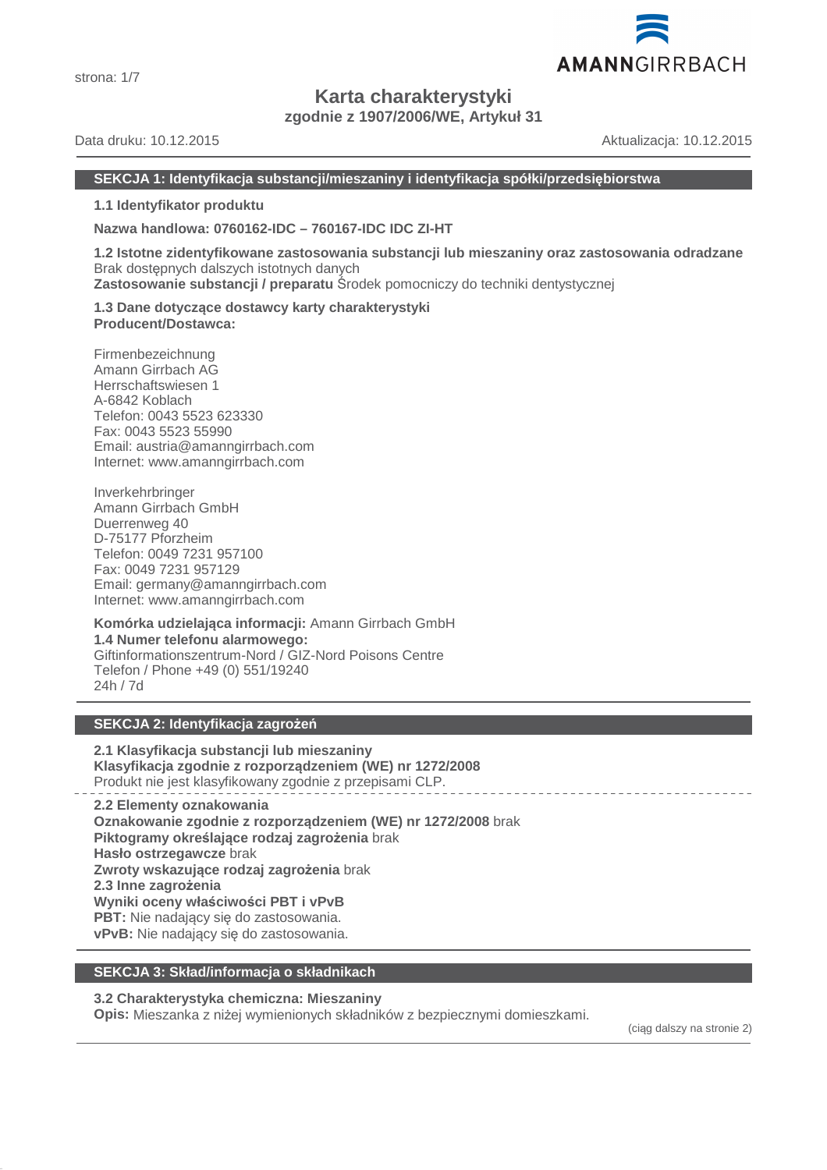

# **Karta charakterystyki**

**zgodnie z 1907/2006/WE, Artykuł 31**

Data druku: 10.12.2015 Aktualizacja: 10.12.2015

# **SEKCJA 1: Identyfikacja substancji/mieszaniny i identyfikacja spółki/przedsiębiorstwa**

**1.1 Identyfikator produktu**

**Nazwa handlowa: 0760162-IDC – 760167-IDC IDC ZI-HT**

**1.2 Istotne zidentyfikowane zastosowania substancji lub mieszaniny oraz zastosowania odradzane** Brak dostępnych dalszych istotnych danych **Zastosowanie substancji / preparatu** Środek pomocniczy do techniki dentystycznej

**1.3 Dane dotyczące dostawcy karty charakterystyki Producent/Dostawca:**

Firmenbezeichnung Amann Girrbach AG Herrschaftswiesen 1 A-6842 Koblach Telefon: 0043 5523 623330 Fax: 0043 5523 55990 Email: austria@amanngirrbach.com Internet: www.amanngirrbach.com

Inverkehrbringer Amann Girrbach GmbH Duerrenweg 40 D-75177 Pforzheim Telefon: 0049 7231 957100 Fax: 0049 7231 957129 Email: germany@amanngirrbach.com Internet: www.amanngirrbach.com

**Komórka udzielająca informacji:** Amann Girrbach GmbH **1.4 Numer telefonu alarmowego:** Giftinformationszentrum-Nord / GIZ-Nord Poisons Centre Telefon / Phone +49 (0) 551/19240 24h / 7d

# **SEKCJA 2: Identyfikacja zagrożeń**

**2.1 Klasyfikacja substancji lub mieszaniny Klasyfikacja zgodnie z rozporządzeniem (WE) nr 1272/2008** Produkt nie jest klasyfikowany zgodnie z przepisami CLP.

**2.2 Elementy oznakowania Oznakowanie zgodnie z rozporządzeniem (WE) nr 1272/2008** brak **Piktogramy określające rodzaj zagrożenia** brak **Hasło ostrzegawcze** brak **Zwroty wskazujące rodzaj zagrożenia** brak **2.3 Inne zagrożenia Wyniki oceny właściwości PBT i vPvB PBT:** Nie nadający się do zastosowania. **vPvB:** Nie nadający się do zastosowania.

# **SEKCJA 3: Skład/informacja o składnikach**

# **3.2 Charakterystyka chemiczna: Mieszaniny**

**Opis:** Mieszanka z niżej wymienionych składników z bezpiecznymi domieszkami.

(ciąg dalszy na stronie 2)

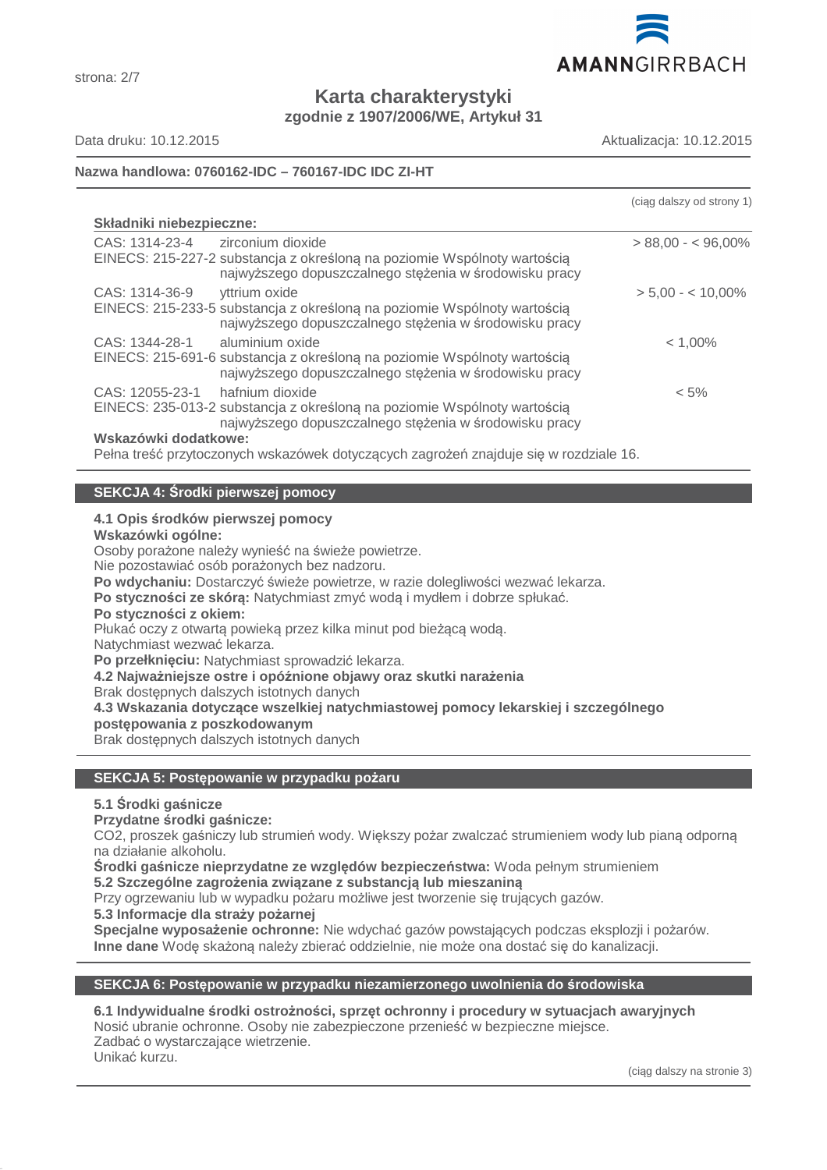

**Karta charakterystyki zgodnie z 1907/2006/WE, Artykuł 31**

strona: 2/7

Data druku: 10.12.2015 Aktualizacja: 10.12.2015

# **Nazwa handlowa: 0760162-IDC – 760167-IDC IDC ZI-HT**

|                                                                                                                                                                           | (ciag dalszy od strony 1) |
|---------------------------------------------------------------------------------------------------------------------------------------------------------------------------|---------------------------|
| Składniki niebezpieczne:                                                                                                                                                  |                           |
| CAS: 1314-23-4<br>zirconium dioxide<br>EINECS: 215-227-2 substancja z określoną na poziomie Wspólnoty wartością<br>najwyższego dopuszczalnego stężenia w środowisku pracy | $> 88,00 - 596,00\%$      |
| CAS: 1314-36-9<br>vttrium oxide<br>EINECS: 215-233-5 substancja z określoną na poziomie Wspólnoty wartością<br>najwyższego dopuszczalnego stężenia w środowisku pracy     | $> 5.00 - < 10.00\%$      |
| CAS: 1344-28-1<br>aluminium oxide<br>EINECS: 215-691-6 substancja z określoną na poziomie Wspólnoty wartością<br>najwyższego dopuszczalnego stężenia w środowisku pracy   | $< 1,00\%$                |
| CAS: 12055-23-1<br>hafnium dioxide<br>EINECS: 235-013-2 substancja z określoną na poziomie Wspólnoty wartością<br>najwyższego dopuszczalnego stężenia w środowisku pracy  | $< 5\%$                   |
| Wskazówki dodatkowe:                                                                                                                                                      |                           |
| Pełna treść przytoczonych wskazówek dotyczących zagrożeń znajduje się w rozdziale 16.                                                                                     |                           |

# **SEKCJA 4: Środki pierwszej pomocy**

# **4.1 Opis środków pierwszej pomocy**

**Wskazówki ogólne:**

Osoby porażone należy wynieść na świeże powietrze.

Nie pozostawiać osób porażonych bez nadzoru.

**Po wdychaniu:** Dostarczyć świeże powietrze, w razie dolegliwości wezwać lekarza.

**Po styczności ze skórą:** Natychmiast zmyć wodą i mydłem i dobrze spłukać.

#### **Po styczności z okiem:**

Płukać oczy z otwartą powieką przez kilka minut pod bieżącą wodą.

Natychmiast wezwać lekarza.

**Po przełknięciu:** Natychmiast sprowadzić lekarza.

**4.2 Najważniejsze ostre i opóźnione objawy oraz skutki narażenia**

Brak dostępnych dalszych istotnych danych

**4.3 Wskazania dotyczące wszelkiej natychmiastowej pomocy lekarskiej i szczególnego postępowania z poszkodowanym**

Brak dostępnych dalszych istotnych danych

# **SEKCJA 5: Postępowanie w przypadku pożaru**

# **5.1 Środki gaśnicze**

**Przydatne środki gaśnicze:**

CO2, proszek gaśniczy lub strumień wody. Większy pożar zwalczać strumieniem wody lub pianą odporną na działanie alkoholu.

**Środki gaśnicze nieprzydatne ze względów bezpieczeństwa:** Woda pełnym strumieniem

**5.2 Szczególne zagrożenia związane z substancją lub mieszaniną**

Przy ogrzewaniu lub w wypadku pożaru możliwe jest tworzenie się trujących gazów.

**5.3 Informacje dla straży pożarnej**

**Specjalne wyposażenie ochronne:** Nie wdychać gazów powstających podczas eksplozji i pożarów. **Inne dane** Wodę skażoną należy zbierać oddzielnie, nie może ona dostać się do kanalizacji.

# **SEKCJA 6: Postępowanie w przypadku niezamierzonego uwolnienia do środowiska**

**6.1 Indywidualne środki ostrożności, sprzęt ochronny i procedury w sytuacjach awaryjnych** Nosić ubranie ochronne. Osoby nie zabezpieczone przenieść w bezpieczne miejsce. Zadbać o wystarczające wietrzenie. Unikać kurzu.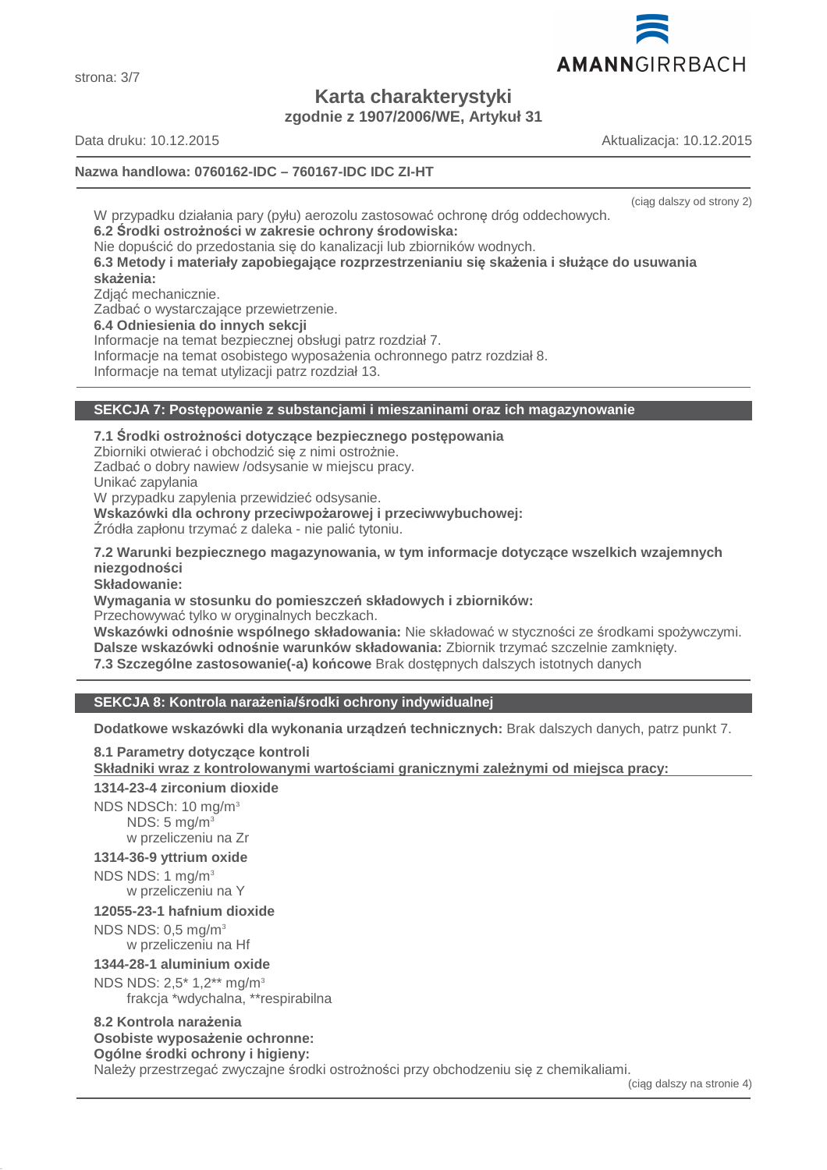(ciąg dalszy na stronie 4)

**Karta charakterystyki**

**zgodnie z 1907/2006/WE, Artykuł 31**

Data druku: 10.12.2015 Aktualizacja: 10.12.2015

strona: 3/7

# **Nazwa handlowa: 0760162-IDC – 760167-IDC IDC ZI-HT**

W przypadku działania pary (pyłu) aerozolu zastosować ochronę dróg oddechowych. **6.2 Środki ostrożności w zakresie ochrony środowiska:** Nie dopuścić do przedostania się do kanalizacji lub zbiorników wodnych. **6.3 Metody i materiały zapobiegające rozprzestrzenianiu się skażenia i służące do usuwania skażenia:** Zdjąć mechanicznie. Zadbać o wystarczające przewietrzenie. **6.4 Odniesienia do innych sekcji** Informacje na temat bezpiecznej obsługi patrz rozdział 7. Informacje na temat osobistego wyposażenia ochronnego patrz rozdział 8. Informacje na temat utylizacji patrz rozdział 13.

# **SEKCJA 7: Postępowanie z substancjami i mieszaninami oraz ich magazynowanie**

**7.1 Środki ostrożności dotyczące bezpiecznego postępowania** Zbiorniki otwierać i obchodzić się z nimi ostrożnie. Zadbać o dobry nawiew /odsysanie w miejscu pracy. Unikać zapylania W przypadku zapylenia przewidzieć odsysanie. **Wskazówki dla ochrony przeciwpożarowej i przeciwwybuchowej:** Źródła zapłonu trzymać z daleka - nie palić tytoniu.

**7.2 Warunki bezpiecznego magazynowania, w tym informacje dotyczące wszelkich wzajemnych niezgodności**

**Składowanie:**

**Wymagania w stosunku do pomieszczeń składowych i zbiorników:**

Przechowywać tylko w oryginalnych beczkach.

**Wskazówki odnośnie wspólnego składowania:** Nie składować w styczności ze środkami spożywczymi. **Dalsze wskazówki odnośnie warunków składowania:** Zbiornik trzymać szczelnie zamknięty. **7.3 Szczególne zastosowanie(-a) końcowe** Brak dostępnych dalszych istotnych danych

# **SEKCJA 8: Kontrola narażenia/środki ochrony indywidualnej**

**Dodatkowe wskazówki dla wykonania urządzeń technicznych:** Brak dalszych danych, patrz punkt 7.

**8.1 Parametry dotyczące kontroli Składniki wraz z kontrolowanymi warto ściami granicznymi zale żnymi od miejsca pracy: 1314-23-4 zirconium dioxide**

NDS NDSCh: 10 mg/m<sup>3</sup>  $NDS: 5$  mg/m<sup>3</sup> w przeliczeniu na Zr

# **1314-36-9 yttrium oxide**

NDS NDS: 1 mg/m<sup>3</sup> w przeliczeniu na Y

# **12055-23-1 hafnium dioxide**

NDS NDS: 0,5 mg/m<sup>3</sup> w przeliczeniu na Hf

# **1344-28-1 aluminium oxide**

NDS NDS: 2,5\* 1,2\*\* mg/m<sup>3</sup>

frakcja \*wdychalna, \*\*respirabilna

#### **8.2 Kontrola narażenia Osobiste wyposażenie ochronne:**

**Ogólne środki ochrony i higieny:**

Należy przestrzegać zwyczajne środki ostrożności przy obchodzeniu się z chemikaliami.



(ciąg dalszy od strony 2)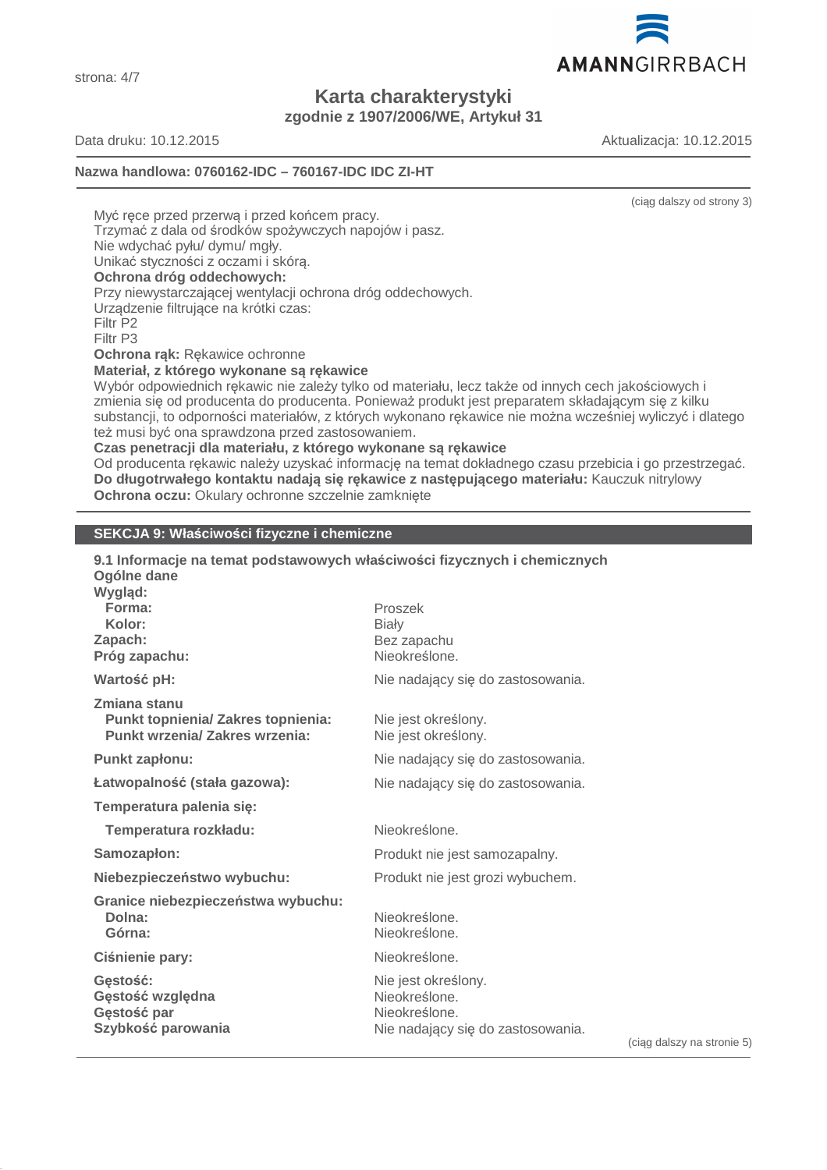AMANNGIRRBACH

**Karta charakterystyki zgodnie z 1907/2006/WE, Artykuł 31**

strona: 4/7

Data druku: 10.12.2015 Aktualizacja: 10.12.2015

# **Nazwa handlowa: 0760162-IDC – 760167-IDC IDC ZI-HT**

(ciąg dalszy od strony 3)

Myć ręce przed przerwą i przed końcem pracy.

Trzymać z dala od środków spożywczych napojów i pasz.

Nie wdychać pyłu/ dymu/ mgły.

Unikać styczności z oczami i skórą.

# **Ochrona dróg oddechowych:**

Przy niewystarczającej wentylacji ochrona dróg oddechowych.

Urządzenie filtrujące na krótki czas:

Filtr P2

Filtr P3

#### **Ochrona rąk:** Rękawice ochronne

**Materiał, z którego wykonane są rękawice**

Wybór odpowiednich rękawic nie zależy tylko od materiału, lecz także od innych cech jakościowych i zmienia się od producenta do producenta. Ponieważ produkt jest preparatem składającym się z kilku substancji, to odporności materiałów, z których wykonano rękawice nie można wcześniej wyliczyć i dlatego też musi być ona sprawdzona przed zastosowaniem.

**Czas penetracji dla materiału, z którego wykonane są rękawice**

Od producenta rękawic należy uzyskać informację na temat dokładnego czasu przebicia i go przestrzegać. **Do długotrwałego kontaktu nadają się rękawice z następującego materiału:** Kauczuk nitrylowy **Ochrona oczu:** Okulary ochronne szczelnie zamknięte

# **SEKCJA 9: Właściwości fizyczne i chemiczne**

| 9.1 Informacje na temat podstawowych właściwości fizycznych i chemicznych<br>Ogólne dane<br>Wygląd: |                                                                                                          |
|-----------------------------------------------------------------------------------------------------|----------------------------------------------------------------------------------------------------------|
| Forma:                                                                                              | Proszek                                                                                                  |
| Kolor:<br>Zapach:                                                                                   | <b>Biały</b><br>Bez zapachu                                                                              |
| Próg zapachu:                                                                                       | Nieokreślone.                                                                                            |
| Wartość pH:                                                                                         | Nie nadający się do zastosowania.                                                                        |
| Zmiana stanu<br>Punkt topnienia/ Zakres topnienia:<br><b>Punkt wrzenia/ Zakres wrzenia:</b>         | Nie jest określony.<br>Nie jest określony.                                                               |
| Punkt zapłonu:                                                                                      | Nie nadający się do zastosowania.                                                                        |
| Łatwopalność (stała gazowa):                                                                        | Nie nadający się do zastosowania.                                                                        |
| Temperatura palenia się:                                                                            |                                                                                                          |
| Temperatura rozkładu:                                                                               | Nieokreślone.                                                                                            |
| Samozapłon:                                                                                         | Produkt nie jest samozapalny.                                                                            |
| Niebezpieczeństwo wybuchu:                                                                          | Produkt nie jest grozi wybuchem.                                                                         |
| Granice niebezpieczeństwa wybuchu:                                                                  |                                                                                                          |
| Dolna:<br>Górna:                                                                                    | Nieokreślone.<br>Nieokreślone.                                                                           |
| Ciśnienie pary:                                                                                     | Nieokreślone.                                                                                            |
| Gestość:<br>Gęstość względna<br>Gęstość par<br>Szybkość parowania                                   | Nie jest określony.<br>Nieokreślone.<br>Nieokreślone.<br>Nie nadający się do zastosowania.<br>(cian dals |

(ciąg dalszy na stronie 5)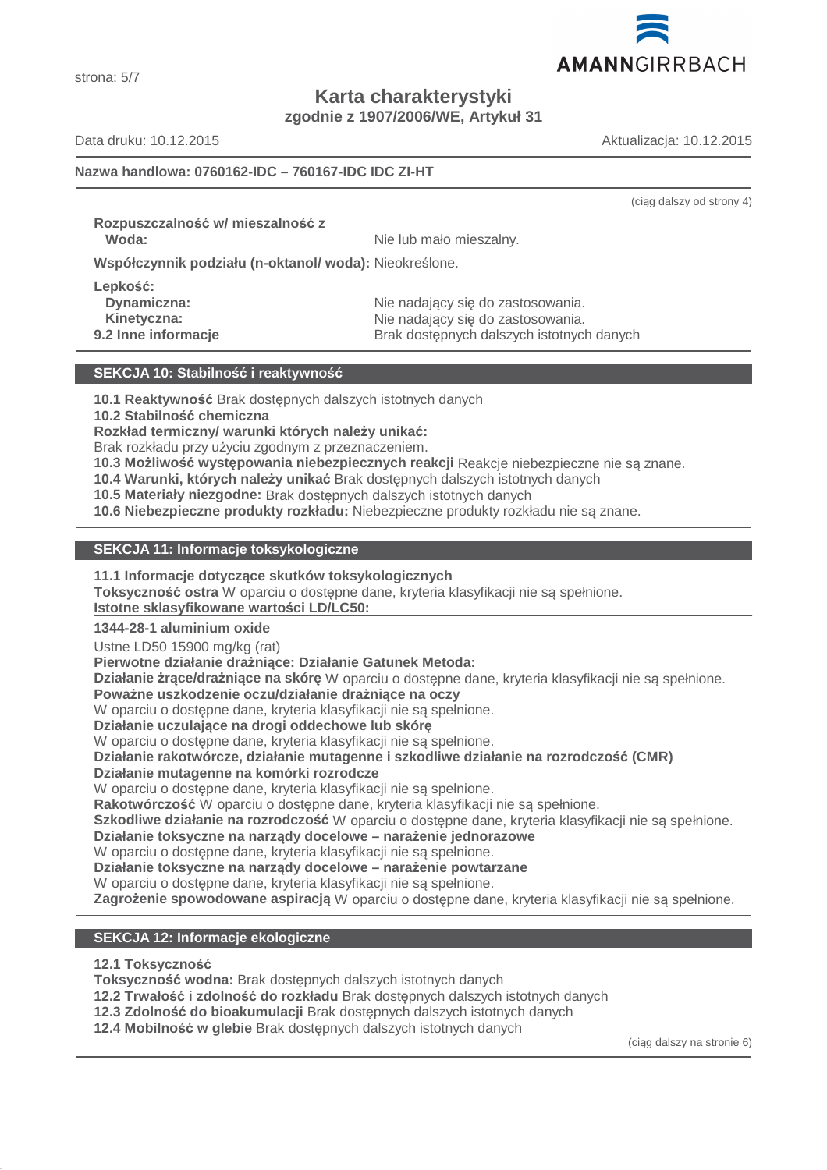

strona: 5/7

**Karta charakterystyki**

**zgodnie z 1907/2006/WE, Artykuł 31**

Data druku: 10.12.2015 Aktualizacja: 10.12.2015

(ciąg dalszy od strony 4)

# **Nazwa handlowa: 0760162-IDC – 760167-IDC IDC ZI-HT**

**Rozpuszczalność w/ mieszalność z**

**Woda:** Nie lub mało mieszalny.

**Współczynnik podziału (n-oktanol/ woda):** Nieokreślone.

**Lepkość:**

Dynamiczna: **Nie nadający się do zastosowania.** Nie nadający się do zastosowania. **Kinetyczna:** Nie nadający się do zastosowania. **9.2 Inne informacje Brak dostępnych dalszych istotnych danych** 

# **SEKCJA 10: Stabilność i reaktywność**

**10.1 Reaktywność** Brak dostępnych dalszych istotnych danych

**10.2 Stabilność chemiczna**

**Rozkład termiczny/ warunki których należy unikać:**

Brak rozkładu przy użyciu zgodnym z przeznaczeniem.

**10.3 Możliwość występowania niebezpiecznych reakcji** Reakcje niebezpieczne nie są znane.

**10.4 Warunki, których należy unikać** Brak dostępnych dalszych istotnych danych

**10.5 Materiały niezgodne:** Brak dostępnych dalszych istotnych danych

**10.6 Niebezpieczne produkty rozkładu:** Niebezpieczne produkty rozkładu nie są znane.

# **SEKCJA 11: Informacje toksykologiczne**

**11.1 Informacje dotyczące skutków toksykologicznych**

**Toksyczność ostra** W oparciu o dostępne dane, kryteria klasyfikacji nie są spełnione.

**Istotne sklasyfikowane wartości LD/LC50:** 

# **1344-28-1 aluminium oxide**

Ustne LD50 15900 mg/kg (rat)

**Pierwotne działanie drażniące: Działanie Gatunek Metoda:**

**Działanie żrące/drażniące na skórę** W oparciu o dostępne dane, kryteria klasyfikacji nie są spełnione.

# **Poważne uszkodzenie oczu/działanie drażniące na oczy**

W oparciu o dostępne dane, kryteria klasyfikacji nie są spełnione.

**Działanie uczulające na drogi oddechowe lub skórę**

W oparciu o dostępne dane, kryteria klasyfikacji nie są spełnione.

**Działanie rakotwórcze, działanie mutagenne i szkodliwe działanie na rozrodczość (CMR)**

# **Działanie mutagenne na komórki rozrodcze**

W oparciu o dostępne dane, kryteria klasyfikacji nie są spełnione.

**Rakotwórczość** W oparciu o dostępne dane, kryteria klasyfikacji nie są spełnione.

**Szkodliwe działanie na rozrodczość** W oparciu o dostępne dane, kryteria klasyfikacji nie są spełnione.

**Działanie toksyczne na narządy docelowe – narażenie jednorazowe**

W oparciu o dostępne dane, kryteria klasyfikacji nie są spełnione.

**Działanie toksyczne na narządy docelowe – narażenie powtarzane**

W oparciu o dostępne dane, kryteria klasyfikacji nie są spełnione.

**Zagrożenie spowodowane aspiracją** W oparciu o dostępne dane, kryteria klasyfikacji nie są spełnione.

# **SEKCJA 12: Informacje ekologiczne**

**12.1 Toksyczność**

**Toksyczność wodna:** Brak dostępnych dalszych istotnych danych

**12.2 Trwałość i zdolność do rozkładu** Brak dostępnych dalszych istotnych danych

**12.3 Zdolność do bioakumulacji** Brak dostępnych dalszych istotnych danych

**12.4 Mobilność w glebie** Brak dostępnych dalszych istotnych danych

(ciąg dalszy na stronie 6)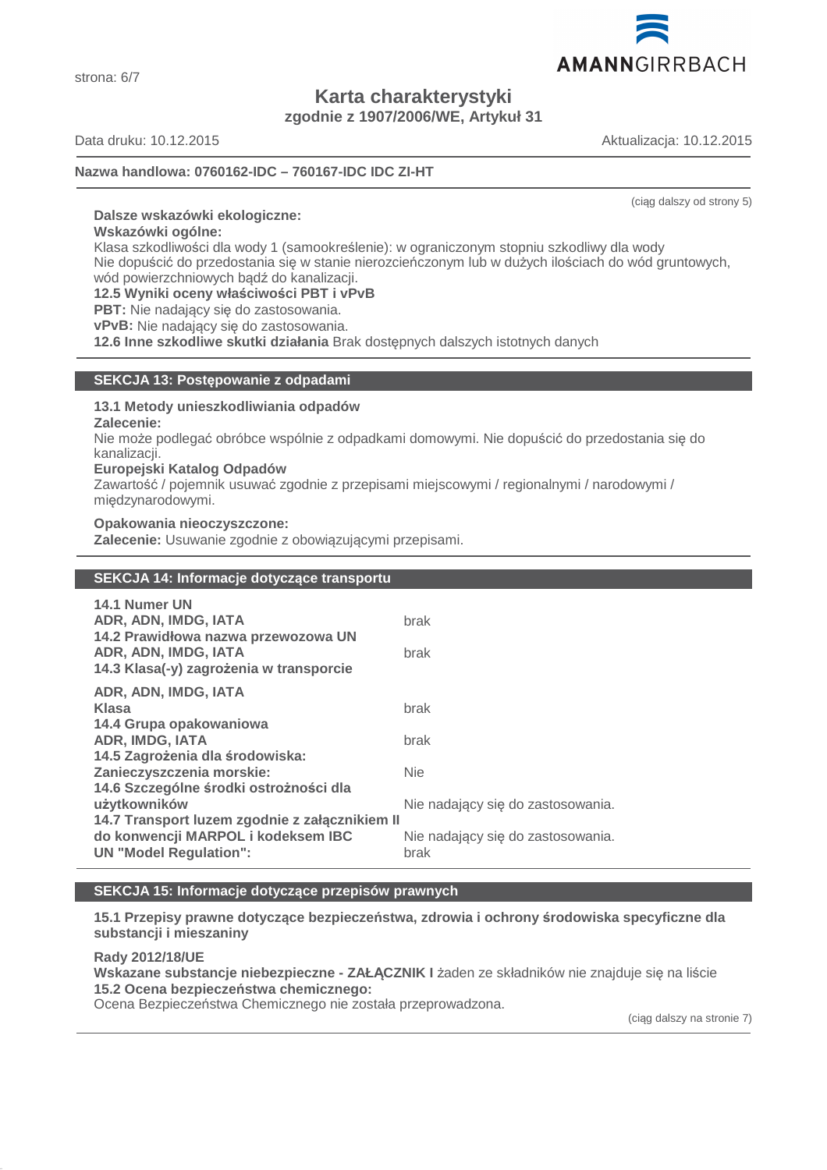

**Karta charakterystyki zgodnie z 1907/2006/WE, Artykuł 31**

strona: 6/7

Data druku: 10.12.2015 Aktualizacja: 10.12.2015

# **Nazwa handlowa: 0760162-IDC – 760167-IDC IDC ZI-HT**

(ciąg dalszy od strony 5)

# **Dalsze wskazówki ekologiczne:**

**Wskazówki ogólne:**

Klasa szkodliwości dla wody 1 (samookreślenie): w ograniczonym stopniu szkodliwy dla wody Nie dopuścić do przedostania się w stanie nierozcieńczonym lub w dużych ilościach do wód gruntowych, wód powierzchniowych bądź do kanalizacji.

**12.5 Wyniki oceny właściwości PBT i vPvB**

**PBT:** Nie nadający się do zastosowania.

**vPvB:** Nie nadający się do zastosowania.

**12.6 Inne szkodliwe skutki działania** Brak dostępnych dalszych istotnych danych

# **SEKCJA 13: Postępowanie z odpadami**

#### **13.1 Metody unieszkodliwiania odpadów**

**Zalecenie:**

Nie może podlegać obróbce wspólnie z odpadkami domowymi. Nie dopuścić do przedostania się do kanalizacji.

#### **Europejski Katalog Odpadów**

Zawartość / pojemnik usuwać zgodnie z przepisami miejscowymi / regionalnymi / narodowymi / międzynarodowymi.

#### **Opakowania nieoczyszczone:**

**Zalecenie:** Usuwanie zgodnie z obowiązującymi przepisami.

# **SEKCJA 14: Informacje dotyczące transportu**

| <b>14.1 Numer UN</b><br>ADR, ADN, IMDG, IATA<br>14.2 Prawidłowa nazwa przewozowa UN | brak                                      |
|-------------------------------------------------------------------------------------|-------------------------------------------|
| ADR, ADN, IMDG, IATA<br>14.3 Klasa(-y) zagrożenia w transporcie                     | brak                                      |
| ADR, ADN, IMDG, IATA                                                                |                                           |
| Klasa                                                                               | brak                                      |
| 14.4 Grupa opakowaniowa                                                             |                                           |
| <b>ADR, IMDG, IATA</b>                                                              | brak                                      |
| 14.5 Zagrożenia dla środowiska:                                                     |                                           |
| Zanieczyszczenia morskie:                                                           | <b>Nie</b>                                |
| 14.6 Szczególne środki ostrożności dla                                              |                                           |
| użytkowników                                                                        | Nie nadający się do zastosowania.         |
| 14.7 Transport luzem zgodnie z załącznikiem II                                      |                                           |
| do konwencji MARPOL i kodeksem IBC<br><b>UN "Model Regulation":</b>                 | Nie nadający się do zastosowania.<br>brak |

# **SEKCJA 15: Informacje dotyczące przepisów prawnych**

**15.1 Przepisy prawne dotyczące bezpieczeństwa, zdrowia i ochrony środowiska specyficzne dla substancji i mieszaniny**

**Rady 2012/18/UE Wskazane substancje niebezpieczne - ZAŁĄCZNIK I** żaden ze składników nie znajduje się na liście **15.2 Ocena bezpieczeństwa chemicznego:**

Ocena Bezpieczeństwa Chemicznego nie została przeprowadzona.

(ciąg dalszy na stronie 7)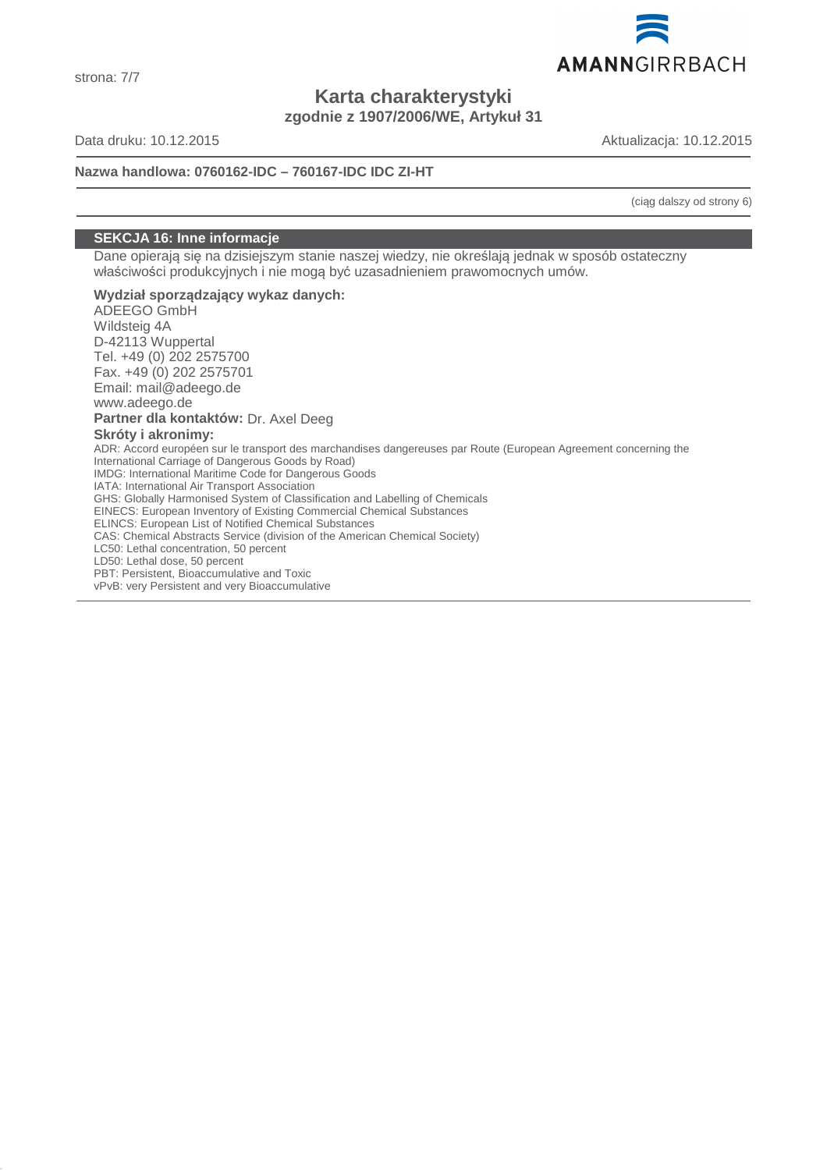

**Karta charakterystyki zgodnie z 1907/2006/WE, Artykuł 31**

Data druku: 10.12.2015 Aktualizacja: 10.12.2015

# **Nazwa handlowa: 0760162-IDC – 760167-IDC IDC ZI-HT**

(ciąg dalszy od strony 6)

# **SEKCJA 16: Inne informacje**

Dane opierają się na dzisiejszym stanie naszej wiedzy, nie określają jednak w sposób ostateczny właściwości produkcyjnych i nie mogą być uzasadnieniem prawomocnych umów.

#### **Wydział sporządzający wykaz danych:** ADEEGO GmbH

Wildsteig 4A D-42113 Wuppertal Tel. +49 (0) 202 2575700 Fax. +49 (0) 202 2575701 Email: mail@adeego.de www.adeego.de **Partner dla kontaktów:** Dr. Axel Deeg **Skróty i akronimy:** ADR: Accord européen sur le transport des marchandises dangereuses par Route (European Agreement concerning the International Carriage of Dangerous Goods by Road) IMDG: International Maritime Code for Dangerous Goods IATA: International Air Transport Association GHS: Globally Harmonised System of Classification and Labelling of Chemicals EINECS: European Inventory of Existing Commercial Chemical Substances ELINCS: European List of Notified Chemical Substances CAS: Chemical Abstracts Service (division of the American Chemical Society) LC50: Lethal concentration, 50 percent LD50: Lethal dose, 50 percent PBT: Persistent, Bioaccumulative and Toxic vPvB: very Persistent and very Bioaccumulative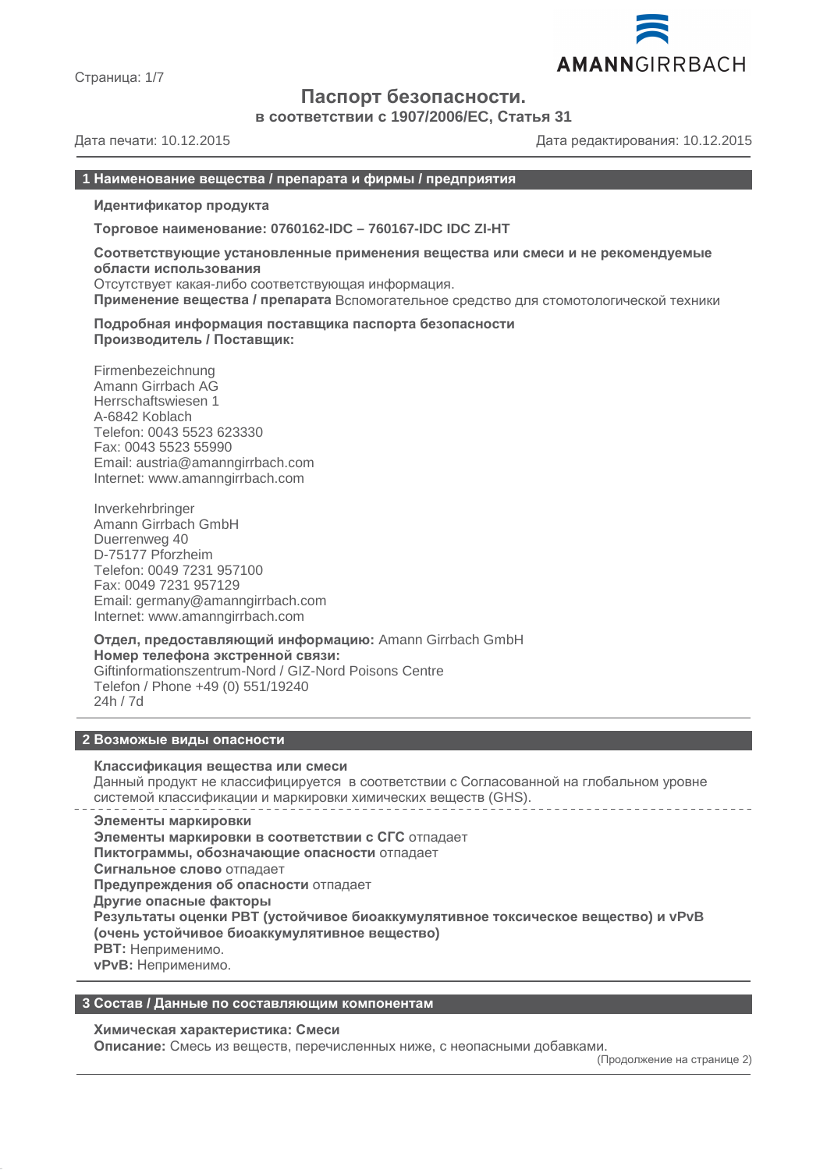

Страница: 1/7

# **Паспорт безопасности.**

**в соответствии с 1907/2006/EC, Статья 31**

Дата печати: 10.12.2015 Дата редактирования: 10.12.2015

# **1 Наименование вещества / препарата и фирмы / предприятия**

**Идентификатор продукта**

**Торговое наименование: 0760162-IDC – 760167-IDC IDC ZI-HT**

**Соответствующие установленные применения вещества или смеси и не рекомендуемые области использования** Отсутствует какая-либо соответствующая информация.

**Применение вещества / препарата** Вспомогательное средство для стомотологической техники

**Подробная информация поставщика паспорта безопасности Производитель / Поставщик:**

Firmenbezeichnung Amann Girrbach AG Herrschaftswiesen 1 A-6842 Koblach Telefon: 0043 5523 623330 Fax: 0043 5523 55990 Email: austria@amanngirrbach.com Internet: www.amanngirrbach.com

Inverkehrbringer Amann Girrbach GmbH Duerrenweg 40 D-75177 Pforzheim Telefon: 0049 7231 957100 Fax: 0049 7231 957129 Email: germany@amanngirrbach.com Internet: www.amanngirrbach.com

**Отдел, предоставляющий информацию:** Amann Girrbach GmbH **Номер телефона экстренной связи:** Giftinformationszentrum-Nord / GIZ-Nord Poisons Centre Telefon / Phone +49 (0) 551/19240 24h / 7d

#### **2 Возможые виды опасности**

#### **Классификация вещества или смеси**

Данный продукт не классифицируется в соответствии с Согласованной на глобальном уровне системой классификации и маркировки химических веществ (GHS).

**Элементы маркировки Элементы маркировки в соответствии с СГС** отпадает **Пиктограммы, обозначающие опасности** отпадает **Сигнальное слово** отпадает **Предупреждения об опасности** отпадает **Другие опасные факторы Результаты оценки PBT (устойчивое биоаккумулятивное токсическое вещество) и vPvB (очень устойчивое биоаккумулятивное вещество) PBT:** Неприменимо. **vPvB:** Неприменимо.

# **3 Состав / Данные по составляющим компонентам**

#### **Химическая характеристика: Смеси**

**Описание:** Смесь из веществ, перечисленных ниже, с неопасными добавками.

(Продолжение на странице 2)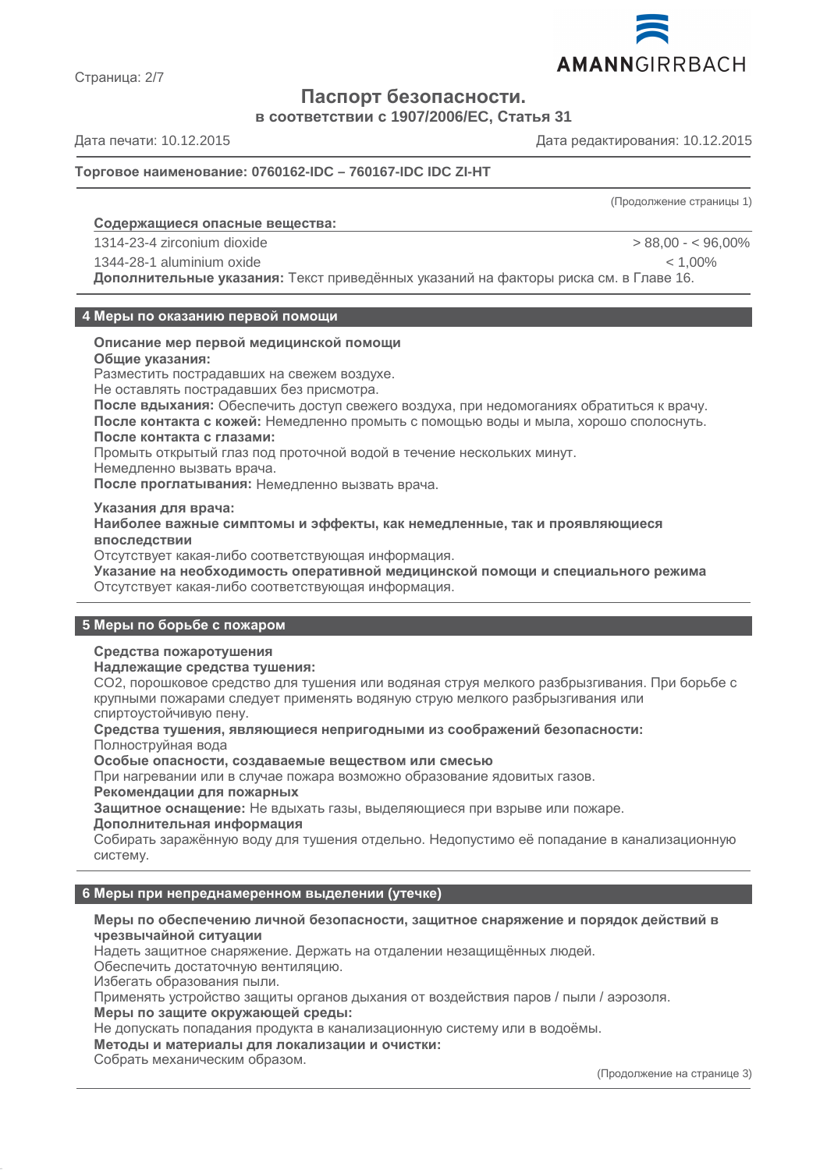

Страница: 2/7

# **Паспорт безопасности.**

**в соответствии с 1907/2006/EC, Статья 31**

Дата печати: 10.12.2015 Дата редактирования: 10.12.2015

# **Торговое наименование: 0760162-IDC – 760167-IDC IDC ZI-HT**

(Продолжение страницы 1)

# **Содержащиеся опасные вещества :**

1314-23-4 zirconium dioxide > 88,00 - < 96,00%

1344-28-1 aluminium oxide < 1,00%

**Дополнительные указания:** Текст приведённых указаний на факторы риска см. в Главе 16.

#### **4 Меры по оказанию первой помощи**

# **Описание мер первой медицинской помощи**

**Общие указания:**

Разместить пострадавших на свежем воздухе.

Не оставлять пострадавших без присмотра.

**После вдыхания:** Обеспечить доступ свежего воздуха, при недомоганиях обратиться к врачу. **После контакта с кожей:** Немедленно промыть с помощью воды и мыла, хорошо сполоснуть. **После контакта с глазами:**

Промыть открытый глаз под проточной водой в течение нескольких минут.

Немедленно вызвать врача.

**После проглатывания:** Немедленно вызвать врача.

**Указания для врача:**

**Наиболее важные симптомы и эффекты, как немедленные, так и проявляющиеся впоследствии**

Отсутствует какая-либо соответствующая информация.

**Указание на необходимость оперативной медицинской помощи и специального режима** Отсутствует какая-либо соответствующая информация.

# **5 Меры по борьбе с пожаром**

# **Средства пожаротушения**

**Надлежащие средства тушения:**

CO2, порошковое средство для тушения или водяная струя мелкого разбрызгивания. При борьбе с крупными пожарами следует применять водяную струю мелкого разбрызгивания или спиртоустойчивую пену.

**Средства тушения, являющиеся непригодными из соображений безопасности:** Полноструйная вода

**Особые опасности, создаваемые веществом или смесью**

При нагревании или в случае пожара возможно образование ядовитых газов.

**Рекомендации для пожарных**

**Защитное оснащение:** Не вдыхать газы, выделяющиеся при взрыве или пожаре.

#### **Дополнительная информация**

Собирать заражённую воду для тушения отдельно. Недопустимо её попадание в канализационную систему.

# **6 Меры при непреднамеренном выделении (утечке)**

#### **Меры по обеспечению личной безопасности, защитное снаряжение и порядок действий в чрезвычайной ситуации**

Надеть защитное снаряжение. Держать на отдалении незащищённых людей.

Обеспечить достаточную вентиляцию.

Избегать образования пыли.

Применять устройство защиты органов дыхания от воздействия паров / пыли / аэрозоля.

**Меры по защите окружающей среды:**

Не допускать попадания продукта в канализационную систему или в водоёмы.

**Методы и материалы для локализации и очистки:**

Собрать механическим образом.

(Продолжение на странице 3)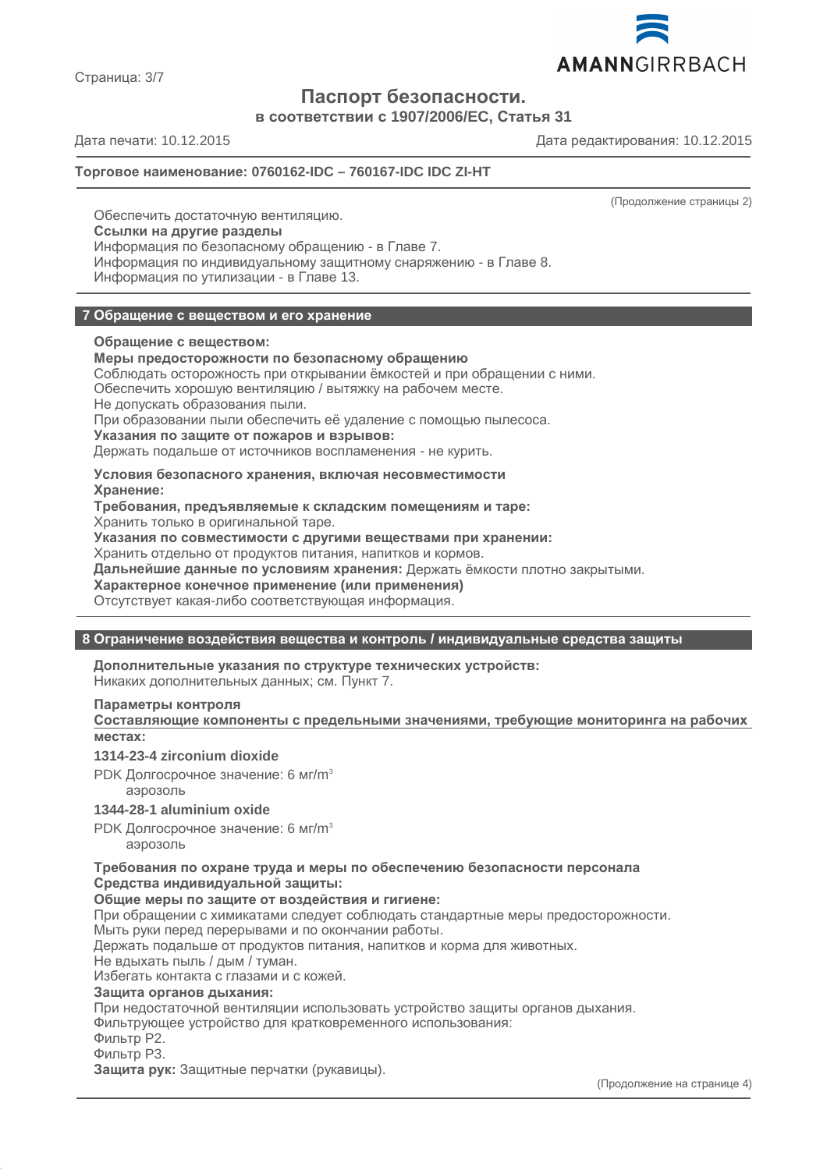

Страница: 3/7

# **Паспорт безопасности.**

**в соответствии с 1907/2006/EC, Статья 31**

Дата печати: 10.12.2015 Дата редактирования: 10.12.2015

# **Торговое наименование: 0760162-IDC – 760167-IDC IDC ZI-HT**

(Продолжение страницы 2)

Обеспечить достаточную вентиляцию. **Ссылки на другие разделы** Информация по безопасному обращению - в Главе 7. Информация по индивидуальному защитному снаряжению - в Главе 8. Информация по утилизации - в Главе 13.

# **7 Обращение с веществом и его хранение**

# **Обращение с веществом:**

# **Меры предосторожности по безопасному обращению**

Соблюдать осторожность при открывании ёмкостей и при обращении с ними.

Обеспечить хорошую вентиляцию / вытяжку на рабочем месте.

Не допускать образования пыли.

При образовании пыли обеспечить её удаление с помощью пылесоса.

**Указания по защите от пожаров и взрывов:**

Держать подальше от источников воспламенения - не курить.

# **Условия безопасного хранения, включая несовместимости Хранение:**

**Требования, предъявляемые к складским помещениям и таре:**

Хранить только в оригинальной таре.

**Указания по совместимости с другими веществами при хранении:**

Хранить отдельно от продуктов питания, напитков и кормов.

**Дальнейшие данные по условиям хранения:** Держать ёмкости плотно закрытыми.

**Характерное конечное применение (или применения)**

Отсутствует какая-либо соответствующая информация.

# **8 Ограничение воздействия вещества и контроль / индивидуальные средства защиты**

**Дополнительные указания по структуре технических устройств:** Никаких дополнительных данных; см. Пункт 7.

# **Параметры контроля**

**Составляющие компоненты с предельными значениями, требующие мониторинга на рабочих местах:**

# **1314-23-4 zirconium dioxide**

PDK Долгосрочное значение: 6 мг/m<sup>3</sup> аэрозоль

# **1344-28-1 aluminium oxide**

PDK Долгосрочное значение: 6 мг/m<sup>3</sup>

аэрозоль

**Требования по охране труда и меры по обеспечению безопасности персонала Средства индивидуальной защиты:**

#### **Общие меры по защите от воздействия и гигиене:**

При обращении с химикатами следует соблюдать стандартные меры предосторожности.

Мыть руки перед перерывами и по окончании работы.

Держать подальше от продуктов питания, напитков и корма для животных.

Не вдыхать пыль / дым / туман.

Избегать контакта с глазами и с кожей.

#### **Защита органов дыхания:**

При недостаточной вентиляции использовать устройство защиты органов дыхания.

Фильтрующее устройство для кратковременного использования:

Фильтр P2.

Фильтр P3.

**Защита рук:** Защитные перчатки (рукавицы).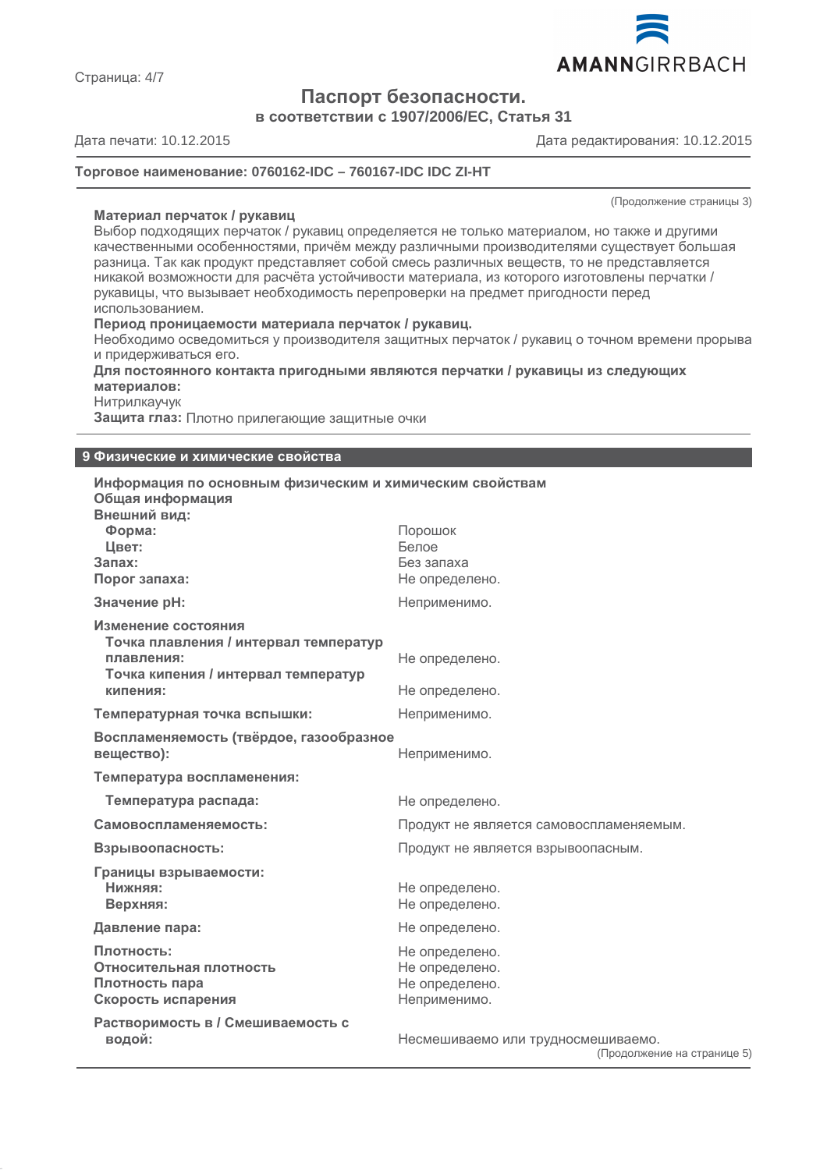

**Паспорт безопасности.**

**в соответствии с 1907/2006/EC, Статья 31**

Дата печати: 10.12.2015 Дата редактирования: 10.12.2015

# **Торговое наименование: 0760162-IDC – 760167-IDC IDC ZI-HT**

(Продолжение страницы 3)

**Материал перчаток / рукавиц** Выбор подходящих перчаток / рукавиц определяется не только материалом, но также и другими качественными особенностями, причём между различными производителями существует большая разница. Так как продукт представляет собой смесь различных веществ, то не представляется никакой возможности для расчёта устойчивости материала, из которого изготовлены перчатки / рукавицы, что вызывает необходимость перепроверки на предмет пригодности перед использованием.

#### **Период проницаемости материала перчаток / рукавиц.**

Необходимо осведомиться у производителя защитных перчаток / рукавиц о точном времени прорыва и придерживаться его.

**Для постоянного контакта пригодными являются перчатки / рукавицы из следующих материалов:**

Нитрилкаучук

**Защита глаз:** Плотно прилегающие защитные очки

#### **9 Физические и химические свойства**

| Информация по основным физическим и химическим свойствам<br>Общая информация                                                  |                                                                    |
|-------------------------------------------------------------------------------------------------------------------------------|--------------------------------------------------------------------|
| Внешний вид:<br>Форма:<br>Цвет:<br>Запах:<br>Порог запаха:                                                                    | Порошок<br>Белое<br>Без запаха<br>Не определено.                   |
| Значение рН:                                                                                                                  | Неприменимо.                                                       |
| Изменение состояния<br>Точка плавления / интервал температур<br>плавления:<br>Точка кипения / интервал температур<br>кипения: | Не определено.<br>Не определено.                                   |
| Температурная точка вспышки:                                                                                                  | Неприменимо.                                                       |
| Воспламеняемость (твёрдое, газообразное<br>вещество):                                                                         | Неприменимо.                                                       |
| Температура воспламенения:                                                                                                    |                                                                    |
| Температура распада:                                                                                                          | Не определено.                                                     |
| Самовоспламеняемость:                                                                                                         | Продукт не является самовоспламеняемым.                            |
| Взрывоопасность:                                                                                                              | Продукт не является взрывоопасным.                                 |
| Границы взрываемости:<br>Нижняя:<br>Верхняя:                                                                                  | Не определено.<br>Не определено.                                   |
| Давление пара:                                                                                                                | Не определено.                                                     |
| Плотность:<br>Относительная плотность<br>Плотность пара<br>Скорость испарения                                                 | Не определено.<br>Не определено.<br>Не определено.<br>Неприменимо. |
| Растворимость в / Смешиваемость с<br>водой:                                                                                   | Несмешиваемо или трудносмешиваемо.<br>(Продолжение на странице 5)  |

Страница: 4/7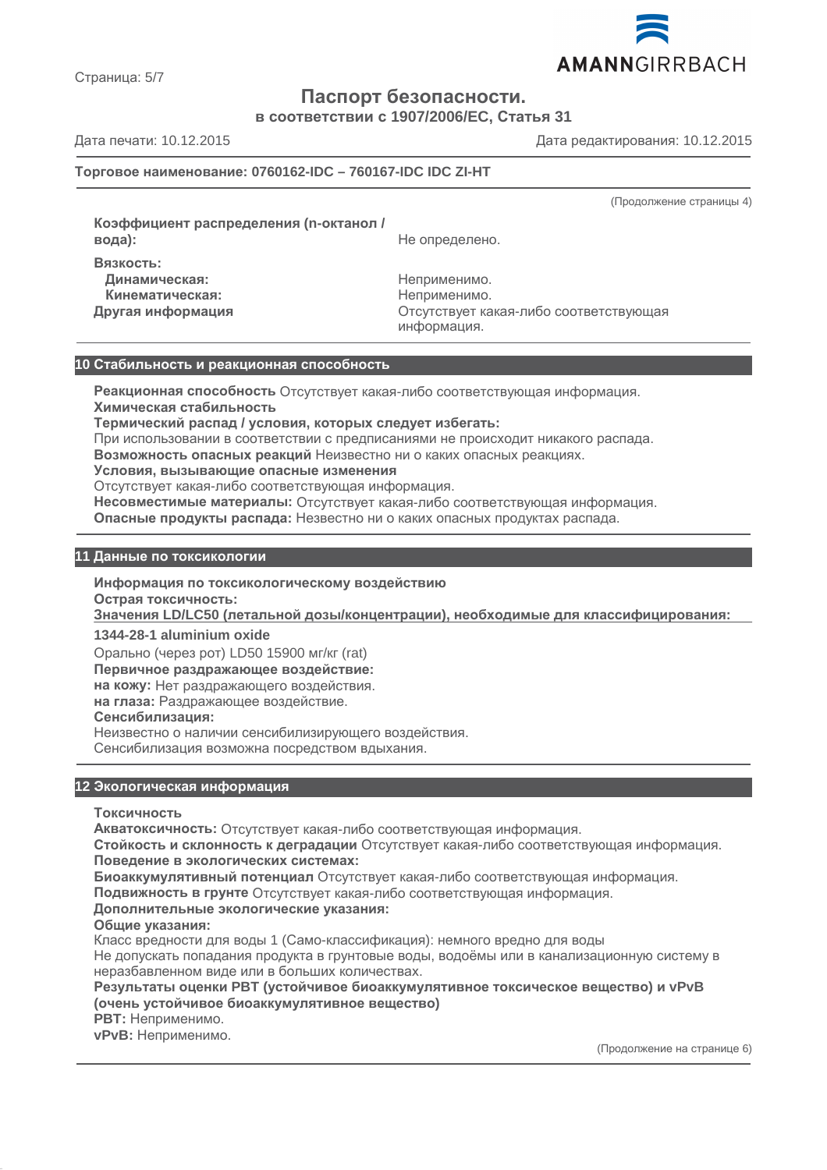

Страница: 5/7

# **Паспорт безопасности.**

**в соответствии с 1907/2006/EC, Статья 31**

Дата печати: 10.12.2015 Дата редактирования: 10.12.2015

# **Торговое наименование: 0760162-IDC – 760167-IDC IDC ZI-HT**

(Продолжение страницы 4)

**Коэффициент распределения (n-октанол / Вязкость:**

**вода):** Не определено.

**Динамическая:** Неприменимо. **Кинематическая:** Неприменимо.

**Другая информация** Отсутствует какая-либо соответствующая информация.

# **10 Стабильность и реакционная способность**

**Реакционная способность** Отсутствует какая-либо соответствующая информация. **Химическая стабильность**

**Термический распад / условия, которых следует избегать:**

При использовании в соответствии с предписаниями не происходит никакого распада.

**Возможность опасных реакций** Неизвестно ни о каких опасных реакциях.

**Условия, вызывающие опасные изменения**

Отсутствует какая-либо соответствующая информация.

**Несовместимые материалы:** Отсутствует какая-либо соответствующая информация.

**Опасные продукты распада:** Незвестно ни о каких опасных продуктах распада.

# **11 Данные по токсикологии**

**Информация по токсикологическому воздействию**

**Острая токсичность:**

**Значения LD/LC50 (летальной дозы/концентрации), необходимые для классифицирования :**

**1344-28-1 aluminium oxide**

Орально (через рот) LD50 15900 мг/кг (rat)

**Первичное раздражающее воздействие:**

**на кожу:** Нет раздражающего воздействия.

**на глаза:** Раздражающее воздействие.

# **Сенсибилизация:**

Неизвестно о наличии сенсибилизирующего воздействия.

Сенсибилизация возможна посредством вдыхания.

# **12 Экологическая информация**

**Токсичность**

**Акватоксичность:** Отсутствует какая-либо соответствующая информация.

**Стойкость и склонность к деградации** Отсутствует какая-либо соответствующая информация. **Поведение в экологических системах:**

**Биоаккумулятивный потенциал** Отсутствует какая-либо соответствующая информация.

**Подвижность в грунте** Отсутствует какая-либо соответствующая информация.

# **Дополнительные экологические указания:**

**Общие указания:**

Класс вредности для воды 1 (Само-классификация): немного вредно для воды Не допускать попадания продукта в грунтовые воды, водоёмы или в канализационную систему в неразбавленном виде или в больших количествах.

**Результаты оценки PBT (устойчивое биоаккумулятивное токсическое вещество) и vPvB (очень устойчивое биоаккумулятивное вещество)**

**PBT:** Неприменимо.

**vPvB:** Неприменимо.

(Продолжение на странице 6)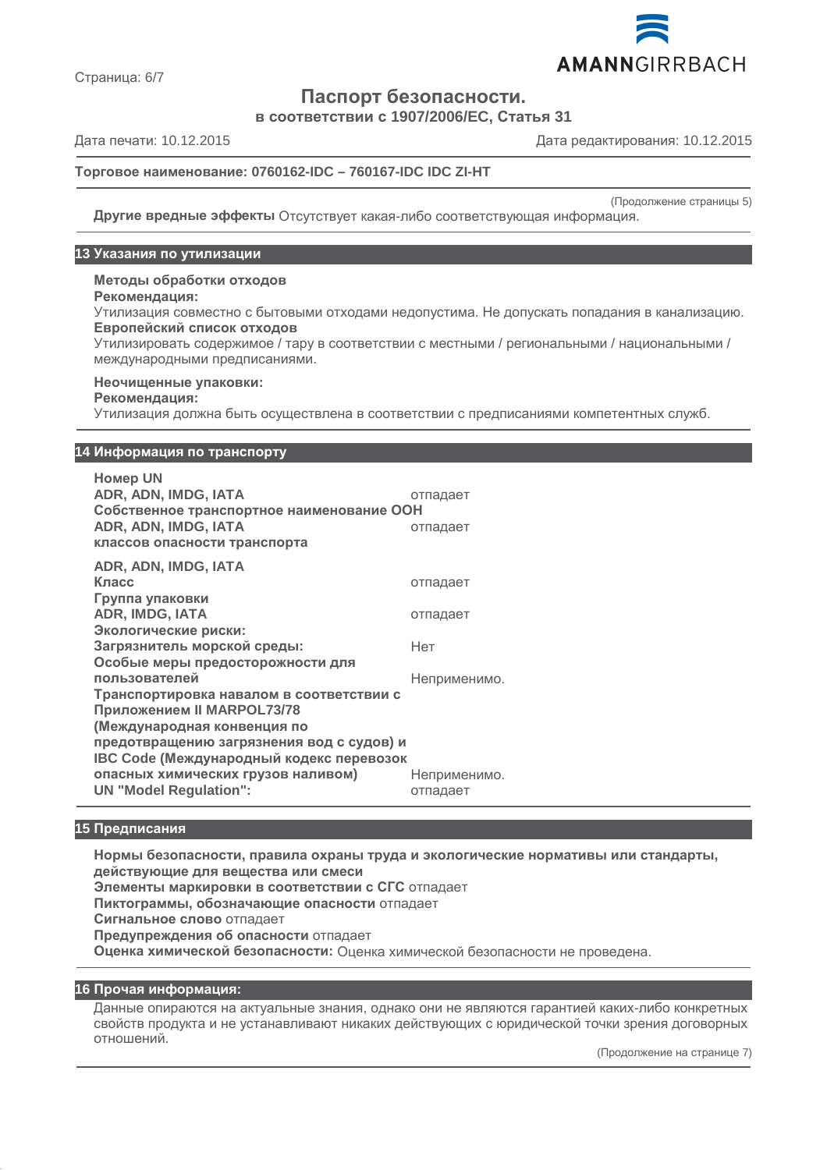

Страница: 6/7

**Паспорт безопасности.**

**в соответствии с 1907/2006/EC, Статья 31**

Дата печати: 10.12.2015 Дата редактирования: 10.12.2015

# **Торговое наименование: 0760162-IDC – 760167-IDC IDC ZI-HT**

(Продолжение страницы 5)

**Другие вредные эффекты** Отсутствует какая-либо соответствующая информация.

#### **13 Указания по утилизации**

**Методы обработки отходов**

#### **Рекомендация:**

Утилизация совместно с бытовыми отходами недопустима. Не допускать попадания в канализацию. **Европейский список отходов**

Утилизировать содержимое / тару в соответствии с местными / региональными / национальными / международными предписаниями.

#### **Неочищенные упаковки:**

#### **Рекомендация:**

Утилизация должна быть осуществлена в соответствии с предписаниями компетентных служб.

#### **14 Информация по транспорту**

**Номер UN ADR, ADN, IMDG, IATA** отпадает **Собственное транспортное наименование ООН ADR, ADN, IMDG, IATA** отпадает **классов опасности транспорта ADR, ADN, IMDG, IATA**

| ADR. ADN. IMDG. IATA                      |              |
|-------------------------------------------|--------------|
| Класс                                     | отпадает     |
| Группа упаковки                           |              |
| ADR, IMDG, IATA                           | отпадает     |
| Экологические риски:                      |              |
| Загрязнитель морской среды:               | Нет          |
| Особые меры предосторожности для          |              |
| пользователей                             | Неприменимо. |
| Транспортировка навалом в соответствии с  |              |
| Приложением II MARPOL73/78                |              |
| (Международная конвенция по               |              |
| предотвращению загрязнения вод с судов) и |              |
| IBC Code (Международный кодекс перевозок  |              |
| опасных химических грузов наливом)        | Неприменимо. |
| <b>UN "Model Regulation":</b>             | отпадает     |

#### **15 Предписания**

**Нормы безопасности, правила охраны труда и экологические нормативы или стандарты, действующие для вещества или смеси Элементы маркировки в соответствии с СГС** отпадает **Пиктограммы, обозначающие опасности** отпадает **Сигнальное слово** отпадает **Предупреждения об опасности** отпадает **Оценка химической безопасности:** Оценка химической безопасности не проведена.

#### **16 Прочая информация:**

Данные опираются на актуальные знания, однако они не являются гарантией каких-либо конкретных свойств продукта и не устанавливают никаких действующих с юридической точки зрения договорных отношений.

(Продолжение на странице 7)